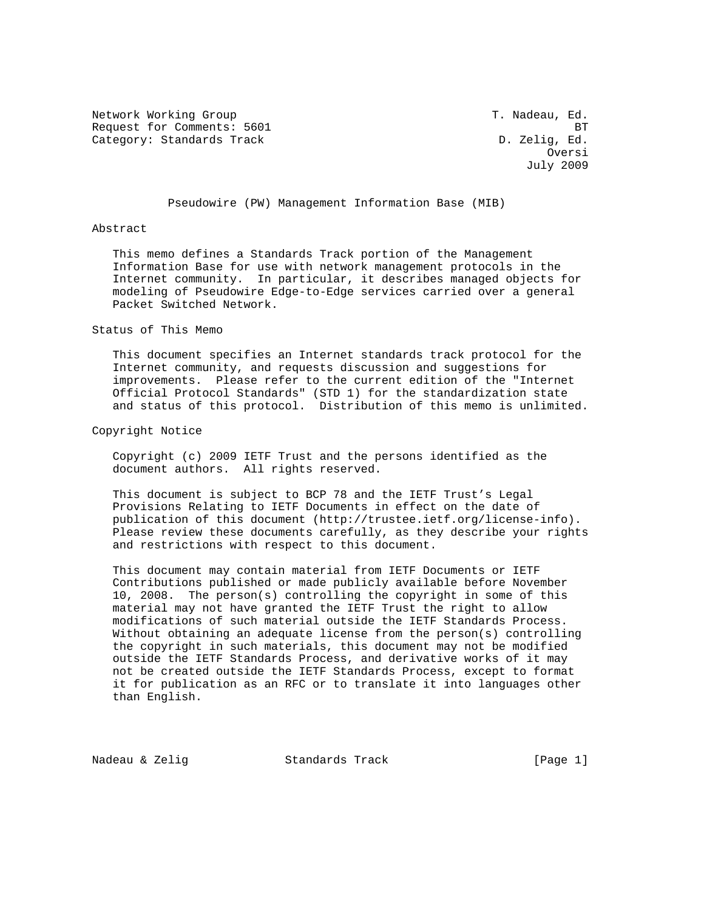Network Working Group T. Nadeau, Ed. Request for Comments: 5601 BT<br>Category: Standards Track BTC D. Zelig, Ed. Category: Standards Track

**Oversity of the Contract of the Contract of the Contract of the Contract of the Contract of the Contract of the Contract of the Contract of the Contract of the Contract of the Contract of the Contract of the Contract of t** July 2009

Pseudowire (PW) Management Information Base (MIB)

### Abstract

 This memo defines a Standards Track portion of the Management Information Base for use with network management protocols in the Internet community. In particular, it describes managed objects for modeling of Pseudowire Edge-to-Edge services carried over a general Packet Switched Network.

Status of This Memo

 This document specifies an Internet standards track protocol for the Internet community, and requests discussion and suggestions for improvements. Please refer to the current edition of the "Internet Official Protocol Standards" (STD 1) for the standardization state and status of this protocol. Distribution of this memo is unlimited.

Copyright Notice

 Copyright (c) 2009 IETF Trust and the persons identified as the document authors. All rights reserved.

 This document is subject to BCP 78 and the IETF Trust's Legal Provisions Relating to IETF Documents in effect on the date of publication of this document (http://trustee.ietf.org/license-info). Please review these documents carefully, as they describe your rights and restrictions with respect to this document.

 This document may contain material from IETF Documents or IETF Contributions published or made publicly available before November 10, 2008. The person(s) controlling the copyright in some of this material may not have granted the IETF Trust the right to allow modifications of such material outside the IETF Standards Process. Without obtaining an adequate license from the person(s) controlling the copyright in such materials, this document may not be modified outside the IETF Standards Process, and derivative works of it may not be created outside the IETF Standards Process, except to format it for publication as an RFC or to translate it into languages other than English.

Nadeau & Zelig Standards Track [Page 1]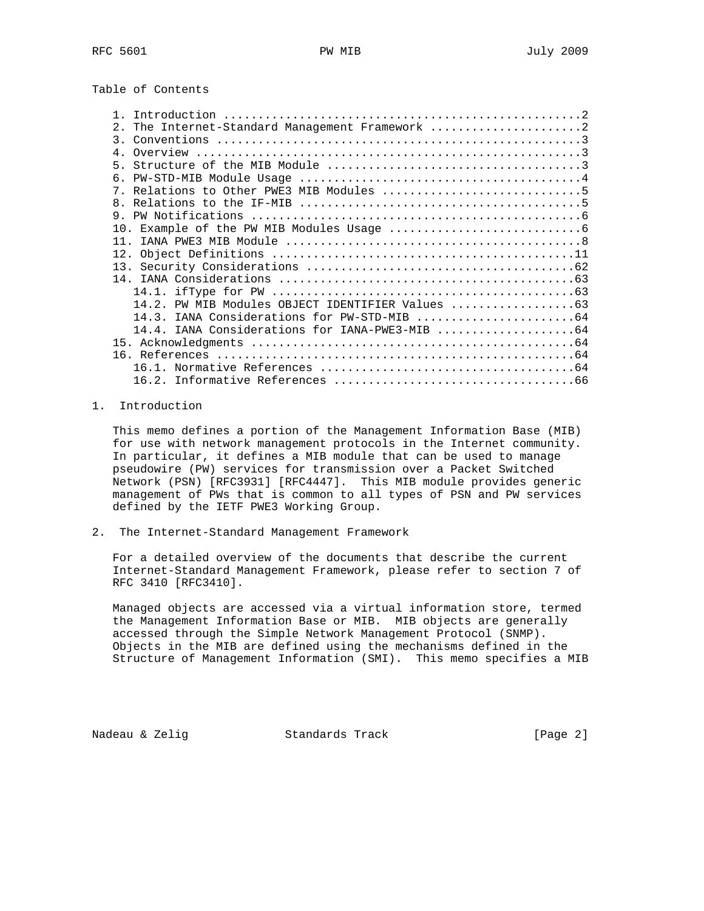Table of Contents

| The Internet-Standard Management Framework 2<br>$2^{\circ}$ |  |
|-------------------------------------------------------------|--|
|                                                             |  |
|                                                             |  |
| 5                                                           |  |
|                                                             |  |
|                                                             |  |
|                                                             |  |
|                                                             |  |
|                                                             |  |
| 11                                                          |  |
|                                                             |  |
|                                                             |  |
|                                                             |  |
|                                                             |  |
| 14.2. PW MIB Modules OBJECT IDENTIFIER Values               |  |
|                                                             |  |
|                                                             |  |
|                                                             |  |
|                                                             |  |
|                                                             |  |
|                                                             |  |

# 1. Introduction

 This memo defines a portion of the Management Information Base (MIB) for use with network management protocols in the Internet community. In particular, it defines a MIB module that can be used to manage pseudowire (PW) services for transmission over a Packet Switched Network (PSN) [RFC3931] [RFC4447]. This MIB module provides generic management of PWs that is common to all types of PSN and PW services defined by the IETF PWE3 Working Group.

2. The Internet-Standard Management Framework

 For a detailed overview of the documents that describe the current Internet-Standard Management Framework, please refer to section 7 of RFC 3410 [RFC3410].

 Managed objects are accessed via a virtual information store, termed the Management Information Base or MIB. MIB objects are generally accessed through the Simple Network Management Protocol (SNMP). Objects in the MIB are defined using the mechanisms defined in the Structure of Management Information (SMI). This memo specifies a MIB

Nadeau & Zelig Standards Track [Page 2]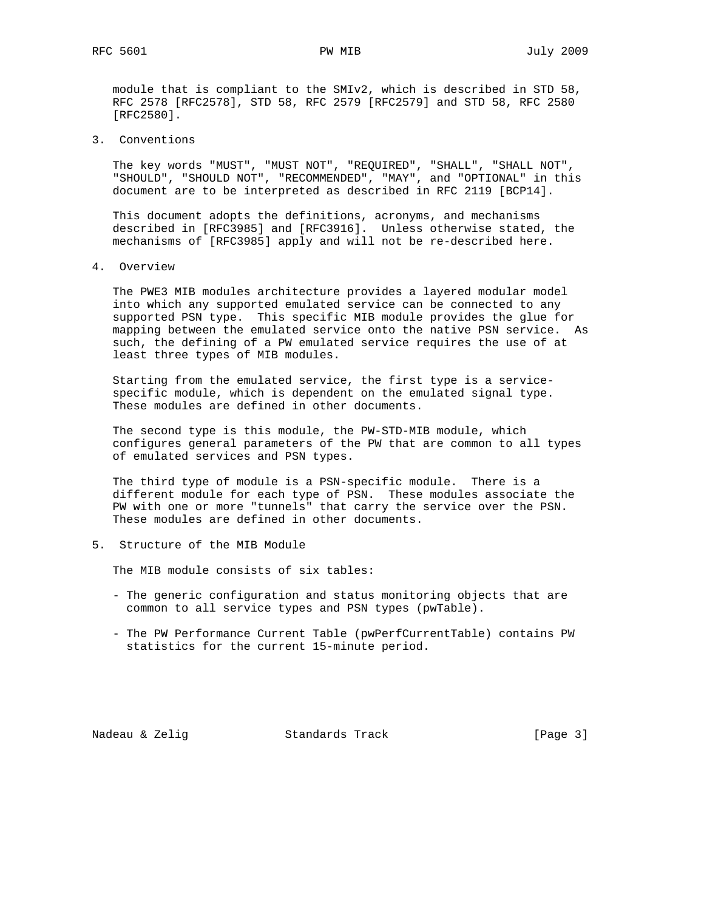module that is compliant to the SMIv2, which is described in STD 58, RFC 2578 [RFC2578], STD 58, RFC 2579 [RFC2579] and STD 58, RFC 2580 [RFC2580].

3. Conventions

 The key words "MUST", "MUST NOT", "REQUIRED", "SHALL", "SHALL NOT", "SHOULD", "SHOULD NOT", "RECOMMENDED", "MAY", and "OPTIONAL" in this document are to be interpreted as described in RFC 2119 [BCP14].

 This document adopts the definitions, acronyms, and mechanisms described in [RFC3985] and [RFC3916]. Unless otherwise stated, the mechanisms of [RFC3985] apply and will not be re-described here.

4. Overview

 The PWE3 MIB modules architecture provides a layered modular model into which any supported emulated service can be connected to any supported PSN type. This specific MIB module provides the glue for mapping between the emulated service onto the native PSN service. As such, the defining of a PW emulated service requires the use of at least three types of MIB modules.

 Starting from the emulated service, the first type is a service specific module, which is dependent on the emulated signal type. These modules are defined in other documents.

 The second type is this module, the PW-STD-MIB module, which configures general parameters of the PW that are common to all types of emulated services and PSN types.

 The third type of module is a PSN-specific module. There is a different module for each type of PSN. These modules associate the PW with one or more "tunnels" that carry the service over the PSN. These modules are defined in other documents.

5. Structure of the MIB Module

The MIB module consists of six tables:

- The generic configuration and status monitoring objects that are common to all service types and PSN types (pwTable).
- The PW Performance Current Table (pwPerfCurrentTable) contains PW statistics for the current 15-minute period.

Nadeau & Zelig Standards Track (Page 3)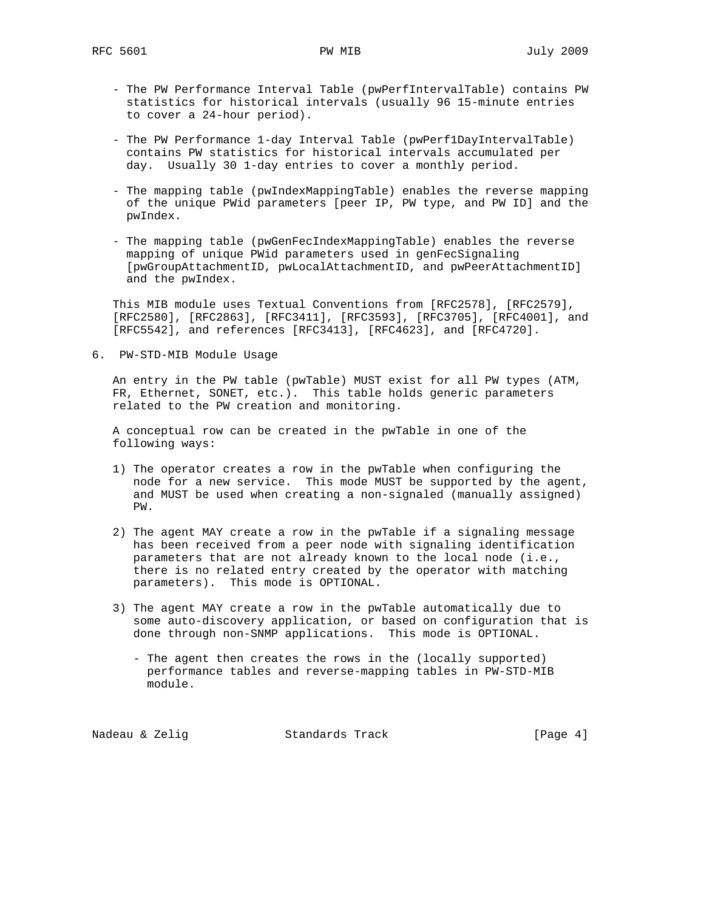- The PW Performance Interval Table (pwPerfIntervalTable) contains PW statistics for historical intervals (usually 96 15-minute entries to cover a 24-hour period).
- The PW Performance 1-day Interval Table (pwPerf1DayIntervalTable) contains PW statistics for historical intervals accumulated per day. Usually 30 1-day entries to cover a monthly period.
- The mapping table (pwIndexMappingTable) enables the reverse mapping of the unique PWid parameters [peer IP, PW type, and PW ID] and the pwIndex.
- The mapping table (pwGenFecIndexMappingTable) enables the reverse mapping of unique PWid parameters used in genFecSignaling [pwGroupAttachmentID, pwLocalAttachmentID, and pwPeerAttachmentID] and the pwIndex.

 This MIB module uses Textual Conventions from [RFC2578], [RFC2579], [RFC2580], [RFC2863], [RFC3411], [RFC3593], [RFC3705], [RFC4001], and [RFC5542], and references [RFC3413], [RFC4623], and [RFC4720].

6. PW-STD-MIB Module Usage

 An entry in the PW table (pwTable) MUST exist for all PW types (ATM, FR, Ethernet, SONET, etc.). This table holds generic parameters related to the PW creation and monitoring.

 A conceptual row can be created in the pwTable in one of the following ways:

- 1) The operator creates a row in the pwTable when configuring the node for a new service. This mode MUST be supported by the agent, and MUST be used when creating a non-signaled (manually assigned) PW.
- 2) The agent MAY create a row in the pwTable if a signaling message has been received from a peer node with signaling identification parameters that are not already known to the local node (i.e., there is no related entry created by the operator with matching parameters). This mode is OPTIONAL.
- 3) The agent MAY create a row in the pwTable automatically due to some auto-discovery application, or based on configuration that is done through non-SNMP applications. This mode is OPTIONAL.
	- The agent then creates the rows in the (locally supported) performance tables and reverse-mapping tables in PW-STD-MIB module.

Nadeau & Zelig Standards Track [Page 4]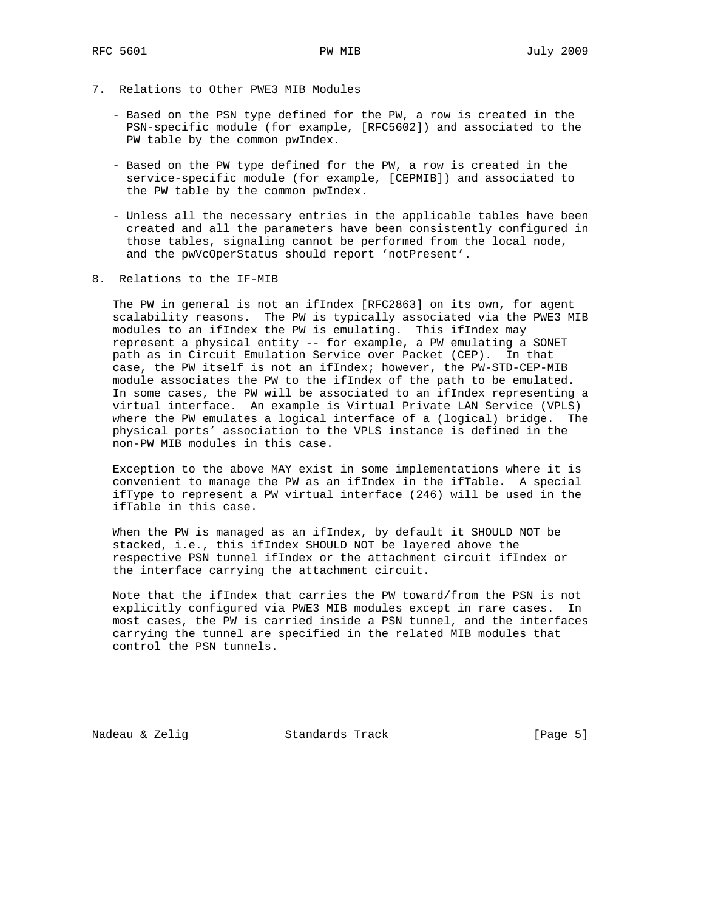- 7. Relations to Other PWE3 MIB Modules
	- Based on the PSN type defined for the PW, a row is created in the PSN-specific module (for example, [RFC5602]) and associated to the PW table by the common pwIndex.
	- Based on the PW type defined for the PW, a row is created in the service-specific module (for example, [CEPMIB]) and associated to the PW table by the common pwIndex.
	- Unless all the necessary entries in the applicable tables have been created and all the parameters have been consistently configured in those tables, signaling cannot be performed from the local node, and the pwVcOperStatus should report 'notPresent'.
- 8. Relations to the IF-MIB

 The PW in general is not an ifIndex [RFC2863] on its own, for agent scalability reasons. The PW is typically associated via the PWE3 MIB modules to an ifIndex the PW is emulating. This ifIndex may represent a physical entity -- for example, a PW emulating a SONET path as in Circuit Emulation Service over Packet (CEP). In that case, the PW itself is not an ifIndex; however, the PW-STD-CEP-MIB module associates the PW to the ifIndex of the path to be emulated. In some cases, the PW will be associated to an ifIndex representing a virtual interface. An example is Virtual Private LAN Service (VPLS) where the PW emulates a logical interface of a (logical) bridge. The physical ports' association to the VPLS instance is defined in the non-PW MIB modules in this case.

 Exception to the above MAY exist in some implementations where it is convenient to manage the PW as an ifIndex in the ifTable. A special ifType to represent a PW virtual interface (246) will be used in the ifTable in this case.

 When the PW is managed as an ifIndex, by default it SHOULD NOT be stacked, i.e., this ifIndex SHOULD NOT be layered above the respective PSN tunnel ifIndex or the attachment circuit ifIndex or the interface carrying the attachment circuit.

 Note that the ifIndex that carries the PW toward/from the PSN is not explicitly configured via PWE3 MIB modules except in rare cases. In most cases, the PW is carried inside a PSN tunnel, and the interfaces carrying the tunnel are specified in the related MIB modules that control the PSN tunnels.

Nadeau & Zelig Standards Track [Page 5]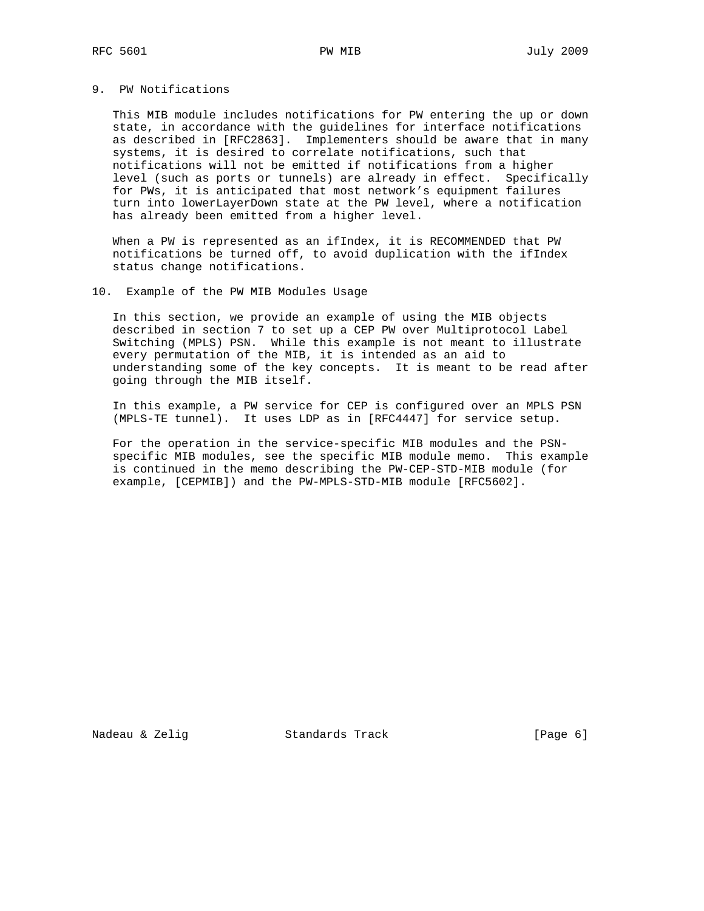# 9. PW Notifications

 This MIB module includes notifications for PW entering the up or down state, in accordance with the guidelines for interface notifications as described in [RFC2863]. Implementers should be aware that in many systems, it is desired to correlate notifications, such that notifications will not be emitted if notifications from a higher level (such as ports or tunnels) are already in effect. Specifically for PWs, it is anticipated that most network's equipment failures turn into lowerLayerDown state at the PW level, where a notification has already been emitted from a higher level.

 When a PW is represented as an ifIndex, it is RECOMMENDED that PW notifications be turned off, to avoid duplication with the ifIndex status change notifications.

## 10. Example of the PW MIB Modules Usage

 In this section, we provide an example of using the MIB objects described in section 7 to set up a CEP PW over Multiprotocol Label Switching (MPLS) PSN. While this example is not meant to illustrate every permutation of the MIB, it is intended as an aid to understanding some of the key concepts. It is meant to be read after going through the MIB itself.

 In this example, a PW service for CEP is configured over an MPLS PSN (MPLS-TE tunnel). It uses LDP as in [RFC4447] for service setup.

 For the operation in the service-specific MIB modules and the PSN specific MIB modules, see the specific MIB module memo. This example is continued in the memo describing the PW-CEP-STD-MIB module (for example, [CEPMIB]) and the PW-MPLS-STD-MIB module [RFC5602].

Nadeau & Zelig Standards Track [Page 6]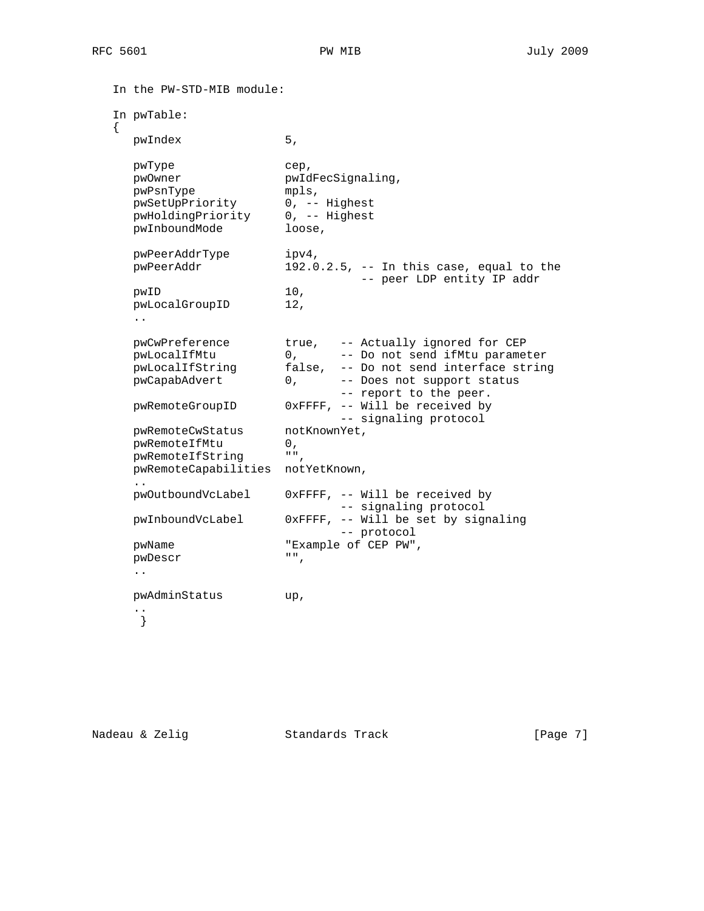```
 In the PW-STD-MIB module:
   In pwTable:
   {
     pwIndex 5,
    pwType cep,
     pwOwner pwIdFecSignaling,
 pwPsnType mpls,
 pwSetUpPriority 0, -- Highest
 pwHoldingPriority 0, -- Highest
pwInboundMode loose,
    pwPeerAddrType ipv4,
     pwPeerAddr 192.0.2.5, -- In this case, equal to the
                         -- peer LDP entity IP addr
     pwID 10,
     pwLocalGroupID 12,
     ..
 pwCwPreference true, -- Actually ignored for CEP
 pwLocalIfMtu 0, -- Do not send ifMtu parameter
 pwLocalIfString false, -- Do not send interface string
 pwCapabAdvert 0, -- Does not support status
 -- report to the peer.
     pwRemoteGroupID 0xFFFF, -- Will be received by
                            -- signaling protocol
    pwRemoteCwStatus notKnownYet,<br>
nowRemoteIfMtu 0,
pwRemoteIfMtu 0,
 pwRemoteIfString "",
     pwRemoteCapabilities notYetKnown,
     ..
     pwOutboundVcLabel 0xFFFF, -- Will be received by
                           -- signaling protocol
     pwInboundVcLabel 0xFFFF, -- Will be set by signaling
                         -- protocol
     pwName "Example of CEP PW",
     pwDescr "",
     ..
     pwAdminStatus up,
 ..
     }
```
Nadeau & Zelig Standards Track (Page 7)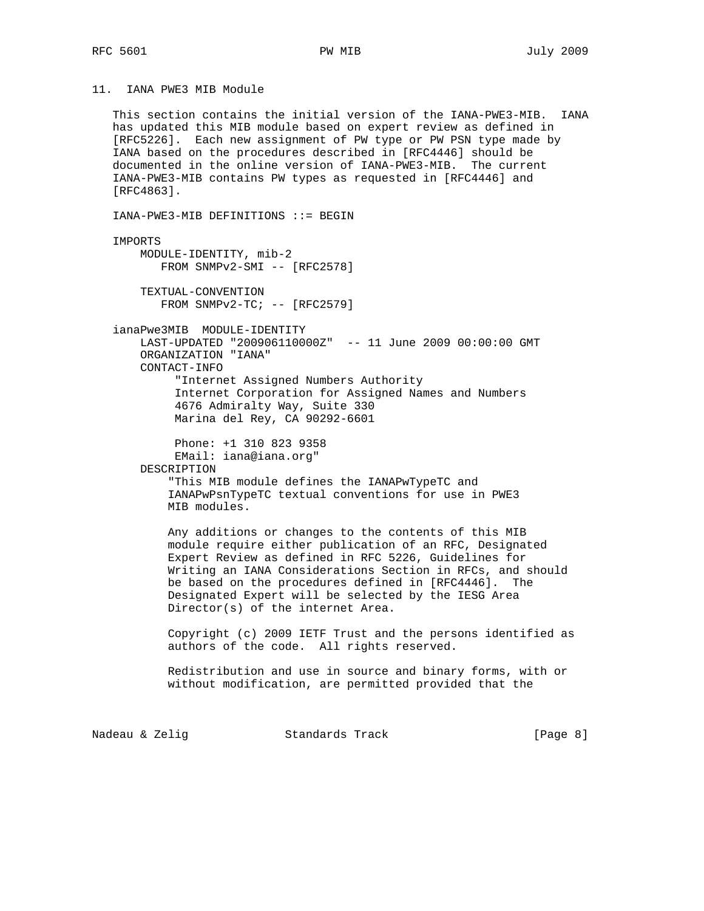11. IANA PWE3 MIB Module

 This section contains the initial version of the IANA-PWE3-MIB. IANA has updated this MIB module based on expert review as defined in [RFC5226]. Each new assignment of PW type or PW PSN type made by IANA based on the procedures described in [RFC4446] should be documented in the online version of IANA-PWE3-MIB. The current IANA-PWE3-MIB contains PW types as requested in [RFC4446] and [RFC4863].

IANA-PWE3-MIB DEFINITIONS ::= BEGIN

### IMPORTS

```
 MODULE-IDENTITY, mib-2
    FROM SNMPv2-SMI -- [RFC2578]
```
 TEXTUAL-CONVENTION FROM SNMPv2-TC; -- [RFC2579]

 ianaPwe3MIB MODULE-IDENTITY LAST-UPDATED "200906110000Z" -- 11 June 2009 00:00:00 GMT ORGANIZATION "IANA" CONTACT-INFO "Internet Assigned Numbers Authority Internet Corporation for Assigned Names and Numbers

 4676 Admiralty Way, Suite 330 Marina del Rey, CA 90292-6601

Phone: +1 310 823 9358

 EMail: iana@iana.org" DESCRIPTION

 "This MIB module defines the IANAPwTypeTC and IANAPwPsnTypeTC textual conventions for use in PWE3 MIB modules.

 Any additions or changes to the contents of this MIB module require either publication of an RFC, Designated Expert Review as defined in RFC 5226, Guidelines for Writing an IANA Considerations Section in RFCs, and should be based on the procedures defined in [RFC4446]. The Designated Expert will be selected by the IESG Area Director(s) of the internet Area.

 Copyright (c) 2009 IETF Trust and the persons identified as authors of the code. All rights reserved.

 Redistribution and use in source and binary forms, with or without modification, are permitted provided that the

Nadeau & Zelig Standards Track [Page 8]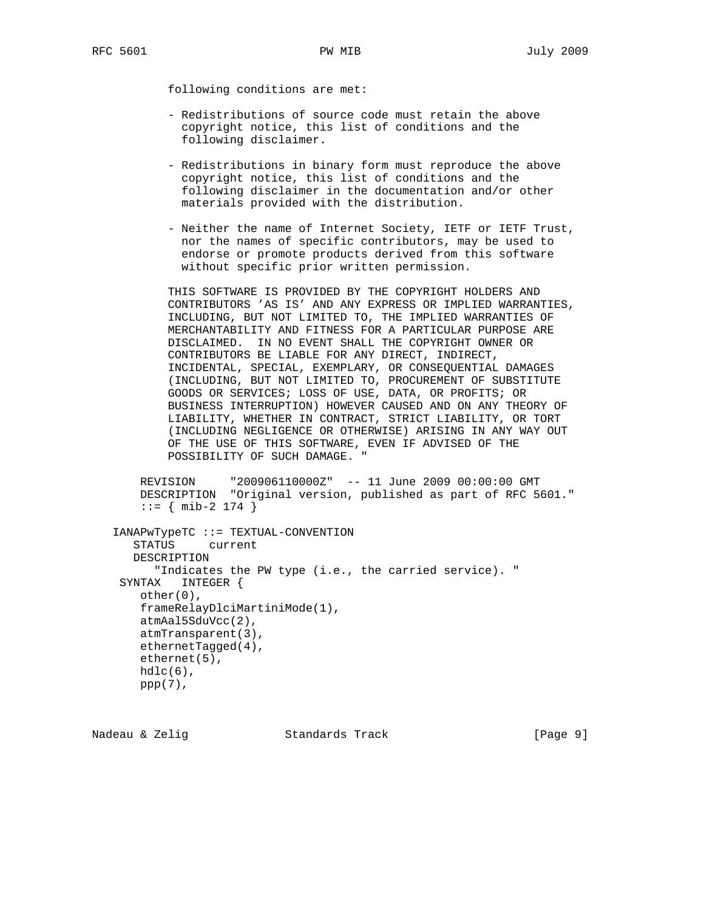following conditions are met:

- Redistributions of source code must retain the above copyright notice, this list of conditions and the following disclaimer.
- Redistributions in binary form must reproduce the above copyright notice, this list of conditions and the following disclaimer in the documentation and/or other materials provided with the distribution.
- Neither the name of Internet Society, IETF or IETF Trust, nor the names of specific contributors, may be used to endorse or promote products derived from this software without specific prior written permission.

 THIS SOFTWARE IS PROVIDED BY THE COPYRIGHT HOLDERS AND CONTRIBUTORS 'AS IS' AND ANY EXPRESS OR IMPLIED WARRANTIES, INCLUDING, BUT NOT LIMITED TO, THE IMPLIED WARRANTIES OF MERCHANTABILITY AND FITNESS FOR A PARTICULAR PURPOSE ARE DISCLAIMED. IN NO EVENT SHALL THE COPYRIGHT OWNER OR CONTRIBUTORS BE LIABLE FOR ANY DIRECT, INDIRECT, INCIDENTAL, SPECIAL, EXEMPLARY, OR CONSEQUENTIAL DAMAGES (INCLUDING, BUT NOT LIMITED TO, PROCUREMENT OF SUBSTITUTE GOODS OR SERVICES; LOSS OF USE, DATA, OR PROFITS; OR BUSINESS INTERRUPTION) HOWEVER CAUSED AND ON ANY THEORY OF LIABILITY, WHETHER IN CONTRACT, STRICT LIABILITY, OR TORT (INCLUDING NEGLIGENCE OR OTHERWISE) ARISING IN ANY WAY OUT OF THE USE OF THIS SOFTWARE, EVEN IF ADVISED OF THE POSSIBILITY OF SUCH DAMAGE.

 REVISION "200906110000Z" -- 11 June 2009 00:00:00 GMT DESCRIPTION "Original version, published as part of RFC 5601."  $::=$  { mib-2 174 }

```
 IANAPwTypeTC ::= TEXTUAL-CONVENTION
    STATUS current
    DESCRIPTION
      "Indicates the PW type (i.e., the carried service). "
  SYNTAX INTEGER {
    other(0),
     frameRelayDlciMartiniMode(1),
    atmAal5SduVcc(2),
    atmTransparent(3),
    ethernetTagged(4),
    ethernet(5),
   hdlc(6),
    ppp(7),
```
Nadeau & Zelig Standards Track [Page 9]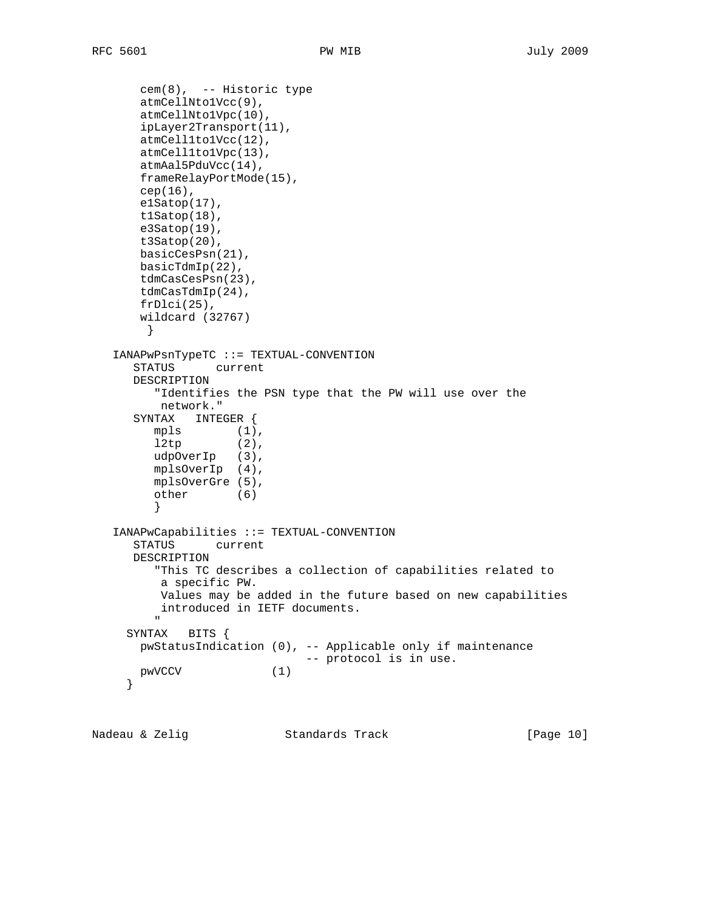```
 cem(8), -- Historic type
       atmCellNto1Vcc(9),
       atmCellNto1Vpc(10),
       ipLayer2Transport(11),
       atmCell1to1Vcc(12),
       atmCell1to1Vpc(13),
       atmAal5PduVcc(14),
       frameRelayPortMode(15),
       cep(16),
       e1Satop(17),
       t1Satop(18),
       e3Satop(19),
       t3Satop(20),
       basicCesPsn(21),
       basicTdmIp(22),
       tdmCasCesPsn(23),
       tdmCasTdmIp(24),
       frDlci(25),
       wildcard (32767)
        }
   IANAPwPsnTypeTC ::= TEXTUAL-CONVENTION
      STATUS current
      DESCRIPTION
         "Identifies the PSN type that the PW will use over the
         network."
      SYNTAX INTEGER {
mpls (1),
12tp (2),
         udpOverIp (3),
         mplsOverIp (4),
         mplsOverGre (5),
         other (6)
         }
   IANAPwCapabilities ::= TEXTUAL-CONVENTION
      STATUS current
      DESCRIPTION
         "This TC describes a collection of capabilities related to
          a specific PW.
          Values may be added in the future based on new capabilities
         introduced in IETF documents.
 "
     SYNTAX BITS {
       pwStatusIndication (0), -- Applicable only if maintenance
                              -- protocol is in use.
 pwVCCV (1)
 }
```
Nadeau & Zelig Standards Track [Page 10]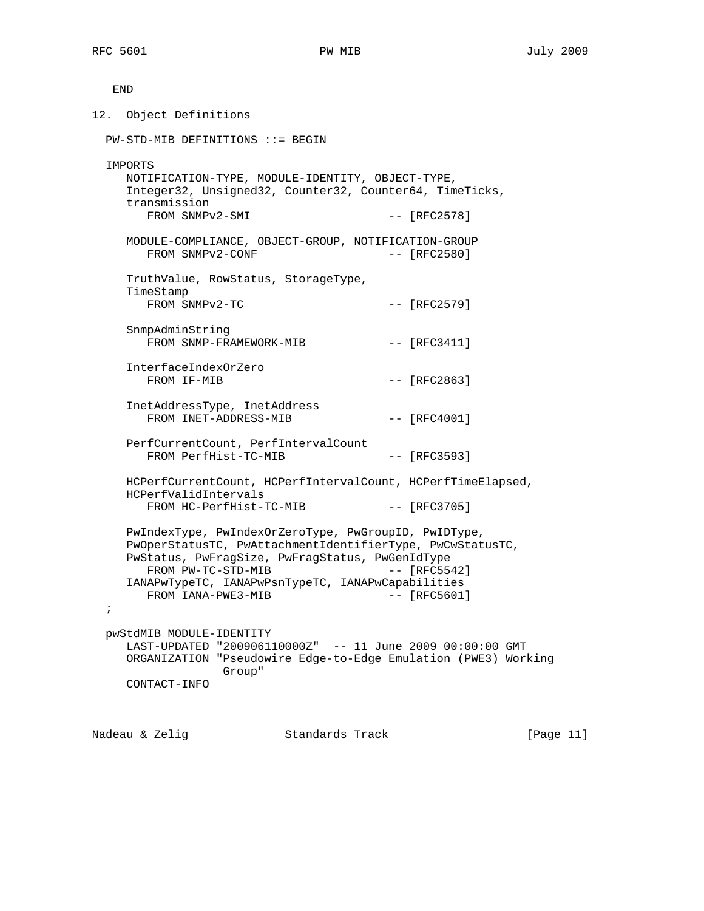END

12. Object Definitions PW-STD-MIB DEFINITIONS ::= BEGIN IMPORTS NOTIFICATION-TYPE, MODULE-IDENTITY, OBJECT-TYPE, Integer32, Unsigned32, Counter32, Counter64, TimeTicks, transmission FROM SNMPv2-SMI  $---$  [RFC2578] MODULE-COMPLIANCE, OBJECT-GROUP, NOTIFICATION-GROUP FROM SNMPv2-CONF -- [RFC2580] TruthValue, RowStatus, StorageType, TimeStamp  $FROM \quad \text{S}NMPv2-TC$   $-- [RFC2579]$  SnmpAdminString FROM SNMP-FRAMEWORK-MIB -- [RFC3411] InterfaceIndexOrZero FROM IF-MIB -- [RFC2863] InetAddressType, InetAddress FROM INET-ADDRESS-MIB -- [RFC4001] PerfCurrentCount, PerfIntervalCount FROM PerfHist-TC-MIB -- [RFC3593] HCPerfCurrentCount, HCPerfIntervalCount, HCPerfTimeElapsed, HCPerfValidIntervals FROM HC-PerfHist-TC-MIB -- [RFC3705] PwIndexType, PwIndexOrZeroType, PwGroupID, PwIDType, PwOperStatusTC, PwAttachmentIdentifierType, PwCwStatusTC, PwStatus, PwFragSize, PwFragStatus, PwGenIdType FROM PW-TC-STD-MIB  $---$  [RFC5542] IANAPwTypeTC, IANAPwPsnTypeTC, IANAPwCapabilities FROM IANA-PWE3-MIB -- [RFC5601] ; pwStdMIB MODULE-IDENTITY LAST-UPDATED "200906110000Z" -- 11 June 2009 00:00:00 GMT ORGANIZATION "Pseudowire Edge-to-Edge Emulation (PWE3) Working Group" CONTACT-INFO

Nadeau & Zelig Standards Track [Page 11]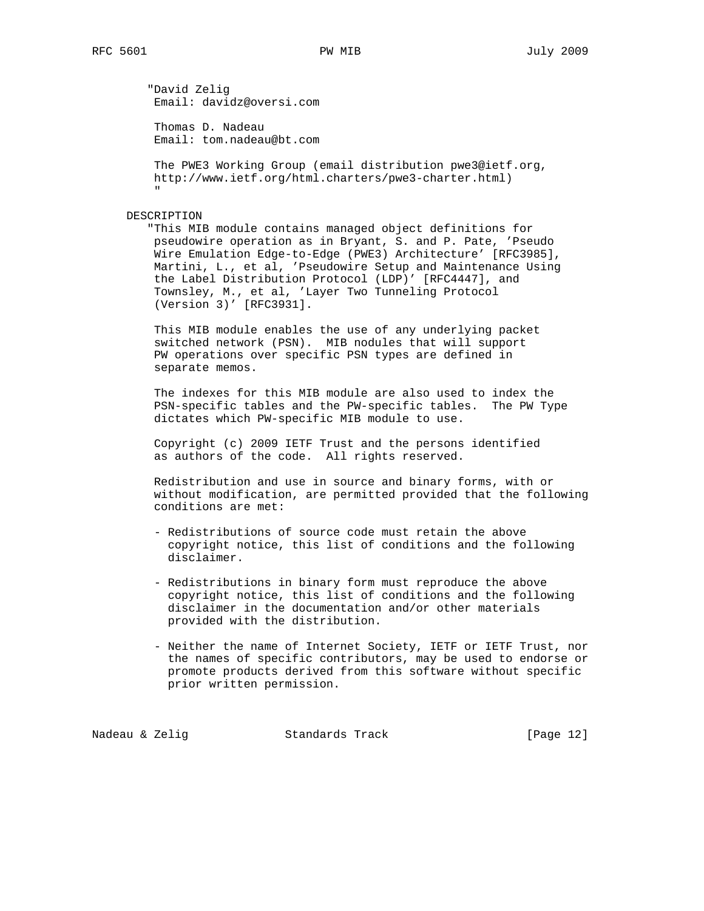"David Zelig Email: davidz@oversi.com

 Thomas D. Nadeau Email: tom.nadeau@bt.com

 The PWE3 Working Group (email distribution pwe3@ietf.org, http://www.ietf.org/html.charters/pwe3-charter.html) "

## DESCRIPTION

 "This MIB module contains managed object definitions for pseudowire operation as in Bryant, S. and P. Pate, 'Pseudo Wire Emulation Edge-to-Edge (PWE3) Architecture' [RFC3985], Martini, L., et al, 'Pseudowire Setup and Maintenance Using the Label Distribution Protocol (LDP)' [RFC4447], and Townsley, M., et al, 'Layer Two Tunneling Protocol (Version 3)' [RFC3931].

 This MIB module enables the use of any underlying packet switched network (PSN). MIB nodules that will support PW operations over specific PSN types are defined in separate memos.

 The indexes for this MIB module are also used to index the PSN-specific tables and the PW-specific tables. The PW Type dictates which PW-specific MIB module to use.

 Copyright (c) 2009 IETF Trust and the persons identified as authors of the code. All rights reserved.

 Redistribution and use in source and binary forms, with or without modification, are permitted provided that the following conditions are met:

- Redistributions of source code must retain the above copyright notice, this list of conditions and the following disclaimer.
- Redistributions in binary form must reproduce the above copyright notice, this list of conditions and the following disclaimer in the documentation and/or other materials provided with the distribution.
- Neither the name of Internet Society, IETF or IETF Trust, nor the names of specific contributors, may be used to endorse or promote products derived from this software without specific prior written permission.

Nadeau & Zelig Standards Track [Page 12]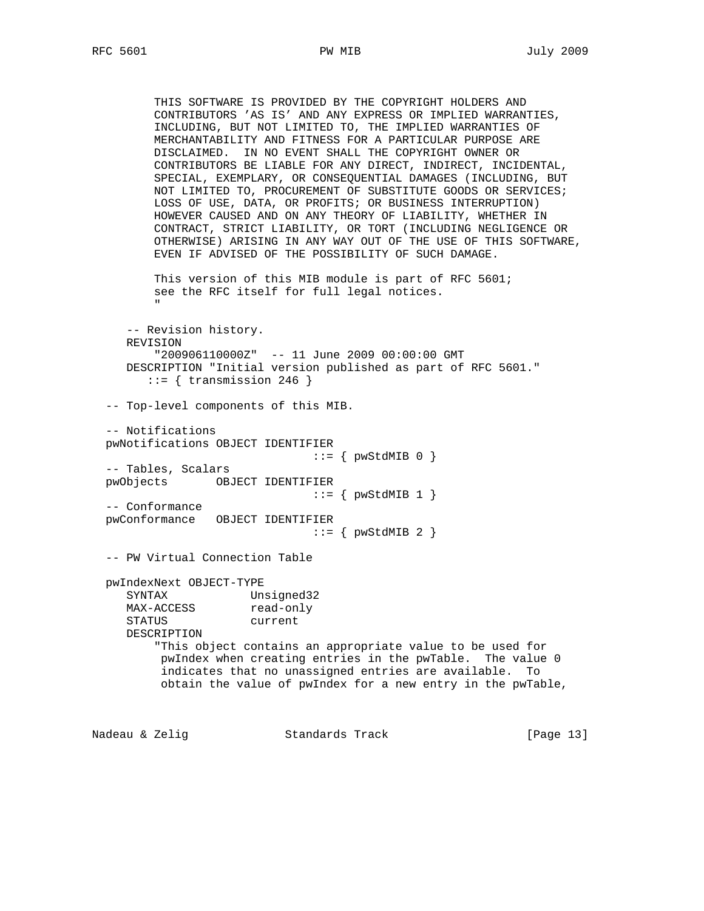THIS SOFTWARE IS PROVIDED BY THE COPYRIGHT HOLDERS AND CONTRIBUTORS 'AS IS' AND ANY EXPRESS OR IMPLIED WARRANTIES, INCLUDING, BUT NOT LIMITED TO, THE IMPLIED WARRANTIES OF MERCHANTABILITY AND FITNESS FOR A PARTICULAR PURPOSE ARE DISCLAIMED. IN NO EVENT SHALL THE COPYRIGHT OWNER OR CONTRIBUTORS BE LIABLE FOR ANY DIRECT, INDIRECT, INCIDENTAL, SPECIAL, EXEMPLARY, OR CONSEQUENTIAL DAMAGES (INCLUDING, BUT NOT LIMITED TO, PROCUREMENT OF SUBSTITUTE GOODS OR SERVICES; LOSS OF USE, DATA, OR PROFITS; OR BUSINESS INTERRUPTION) HOWEVER CAUSED AND ON ANY THEORY OF LIABILITY, WHETHER IN CONTRACT, STRICT LIABILITY, OR TORT (INCLUDING NEGLIGENCE OR OTHERWISE) ARISING IN ANY WAY OUT OF THE USE OF THIS SOFTWARE, EVEN IF ADVISED OF THE POSSIBILITY OF SUCH DAMAGE. This version of this MIB module is part of RFC 5601; see the RFC itself for full legal notices. " -- Revision history. REVISION "200906110000Z" -- 11 June 2009 00:00:00 GMT DESCRIPTION "Initial version published as part of RFC 5601."  $::=$  { transmission 246 } -- Top-level components of this MIB. -- Notifications pwNotifications OBJECT IDENTIFIER  $\cdot := \{ \text{pwStdMIB 0 } \}$  -- Tables, Scalars pwObjects OBJECT IDENTIFIER  $::=$  {  $pwStdMIB 1$  } -- Conformance pwConformance OBJECT IDENTIFIER  $::=$  {  $pwStdMIB$  2 } -- PW Virtual Connection Table pwIndexNext OBJECT-TYPE SYNTAX Unsigned32<br>MAX-ACCESS read-only read-only STATUS current DESCRIPTION "This object contains an appropriate value to be used for pwIndex when creating entries in the pwTable. The value 0 indicates that no unassigned entries are available. To obtain the value of pwIndex for a new entry in the pwTable,

Nadeau & Zelig Standards Track [Page 13]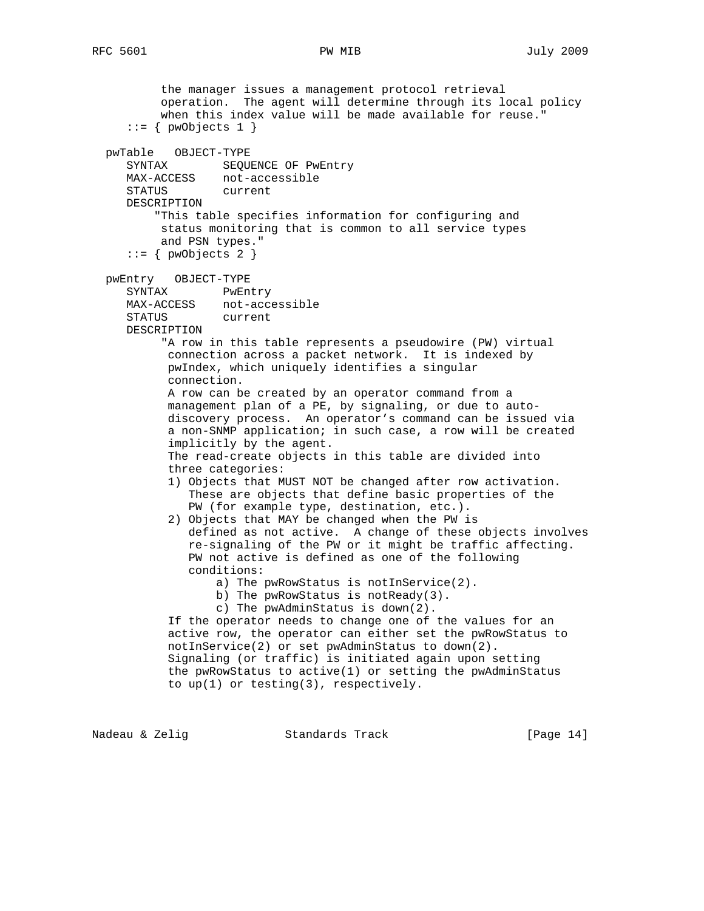the manager issues a management protocol retrieval operation. The agent will determine through its local policy when this index value will be made available for reuse."  $::=$  { pwObjects 1 } pwTable OBJECT-TYPE SYNTAX SEQUENCE OF PwEntry MAX-ACCESS not-accessible STATUS current DESCRIPTION "This table specifies information for configuring and status monitoring that is common to all service types and PSN types."  $::=$  { pwObjects 2 } pwEntry OBJECT-TYPE SYNTAX PwEntry MAX-ACCESS not-accessible STATUS current DESCRIPTION "A row in this table represents a pseudowire (PW) virtual connection across a packet network. It is indexed by pwIndex, which uniquely identifies a singular connection. A row can be created by an operator command from a management plan of a PE, by signaling, or due to auto discovery process. An operator's command can be issued via a non-SNMP application; in such case, a row will be created implicitly by the agent. The read-create objects in this table are divided into three categories: 1) Objects that MUST NOT be changed after row activation. These are objects that define basic properties of the PW (for example type, destination, etc.). 2) Objects that MAY be changed when the PW is defined as not active. A change of these objects involves re-signaling of the PW or it might be traffic affecting. PW not active is defined as one of the following conditions: a) The pwRowStatus is notInService(2). b) The pwRowStatus is notReady(3). c) The pwAdminStatus is down(2). If the operator needs to change one of the values for an active row, the operator can either set the pwRowStatus to notInService(2) or set pwAdminStatus to down(2). Signaling (or traffic) is initiated again upon setting the pwRowStatus to active(1) or setting the pwAdminStatus to up(1) or testing(3), respectively.

Nadeau & Zelig Standards Track [Page 14]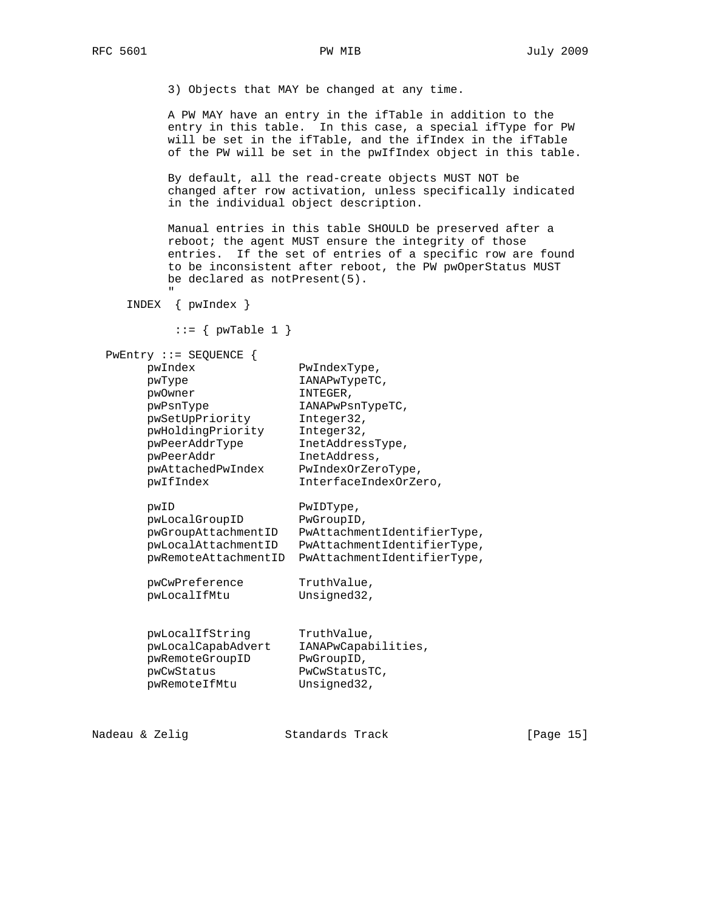3) Objects that MAY be changed at any time.

 A PW MAY have an entry in the ifTable in addition to the entry in this table. In this case, a special ifType for PW will be set in the ifTable, and the ifIndex in the ifTable of the PW will be set in the pwIfIndex object in this table.

 By default, all the read-create objects MUST NOT be changed after row activation, unless specifically indicated in the individual object description.

 Manual entries in this table SHOULD be preserved after a reboot; the agent MUST ensure the integrity of those entries. If the set of entries of a specific row are found to be inconsistent after reboot, the PW pwOperStatus MUST be declared as notPresent(5).

INDEX { pwIndex }

"

 $::= \{$  pwTable 1  $\}$ 

```
 PwEntry ::= SEQUENCE {
```

| pwIndex              | PwIndexType,                |
|----------------------|-----------------------------|
| pwType               | IANAPwTypeTC,               |
| pwOwner              | INTEGER,                    |
| pwPsnType            | IANAPwPsnTypeTC,            |
| pwSetUpPriority      | Integer32,                  |
| pwHoldingPriority    | Integer32,                  |
| pwPeerAddrType       | InetAddressType,            |
| pwPeerAddr           | InetAddress,                |
| pwAttachedPwIndex    | PwIndexOrZeroType,          |
| pwIfIndex            | InterfaceIndexOrZero,       |
|                      |                             |
| pwID                 | PwIDType,                   |
| pwLocalGroupID       | PwGroupID,                  |
| pwGroupAttachmentID  | PwAttachmentIdentifierType, |
| pwLocalAttachmentID  | PwAttachmentIdentifierType, |
| pwRemoteAttachmentID | PwAttachmentIdentifierType, |
|                      |                             |
| pwCwPreference       | TruthValue,                 |
| pwLocalIfMtu         | Unsigned32,                 |
|                      |                             |
|                      |                             |
| pwLocalIfString      | TruthValue,                 |
| pwLocalCapabAdvert   | IANAPwCapabilities,         |
| pwRemoteGroupID      | PwGroupID,                  |
| pwCwStatus           | PwCwStatusTC,               |
| pwRemoteIfMtu        | Unsigned32,                 |
|                      |                             |
|                      |                             |

Nadeau & Zelig Standards Track [Page 15]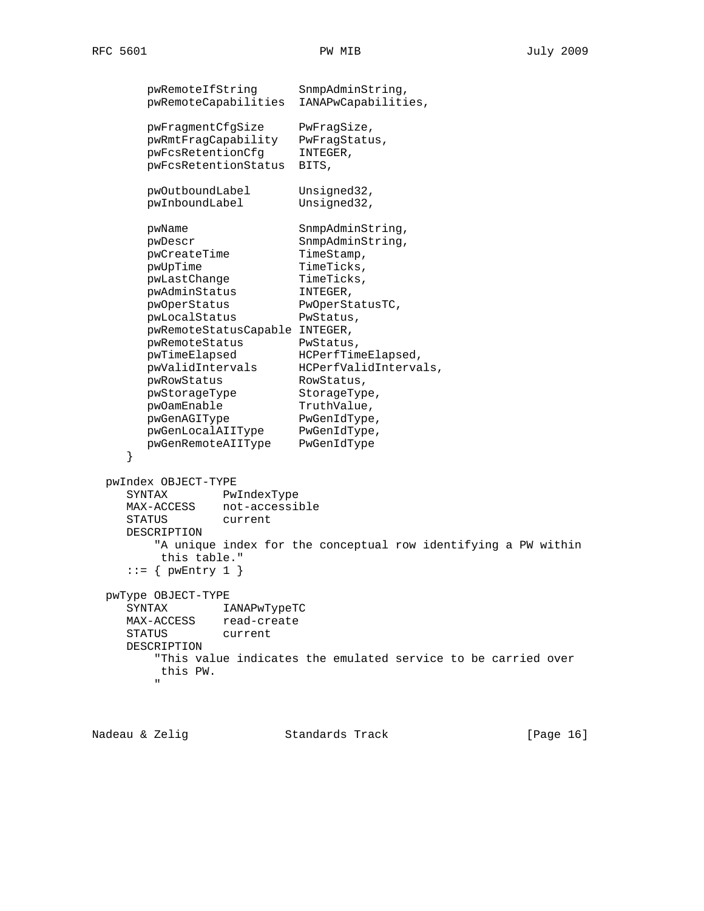pwRemoteIfString SnmpAdminString, pwRemoteCapabilities IANAPwCapabilities, pwFragmentCfgSize PwFragSize, pwRmtFragCapability PwFragStatus, pwFcsRetentionCfg INTEGER, pwFcsRetentionStatus BITS, pwOutboundLabel Unsigned32, pwInboundLabel Unsigned32, pwName SnmpAdminString, pwDescr SnmpAdminString, pwCreateTime TimeStamp, pwUpTime TimeTicks, pwLastChange TimeTicks, pwAdminStatus INTEGER, pwOperStatus PwOperStatusTC, pwLocalStatus PwStatus, pwRemoteStatusCapable INTEGER, pwRemoteStatus PwStatus, pwTimeElapsed HCPerfTimeElapsed, pwValidIntervals HCPerfValidIntervals, pwRowStatus RowStatus, pwStorageType StorageType, pwOamEnable TruthValue, pwGenAGIType PwGenIdType, pwGenLocalAIIType PwGenIdType, pwGenRemoteAIIType PwGenIdType } pwIndex OBJECT-TYPE SYNTAX PwIndexType MAX-ACCESS not-accessible STATUS current DESCRIPTION "A unique index for the conceptual row identifying a PW within this table."  $::=$  { pwEntry 1 } pwType OBJECT-TYPE SYNTAX IANAPwTypeTC MAX-ACCESS read-create STATUS current DESCRIPTION "This value indicates the emulated service to be carried over this PW. "

Nadeau & Zelig Standards Track (Page 16)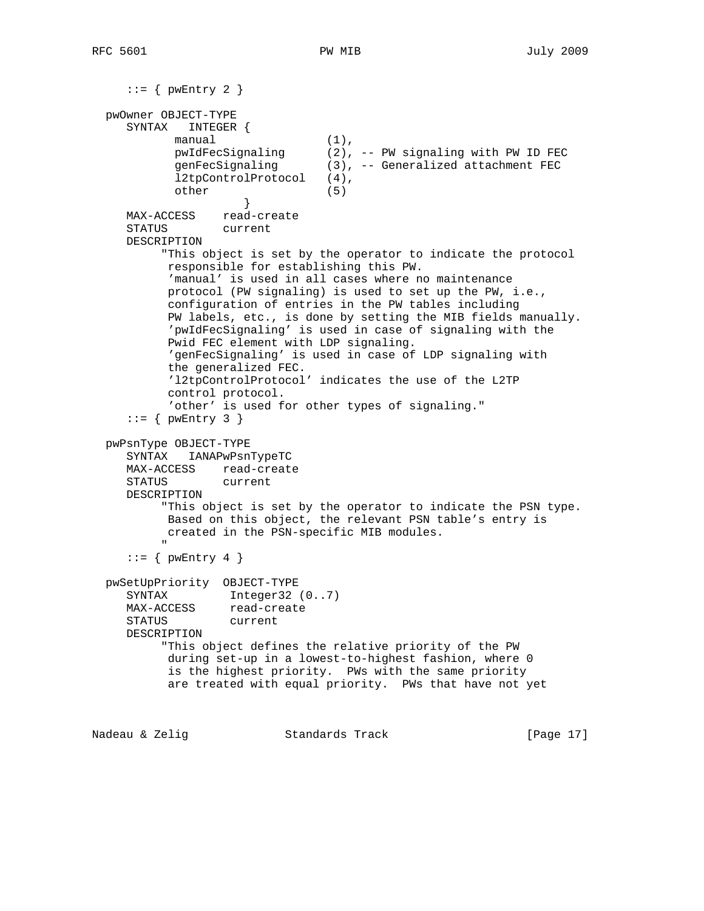```
::= { pwEntry 2 }
  pwOwner OBJECT-TYPE
      SYNTAX INTEGER {
            manual (1),<br>pwIdFecSignaling (2),
                                    (2), -- PW signaling with PW ID FEC
              genFecSignaling (3), -- Generalized attachment FEC
              l2tpControlProtocol (4),
              other (5)
 }
      MAX-ACCESS read-create
      STATUS current
      DESCRIPTION
            "This object is set by the operator to indicate the protocol
             responsible for establishing this PW.
             'manual' is used in all cases where no maintenance
             protocol (PW signaling) is used to set up the PW, i.e.,
             configuration of entries in the PW tables including
             PW labels, etc., is done by setting the MIB fields manually.
             'pwIdFecSignaling' is used in case of signaling with the
             Pwid FEC element with LDP signaling.
             'genFecSignaling' is used in case of LDP signaling with
             the generalized FEC.
             'l2tpControlProtocol' indicates the use of the L2TP
             control protocol.
             'other' is used for other types of signaling."
     ::= { pwEntry 3 }
   pwPsnType OBJECT-TYPE
      SYNTAX IANAPwPsnTypeTC
      MAX-ACCESS read-create
      STATUS current
      DESCRIPTION
            "This object is set by the operator to indicate the PSN type.
            Based on this object, the relevant PSN table's entry is
            created in the PSN-specific MIB modules.
" "The Contract of the Contract of the Contract of the Contract of the Contract of the Contract of the Contract of the Contract of the Contract of the Contract of the Contract of the Contract of the Contract of the Contrac
     ::= { pwEntry 4 }
   pwSetUpPriority OBJECT-TYPE
     SYNTAX Integer32 (0..7)<br>MAX-ACCESS read-create
                    read-create
      STATUS current
      DESCRIPTION
            "This object defines the relative priority of the PW
             during set-up in a lowest-to-highest fashion, where 0
             is the highest priority. PWs with the same priority
             are treated with equal priority. PWs that have not yet
```
Nadeau & Zelig Standards Track [Page 17]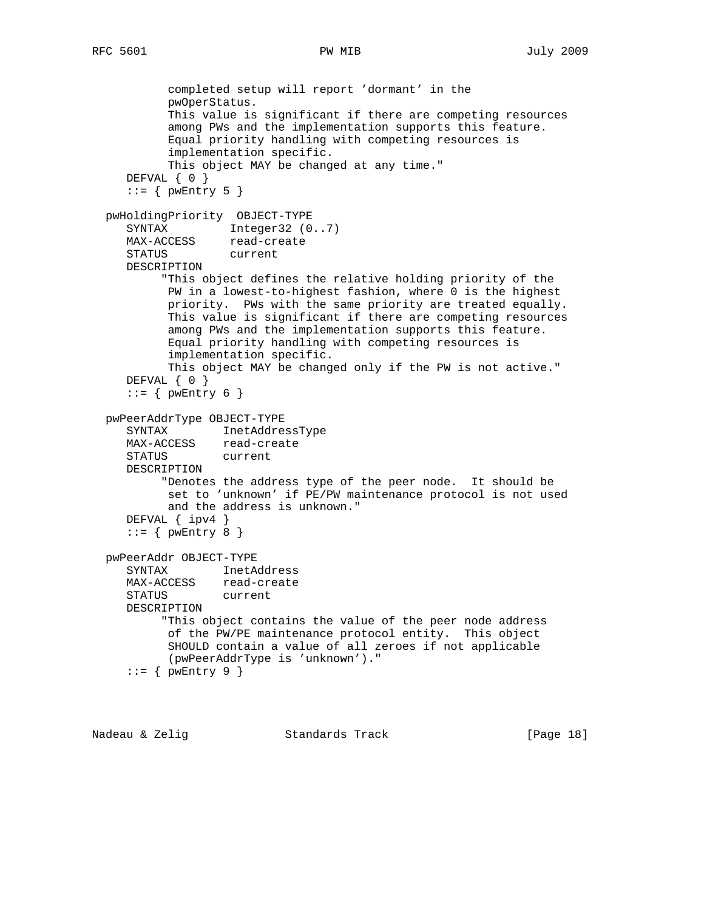```
 completed setup will report 'dormant' in the
          pwOperStatus.
          This value is significant if there are competing resources
          among PWs and the implementation supports this feature.
         Equal priority handling with competing resources is
          implementation specific.
         This object MAY be changed at any time."
  DEFVAL \{ 0 \}::= { pwEntry 5 }
 pwHoldingPriority OBJECT-TYPE
  SYNTAX Integer32 (0..7)
   MAX-ACCESS read-create
    STATUS current
   DESCRIPTION
         "This object defines the relative holding priority of the
         PW in a lowest-to-highest fashion, where 0 is the highest
         priority. PWs with the same priority are treated equally.
         This value is significant if there are competing resources
          among PWs and the implementation supports this feature.
         Equal priority handling with competing resources is
          implementation specific.
         This object MAY be changed only if the PW is not active."
  DEFVAL { 0 }
   ::= { pwEntry 6 }
 pwPeerAddrType OBJECT-TYPE
    SYNTAX InetAddressType
   MAX-ACCESS read-create
   STATUS current
   DESCRIPTION
         "Denotes the address type of the peer node. It should be
         set to 'unknown' if PE/PW maintenance protocol is not used
         and the address is unknown."
   DEFVAL { ipv4 }
   ::= { pwEntry 8 }
 pwPeerAddr OBJECT-TYPE
    SYNTAX InetAddress
   MAX-ACCESS read-create
    STATUS current
   DESCRIPTION
        "This object contains the value of the peer node address
         of the PW/PE maintenance protocol entity. This object
         SHOULD contain a value of all zeroes if not applicable
          (pwPeerAddrType is 'unknown')."
    ::= { pwEntry 9 }
```
Nadeau & Zelig Standards Track [Page 18]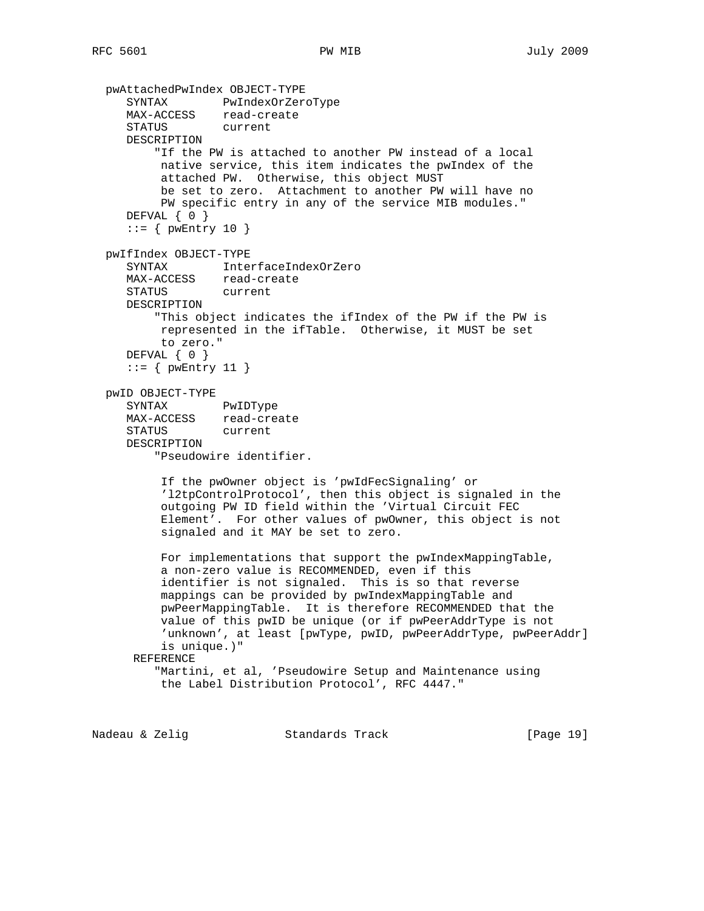```
 pwAttachedPwIndex OBJECT-TYPE
   SYNTAX PwIndexOrZeroType
   MAX-ACCESS read-create
   STATUS current
   DESCRIPTION
        "If the PW is attached to another PW instead of a local
        native service, this item indicates the pwIndex of the
        attached PW. Otherwise, this object MUST
        be set to zero. Attachment to another PW will have no
        PW specific entry in any of the service MIB modules."
  DEFVAL \{ 0 \}::= { pwEntry 10 }
 pwIfIndex OBJECT-TYPE
   SYNTAX InterfaceIndexOrZero
  MAX-ACCESS read-create<br>STATUS current
  STATUS
   DESCRIPTION
        "This object indicates the ifIndex of the PW if the PW is
        represented in the ifTable. Otherwise, it MUST be set
        to zero."
   DEFVAL { 0 }
   ::= { pwEntry 11 }
 pwID OBJECT-TYPE
   SYNTAX PwIDType
  MAX-ACCESS read-create
    STATUS current
   DESCRIPTION
        "Pseudowire identifier.
        If the pwOwner object is 'pwIdFecSignaling' or
        'l2tpControlProtocol', then this object is signaled in the
        outgoing PW ID field within the 'Virtual Circuit FEC
        Element'. For other values of pwOwner, this object is not
        signaled and it MAY be set to zero.
        For implementations that support the pwIndexMappingTable,
        a non-zero value is RECOMMENDED, even if this
        identifier is not signaled. This is so that reverse
        mappings can be provided by pwIndexMappingTable and
        pwPeerMappingTable. It is therefore RECOMMENDED that the
        value of this pwID be unique (or if pwPeerAddrType is not
       'unknown', at least [pwType, pwID, pwPeerAddrType, pwPeerAddr]
        is unique.)"
     REFERENCE
        "Martini, et al, 'Pseudowire Setup and Maintenance using
        the Label Distribution Protocol', RFC 4447."
```
Nadeau & Zelig Standards Track [Page 19]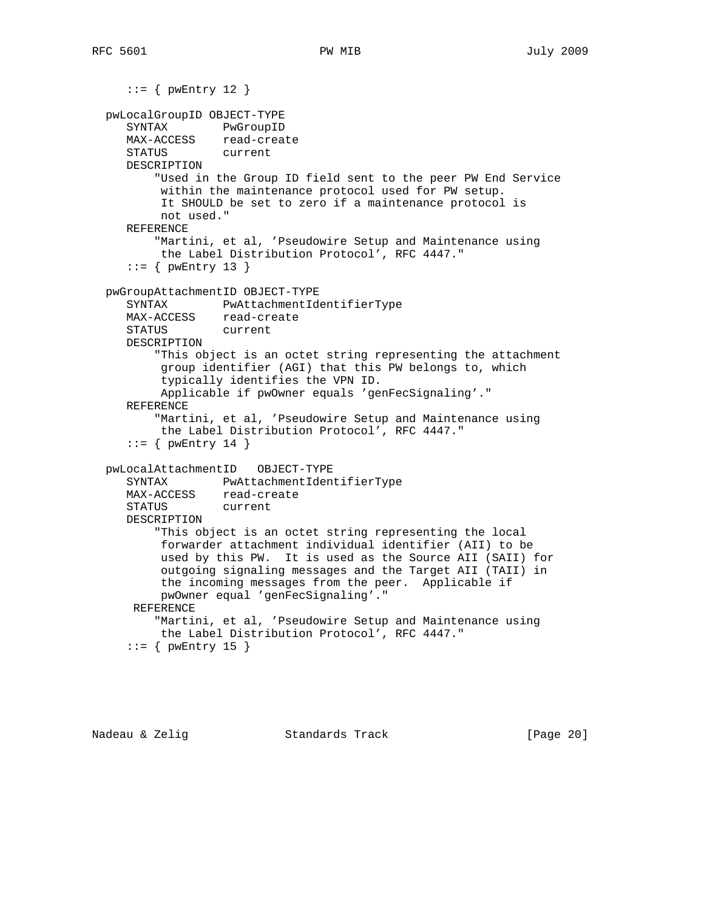```
::= { pwEntry 12 }
 pwLocalGroupID OBJECT-TYPE
   SYNTAX PwGroupID
   MAX-ACCESS read-create
   STATUS current
   DESCRIPTION
        "Used in the Group ID field sent to the peer PW End Service
        within the maintenance protocol used for PW setup.
        It SHOULD be set to zero if a maintenance protocol is
        not used."
   REFERENCE
        "Martini, et al, 'Pseudowire Setup and Maintenance using
        the Label Distribution Protocol', RFC 4447."
   ::= { pwEntry 13 }
 pwGroupAttachmentID OBJECT-TYPE
    SYNTAX PwAttachmentIdentifierType
   MAX-ACCESS read-create
   STATUS current
   DESCRIPTION
        "This object is an octet string representing the attachment
        group identifier (AGI) that this PW belongs to, which
        typically identifies the VPN ID.
        Applicable if pwOwner equals 'genFecSignaling'."
   REFERENCE
        "Martini, et al, 'Pseudowire Setup and Maintenance using
        the Label Distribution Protocol', RFC 4447."
   ::= { pwEntry 14 }
 pwLocalAttachmentID OBJECT-TYPE
   SYNTAX PwAttachmentIdentifierType
   MAX-ACCESS read-create
   STATUS current
   DESCRIPTION
        "This object is an octet string representing the local
        forwarder attachment individual identifier (AII) to be
        used by this PW. It is used as the Source AII (SAII) for
        outgoing signaling messages and the Target AII (TAII) in
        the incoming messages from the peer. Applicable if
        pwOwner equal 'genFecSignaling'."
    REFERENCE
        "Martini, et al, 'Pseudowire Setup and Maintenance using
        the Label Distribution Protocol', RFC 4447."
   ::= { pwEntry 15 }
```
Nadeau & Zelig Standards Track (Page 20)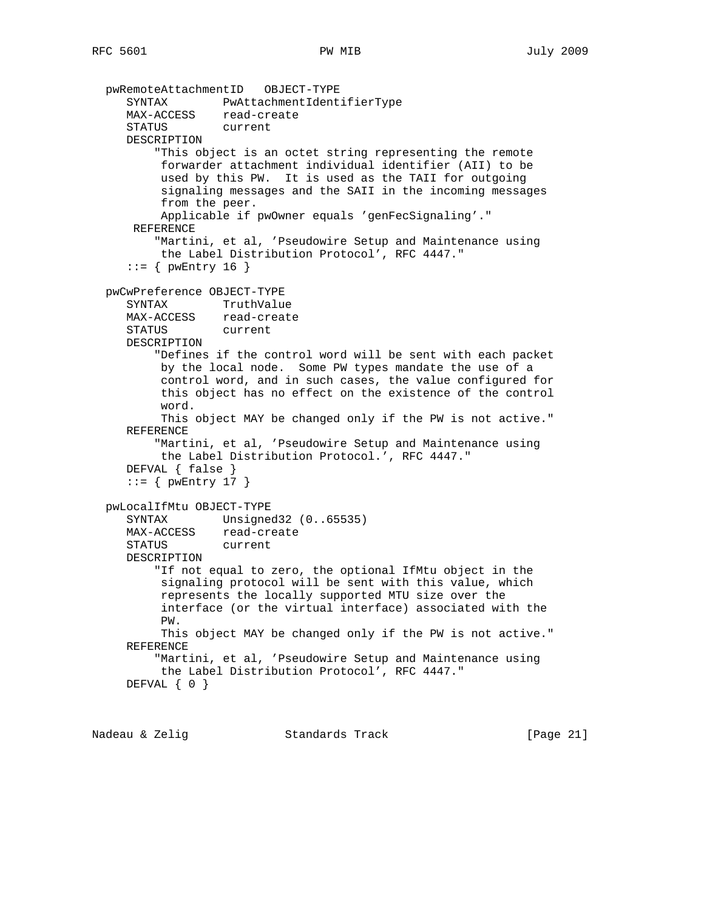```
 pwRemoteAttachmentID OBJECT-TYPE
    SYNTAX PwAttachmentIdentifierType
  MAX-ACCESS read-create
    STATUS current
   DESCRIPTION
        "This object is an octet string representing the remote
        forwarder attachment individual identifier (AII) to be
        used by this PW. It is used as the TAII for outgoing
        signaling messages and the SAII in the incoming messages
        from the peer.
        Applicable if pwOwner equals 'genFecSignaling'."
    REFERENCE
        "Martini, et al, 'Pseudowire Setup and Maintenance using
        the Label Distribution Protocol', RFC 4447."
   ::= { pwEntry 16 }
 pwCwPreference OBJECT-TYPE
   SYNTAX TruthValue
   MAX-ACCESS read-create
   STATUS current
   DESCRIPTION
        "Defines if the control word will be sent with each packet
        by the local node. Some PW types mandate the use of a
        control word, and in such cases, the value configured for
        this object has no effect on the existence of the control
        word.
        This object MAY be changed only if the PW is not active."
   REFERENCE
        "Martini, et al, 'Pseudowire Setup and Maintenance using
        the Label Distribution Protocol.', RFC 4447."
   DEFVAL { false }
   ::= { pwEntry 17 }
 pwLocalIfMtu OBJECT-TYPE
   SYNTAX Unsigned32 (0..65535)
   MAX-ACCESS read-create
   STATUS current
   DESCRIPTION
        "If not equal to zero, the optional IfMtu object in the
        signaling protocol will be sent with this value, which
        represents the locally supported MTU size over the
        interface (or the virtual interface) associated with the
        PW.
        This object MAY be changed only if the PW is not active."
   REFERENCE
        "Martini, et al, 'Pseudowire Setup and Maintenance using
        the Label Distribution Protocol', RFC 4447."
  DEFVAL { 0 }
```
Nadeau & Zelig Standards Track [Page 21]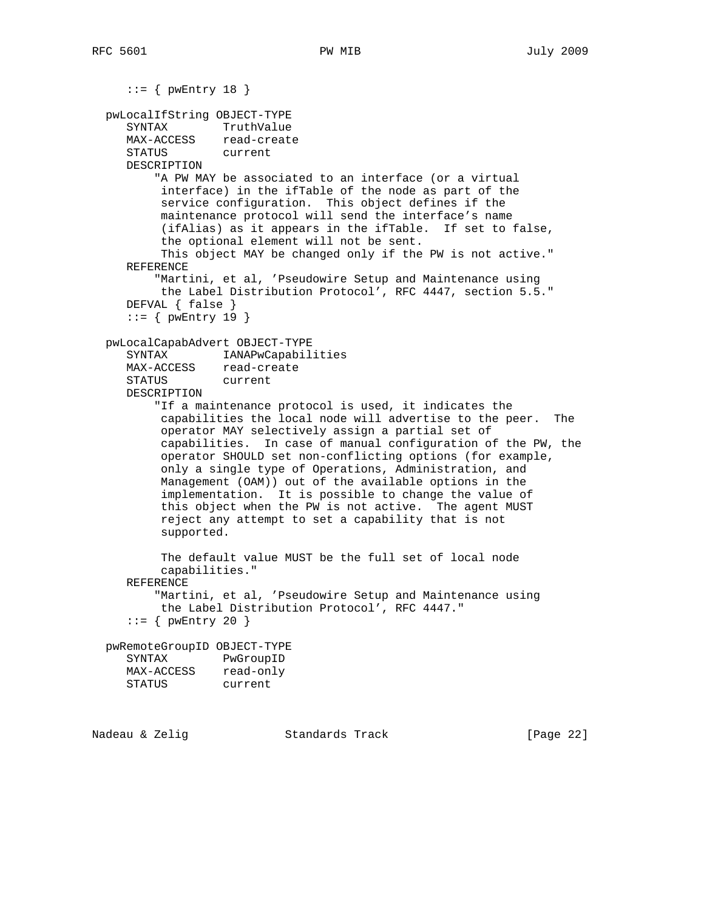```
::= { pwEntry 18 }
 pwLocalIfString OBJECT-TYPE
    SYNTAX TruthValue
   MAX-ACCESS read-create
   STATUS current
   DESCRIPTION
        "A PW MAY be associated to an interface (or a virtual
        interface) in the ifTable of the node as part of the
        service configuration. This object defines if the
        maintenance protocol will send the interface's name
        (ifAlias) as it appears in the ifTable. If set to false,
        the optional element will not be sent.
        This object MAY be changed only if the PW is not active."
   REFERENCE
        "Martini, et al, 'Pseudowire Setup and Maintenance using
        the Label Distribution Protocol', RFC 4447, section 5.5."
   DEFVAL { false }
   ::= { pwEntry 19 }
 pwLocalCapabAdvert OBJECT-TYPE
    SYNTAX IANAPwCapabilities
   MAX-ACCESS read-create
   STATUS current
   DESCRIPTION
        "If a maintenance protocol is used, it indicates the
        capabilities the local node will advertise to the peer. The
        operator MAY selectively assign a partial set of
        capabilities. In case of manual configuration of the PW, the
        operator SHOULD set non-conflicting options (for example,
        only a single type of Operations, Administration, and
        Management (OAM)) out of the available options in the
        implementation. It is possible to change the value of
        this object when the PW is not active. The agent MUST
        reject any attempt to set a capability that is not
        supported.
        The default value MUST be the full set of local node
        capabilities."
   REFERENCE
        "Martini, et al, 'Pseudowire Setup and Maintenance using
        the Label Distribution Protocol', RFC 4447."
   ::= { pwEntry 20 }
 pwRemoteGroupID OBJECT-TYPE
   SYNTAX PwGroupID
  MAX-ACCESS read-only
   STATUS current
```
Nadeau & Zelig Standards Track [Page 22]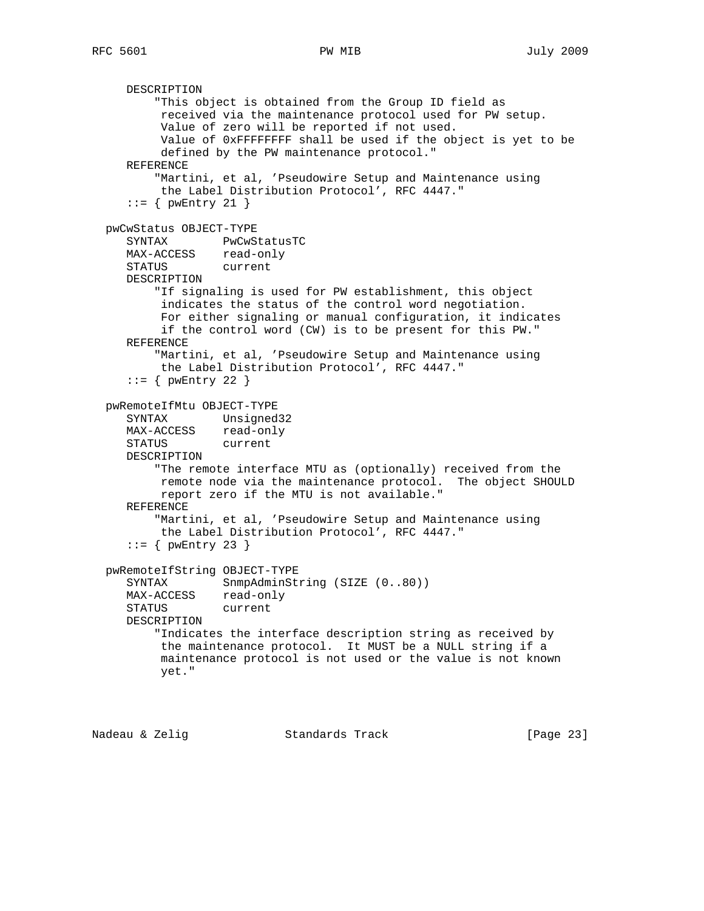DESCRIPTION "This object is obtained from the Group ID field as received via the maintenance protocol used for PW setup. Value of zero will be reported if not used. Value of 0xFFFFFFFF shall be used if the object is yet to be defined by the PW maintenance protocol." REFERENCE "Martini, et al, 'Pseudowire Setup and Maintenance using the Label Distribution Protocol', RFC 4447."  $::=$  { pwEntry 21 } pwCwStatus OBJECT-TYPE SYNTAX PwCwStatusTC MAX-ACCESS read-only STATUS current DESCRIPTION "If signaling is used for PW establishment, this object indicates the status of the control word negotiation. For either signaling or manual configuration, it indicates if the control word (CW) is to be present for this PW." REFERENCE "Martini, et al, 'Pseudowire Setup and Maintenance using the Label Distribution Protocol', RFC 4447."  $::=$  { pwEntry 22 } pwRemoteIfMtu OBJECT-TYPE SYNTAX Unsigned32 MAX-ACCESS read-only STATUS current DESCRIPTION "The remote interface MTU as (optionally) received from the remote node via the maintenance protocol. The object SHOULD report zero if the MTU is not available." REFERENCE "Martini, et al, 'Pseudowire Setup and Maintenance using the Label Distribution Protocol', RFC 4447."  $::=$  { pwEntry 23 } pwRemoteIfString OBJECT-TYPE SYNTAX SnmpAdminString (SIZE (0..80)) MAX-ACCESS read-only STATUS current DESCRIPTION "Indicates the interface description string as received by the maintenance protocol. It MUST be a NULL string if a maintenance protocol is not used or the value is not known yet."

Nadeau & Zelig Standards Track [Page 23]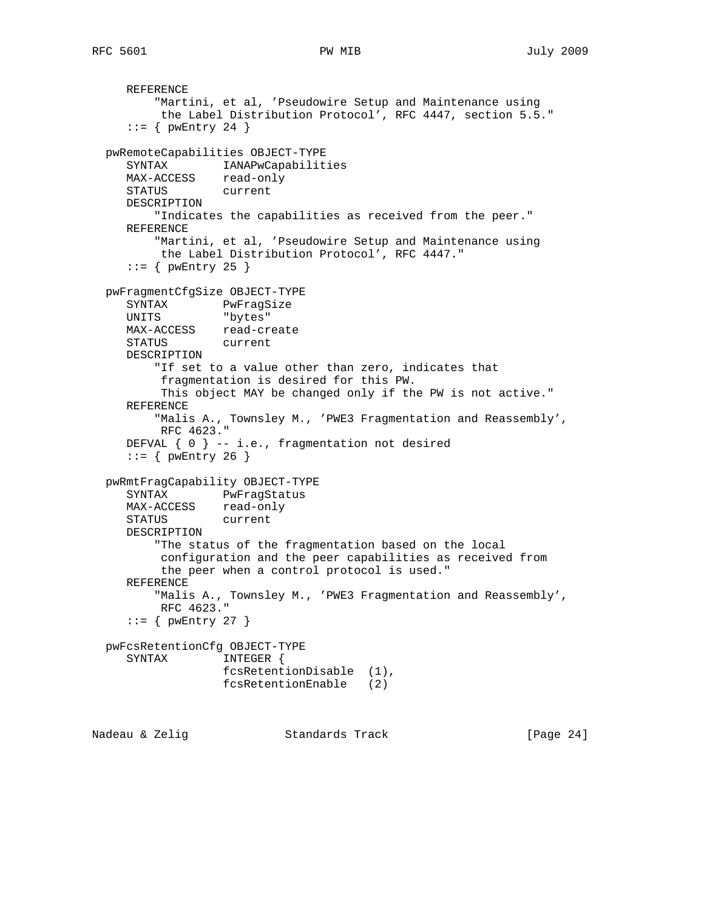```
 REFERENCE
         "Martini, et al, 'Pseudowire Setup and Maintenance using
          the Label Distribution Protocol', RFC 4447, section 5.5."
     ::= { pwEntry 24 }
   pwRemoteCapabilities OBJECT-TYPE
     SYNTAX IANAPwCapabilities
     MAX-ACCESS read-only
     STATUS current
     DESCRIPTION
         "Indicates the capabilities as received from the peer."
     REFERENCE
         "Martini, et al, 'Pseudowire Setup and Maintenance using
          the Label Distribution Protocol', RFC 4447."
     ::= { pwEntry 25 }
   pwFragmentCfgSize OBJECT-TYPE
     SYNTAX PwFragSize
     UNITS "bytes"
     MAX-ACCESS read-create
     STATUS current
     DESCRIPTION
         "If set to a value other than zero, indicates that
          fragmentation is desired for this PW.
          This object MAY be changed only if the PW is not active."
     REFERENCE
         "Malis A., Townsley M., 'PWE3 Fragmentation and Reassembly',
          RFC 4623."
     DEFVAL { 0 } -- i.e., fragmentation not desired
    ::= { pwEntry 26 }
   pwRmtFragCapability OBJECT-TYPE
     SYNTAX PwFragStatus
     MAX-ACCESS read-only
     STATUS current
     DESCRIPTION
         "The status of the fragmentation based on the local
          configuration and the peer capabilities as received from
          the peer when a control protocol is used."
     REFERENCE
         "Malis A., Townsley M., 'PWE3 Fragmentation and Reassembly',
          RFC 4623."
     ::= { pwEntry 27 }
   pwFcsRetentionCfg OBJECT-TYPE
     SYNTAX INTEGER {
                   fcsRetentionDisable (1),
                   fcsRetentionEnable (2)
Nadeau & Zelig Standards Track [Page 24]
```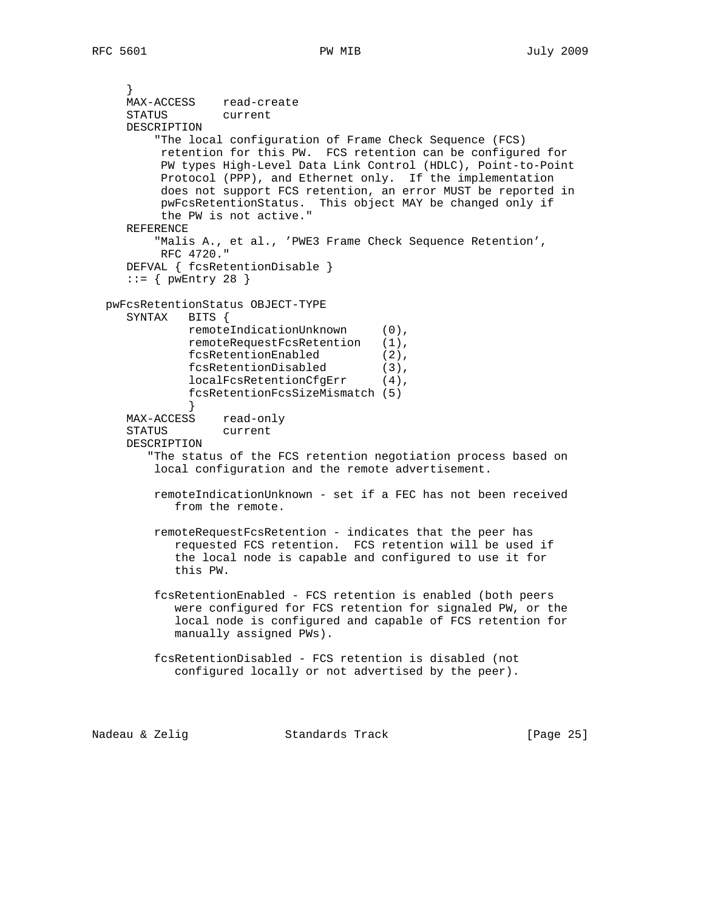```
 }
     MAX-ACCESS read-create
     STATUS current
     DESCRIPTION
         "The local configuration of Frame Check Sequence (FCS)
          retention for this PW. FCS retention can be configured for
          PW types High-Level Data Link Control (HDLC), Point-to-Point
          Protocol (PPP), and Ethernet only. If the implementation
          does not support FCS retention, an error MUST be reported in
          pwFcsRetentionStatus. This object MAY be changed only if
          the PW is not active."
     REFERENCE
         "Malis A., et al., 'PWE3 Frame Check Sequence Retention',
          RFC 4720."
     DEFVAL { fcsRetentionDisable }
    ::= { pwEntry 28 }
  pwFcsRetentionStatus OBJECT-TYPE
     SYNTAX BITS {
             remoteIndicationUnknown (0),
              remoteRequestFcsRetention (1),
              fcsRetentionEnabled (2),
              fcsRetentionDisabled (3),
              localFcsRetentionCfgErr (4),
              fcsRetentionFcsSizeMismatch (5)
 }
     MAX-ACCESS read-only
     STATUS current
     DESCRIPTION
        "The status of the FCS retention negotiation process based on
         local configuration and the remote advertisement.
         remoteIndicationUnknown - set if a FEC has not been received
            from the remote.
         remoteRequestFcsRetention - indicates that the peer has
            requested FCS retention. FCS retention will be used if
            the local node is capable and configured to use it for
            this PW.
         fcsRetentionEnabled - FCS retention is enabled (both peers
            were configured for FCS retention for signaled PW, or the
            local node is configured and capable of FCS retention for
            manually assigned PWs).
         fcsRetentionDisabled - FCS retention is disabled (not
            configured locally or not advertised by the peer).
```
Nadeau & Zelig Standards Track [Page 25]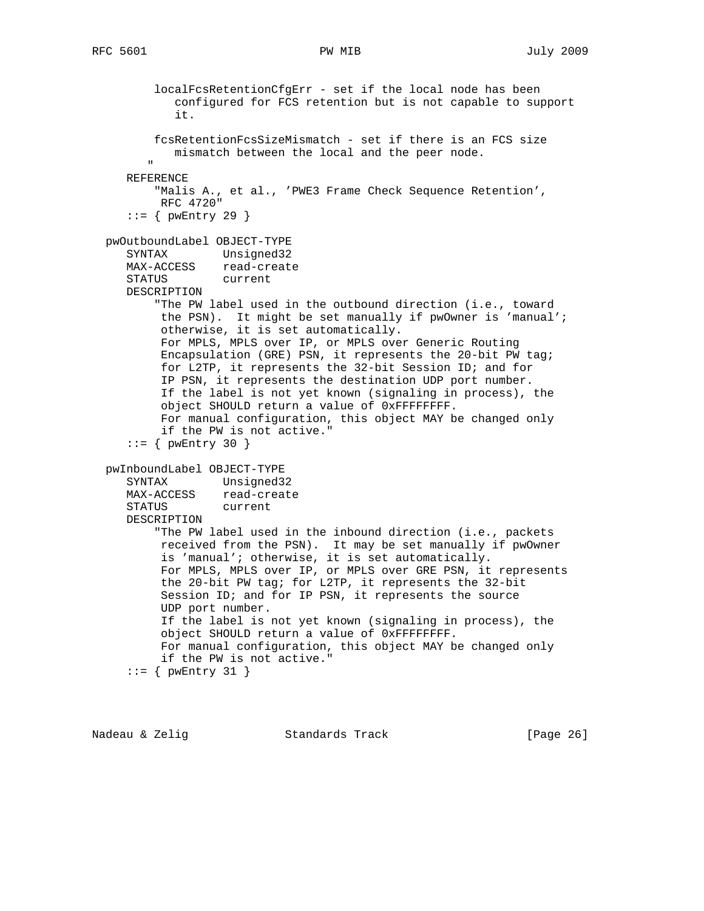```
 localFcsRetentionCfgErr - set if the local node has been
            configured for FCS retention but is not capable to support
            it.
         fcsRetentionFcsSizeMismatch - set if there is an FCS size
            mismatch between the local and the peer node.
 "
     REFERENCE
          "Malis A., et al., 'PWE3 Frame Check Sequence Retention',
          RFC 4720"
    ::= { pwEntry 29 }
  pwOutboundLabel OBJECT-TYPE
     SYNTAX Unsigned32
     MAX-ACCESS read-create
     STATUS current
     DESCRIPTION
          "The PW label used in the outbound direction (i.e., toward
          the PSN). It might be set manually if pwOwner is 'manual';
          otherwise, it is set automatically.
          For MPLS, MPLS over IP, or MPLS over Generic Routing
          Encapsulation (GRE) PSN, it represents the 20-bit PW tag;
          for L2TP, it represents the 32-bit Session ID; and for
          IP PSN, it represents the destination UDP port number.
          If the label is not yet known (signaling in process), the
          object SHOULD return a value of 0xFFFFFFFF.
          For manual configuration, this object MAY be changed only
          if the PW is not active."
    ::= { pwEntry 30 }
  pwInboundLabel OBJECT-TYPE
     SYNTAX Unsigned32
     MAX-ACCESS read-create
     STATUS current
     DESCRIPTION
          "The PW label used in the inbound direction (i.e., packets
          received from the PSN). It may be set manually if pwOwner
          is 'manual'; otherwise, it is set automatically.
          For MPLS, MPLS over IP, or MPLS over GRE PSN, it represents
          the 20-bit PW tag; for L2TP, it represents the 32-bit
          Session ID; and for IP PSN, it represents the source
          UDP port number.
          If the label is not yet known (signaling in process), the
          object SHOULD return a value of 0xFFFFFFFF.
          For manual configuration, this object MAY be changed only
          if the PW is not active."
    ::= { pwEntry 31 }
```
Nadeau & Zelig Standards Track [Page 26]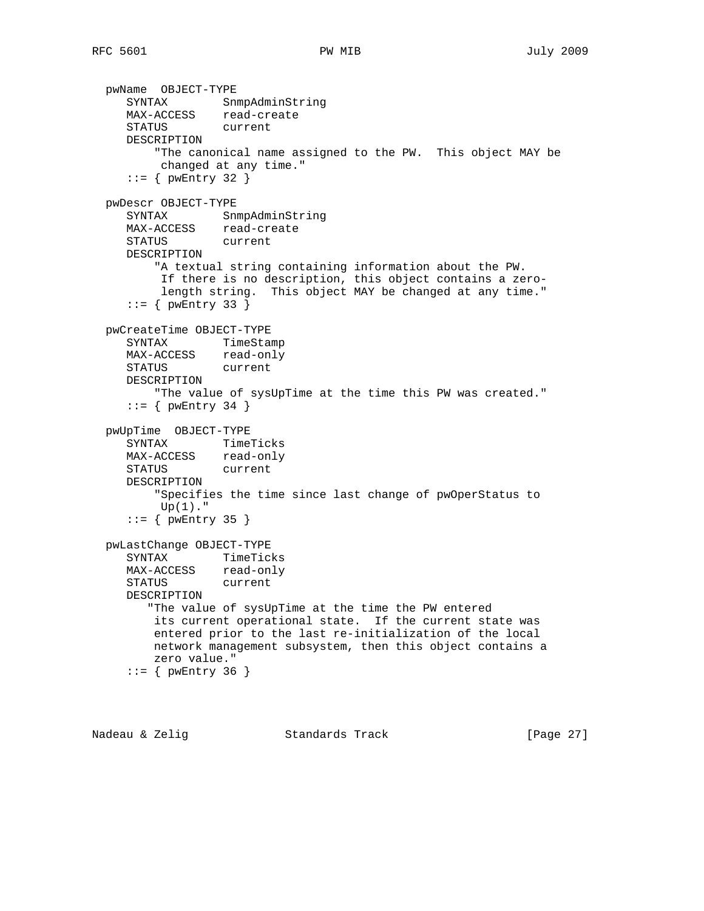```
 pwName OBJECT-TYPE
 SYNTAX SnmpAdminString
 MAX-ACCESS read-create
     STATUS current
     DESCRIPTION
         "The canonical name assigned to the PW. This object MAY be
          changed at any time."
    ::= { pwEntry 32 }
  pwDescr OBJECT-TYPE
     SYNTAX SnmpAdminString
 MAX-ACCESS read-create
 STATUS current
     DESCRIPTION
         "A textual string containing information about the PW.
          If there is no description, this object contains a zero-
          length string. This object MAY be changed at any time."
    ::= { pwEntry 33 }
  pwCreateTime OBJECT-TYPE
     SYNTAX TimeStamp
     MAX-ACCESS read-only
     STATUS current
     DESCRIPTION
         "The value of sysUpTime at the time this PW was created."
    ::= { pwEntry 34 }
  pwUpTime OBJECT-TYPE
     SYNTAX TimeTicks
     MAX-ACCESS read-only
     STATUS current
     DESCRIPTION
         "Specifies the time since last change of pwOperStatus to
        Up(1)."
     ::= { pwEntry 35 }
  pwLastChange OBJECT-TYPE
     SYNTAX TimeTicks
    MAX-ACCESS read-only
     STATUS current
     DESCRIPTION
        "The value of sysUpTime at the time the PW entered
         its current operational state. If the current state was
         entered prior to the last re-initialization of the local
         network management subsystem, then this object contains a
         zero value."
    ::= { pwEntry 36 }
```
Nadeau & Zelig Standards Track (Page 27)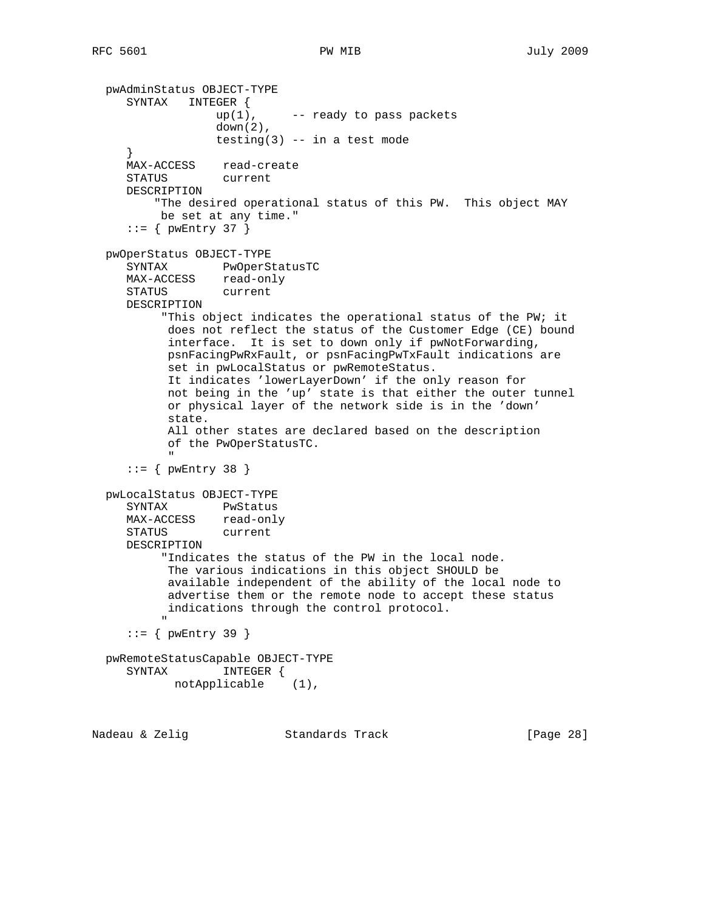```
 pwAdminStatus OBJECT-TYPE
       SYNTAX INTEGER {
                      up(1), - ready to pass packets
                       down(2),
                      testing(3) - in a test mode
       }
       MAX-ACCESS read-create
       STATUS current
       DESCRIPTION
            "The desired operational status of this PW. This object MAY
             be set at any time."
      ::= { pwEntry 37 }
   pwOperStatus OBJECT-TYPE
       SYNTAX PwOperStatusTC
      MAX-ACCESS read-only<br>STATUS current
      STATUS
       DESCRIPTION
             "This object indicates the operational status of the PW; it
              does not reflect the status of the Customer Edge (CE) bound
              interface. It is set to down only if pwNotForwarding,
              psnFacingPwRxFault, or psnFacingPwTxFault indications are
              set in pwLocalStatus or pwRemoteStatus.
              It indicates 'lowerLayerDown' if the only reason for
              not being in the 'up' state is that either the outer tunnel
              or physical layer of the network side is in the 'down'
              state.
              All other states are declared based on the description
               of the PwOperStatusTC.
" "The Contract of the Contract of the Contract of the Contract of the Contract of the Contract of the Contract of the Contract of the Contract of the Contract of the Contract of the Contract of the Contract of the Contrac
       ::= { pwEntry 38 }
   pwLocalStatus OBJECT-TYPE
       SYNTAX PwStatus
 MAX-ACCESS read-only
 STATUS current
       DESCRIPTION
              "Indicates the status of the PW in the local node.
              The various indications in this object SHOULD be
              available independent of the ability of the local node to
              advertise them or the remote node to accept these status
              indications through the control protocol.
" "The Contract of the Contract of the Contract of the Contract of the Contract of the Contract of the Contract of the Contract of the Contract of the Contract of the Contract of the Contract of the Contract of the Contrac
      ::= { pwEntry 39 }
   pwRemoteStatusCapable OBJECT-TYPE
      SYNTAX notApplicable (1),
Nadeau & Zelig Standards Track [Page 28]
```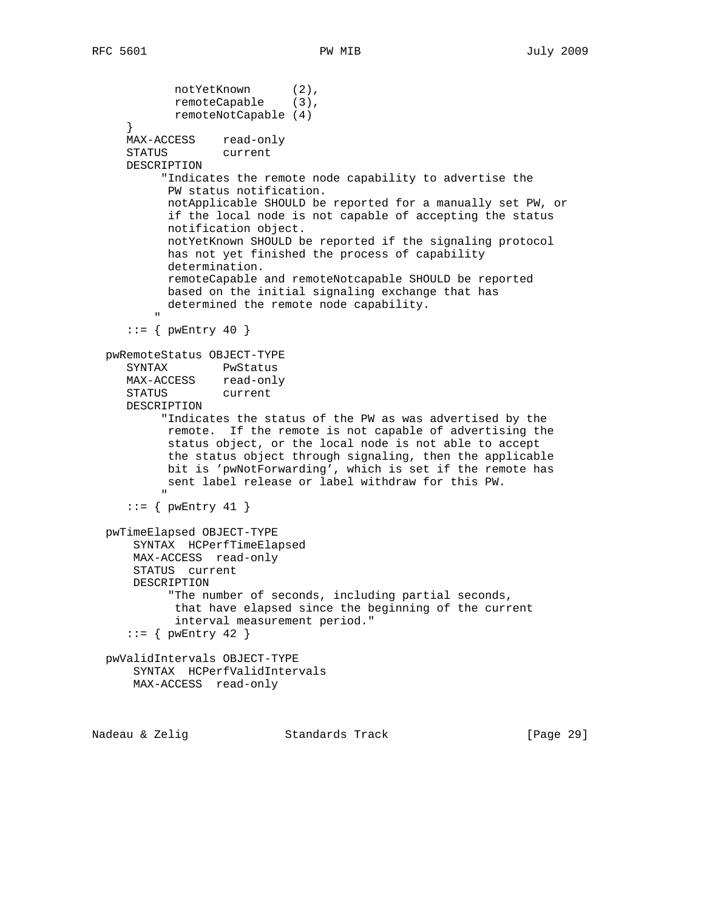```
notYetKnown (2),
remoteCapable (3),
              remoteNotCapable (4)
      }
      MAX-ACCESS read-only
      STATUS current
      DESCRIPTION
            "Indicates the remote node capability to advertise the
             PW status notification.
             notApplicable SHOULD be reported for a manually set PW, or
             if the local node is not capable of accepting the status
             notification object.
             notYetKnown SHOULD be reported if the signaling protocol
             has not yet finished the process of capability
             determination.
             remoteCapable and remoteNotcapable SHOULD be reported
             based on the initial signaling exchange that has
             determined the remote node capability.
 "
     ::= { pwEntry 40 }
   pwRemoteStatus OBJECT-TYPE
      SYNTAX PwStatus
     MAX-ACCESS read-only<br>STATUS current
     STATUS
      DESCRIPTION
            "Indicates the status of the PW as was advertised by the
             remote. If the remote is not capable of advertising the
             status object, or the local node is not able to accept
             the status object through signaling, then the applicable
             bit is 'pwNotForwarding', which is set if the remote has
            sent label release or label withdraw for this PW.
" "The Contract of the Contract of the Contract of the Contract of the Contract of the Contract of the Contract of the Contract of the Contract of the Contract of the Contract of the Contract of the Contract of the Contrac
     ::= { pwEntry 41 }
   pwTimeElapsed OBJECT-TYPE
       SYNTAX HCPerfTimeElapsed
       MAX-ACCESS read-only
       STATUS current
       DESCRIPTION
             "The number of seconds, including partial seconds,
              that have elapsed since the beginning of the current
              interval measurement period."
     ::= { pwEntry 42 }
   pwValidIntervals OBJECT-TYPE
       SYNTAX HCPerfValidIntervals
       MAX-ACCESS read-only
Nadeau & Zelig Standards Track [Page 29]
```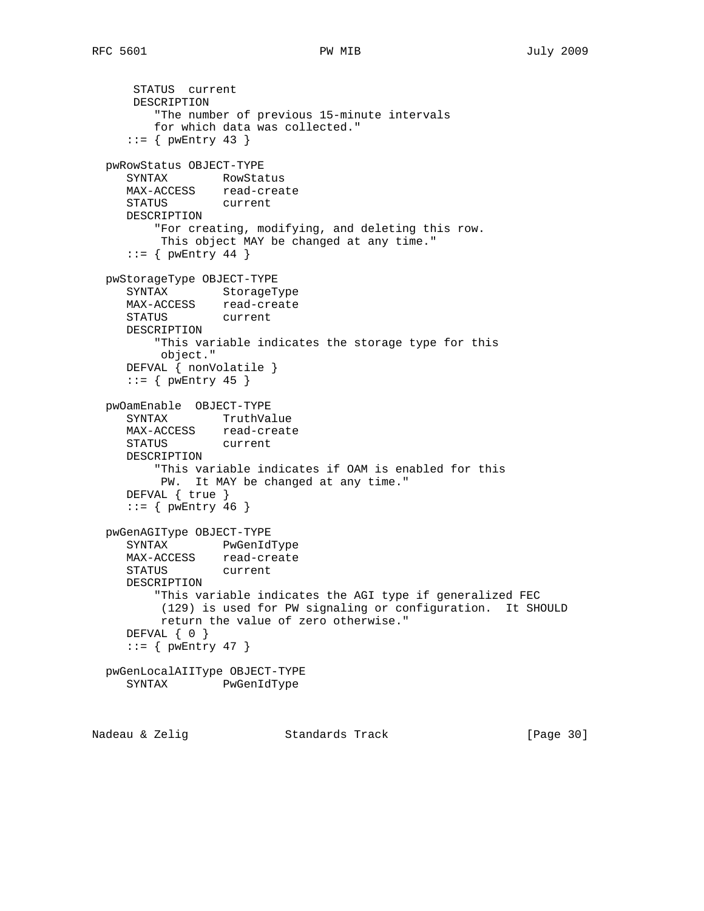```
 STATUS current
      DESCRIPTION
         "The number of previous 15-minute intervals
         for which data was collected."
    ::= { pwEntry 43 }
  pwRowStatus OBJECT-TYPE
     SYNTAX RowStatus
    MAX-ACCESS read-create
     STATUS current
     DESCRIPTION
         "For creating, modifying, and deleting this row.
         This object MAY be changed at any time."
    ::= { pwEntry 44 }
  pwStorageType OBJECT-TYPE
     SYNTAX StorageType
     MAX-ACCESS read-create
     STATUS current
     DESCRIPTION
         "This variable indicates the storage type for this
         object."
     DEFVAL { nonVolatile }
    ::= { pwEntry 45 }
  pwOamEnable OBJECT-TYPE
 SYNTAX TruthValue
 MAX-ACCESS read-create
     STATUS current
     DESCRIPTION
         "This variable indicates if OAM is enabled for this
         PW. It MAY be changed at any time."
     DEFVAL { true }
    ::= { pwEntry 46 }
  pwGenAGIType OBJECT-TYPE
     SYNTAX PwGenIdType
    MAX-ACCESS read-create
     STATUS current
     DESCRIPTION
         "This variable indicates the AGI type if generalized FEC
          (129) is used for PW signaling or configuration. It SHOULD
          return the value of zero otherwise."
    DEFVAL \{ 0 \}::= { pwEntry 47 }
  pwGenLocalAIIType OBJECT-TYPE
     SYNTAX PwGenIdType
```
Nadeau & Zelig Standards Track [Page 30]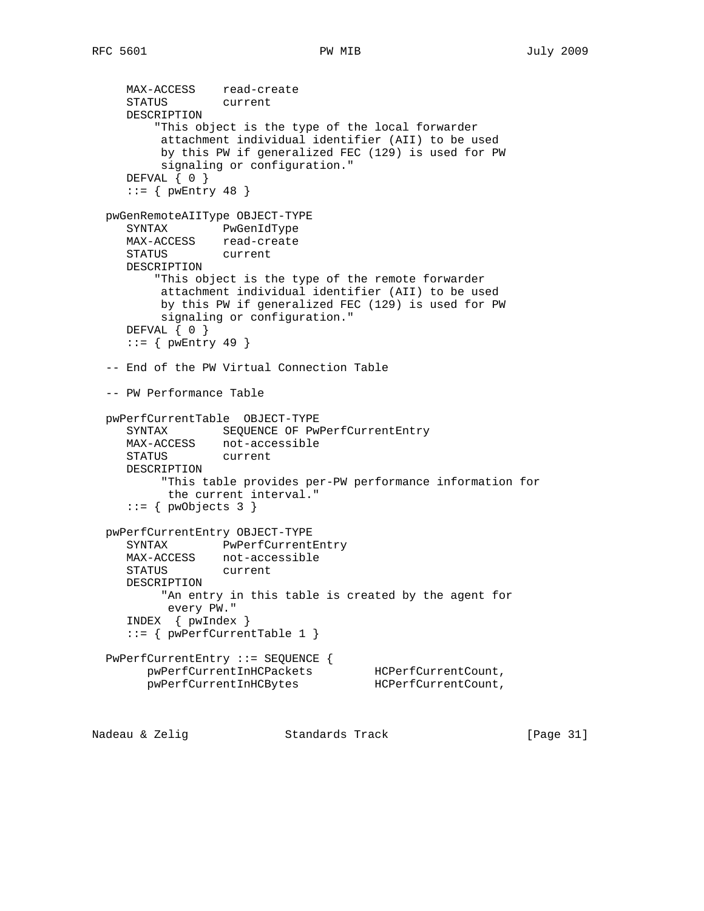```
 MAX-ACCESS read-create
     STATUS current
     DESCRIPTION
         "This object is the type of the local forwarder
          attachment individual identifier (AII) to be used
          by this PW if generalized FEC (129) is used for PW
          signaling or configuration."
    DEFVAL \{ 0 \}::= { pwEntry 48 }
  pwGenRemoteAIIType OBJECT-TYPE
     SYNTAX PwGenIdType
     MAX-ACCESS read-create
     STATUS current
     DESCRIPTION
         "This object is the type of the remote forwarder
          attachment individual identifier (AII) to be used
          by this PW if generalized FEC (129) is used for PW
          signaling or configuration."
    DEFVAL \{ 0 \}::= { pwEntry 49 }
  -- End of the PW Virtual Connection Table
  -- PW Performance Table
  pwPerfCurrentTable OBJECT-TYPE
    SYNTAX SEQUENCE OF PwPerfCurrentEntry
     MAX-ACCESS not-accessible
     STATUS current
     DESCRIPTION
          "This table provides per-PW performance information for
          the current interval."
    ::= { pwObjects 3 }
  pwPerfCurrentEntry OBJECT-TYPE
     SYNTAX PwPerfCurrentEntry
     MAX-ACCESS not-accessible
     STATUS current
     DESCRIPTION
          "An entry in this table is created by the agent for
          every PW."
     INDEX { pwIndex }
     ::= { pwPerfCurrentTable 1 }
  PwPerfCurrentEntry ::= SEQUENCE {
 pwPerfCurrentInHCPackets HCPerfCurrentCount,
 pwPerfCurrentInHCBytes HCPerfCurrentCount,
```
Nadeau & Zelig Standards Track [Page 31]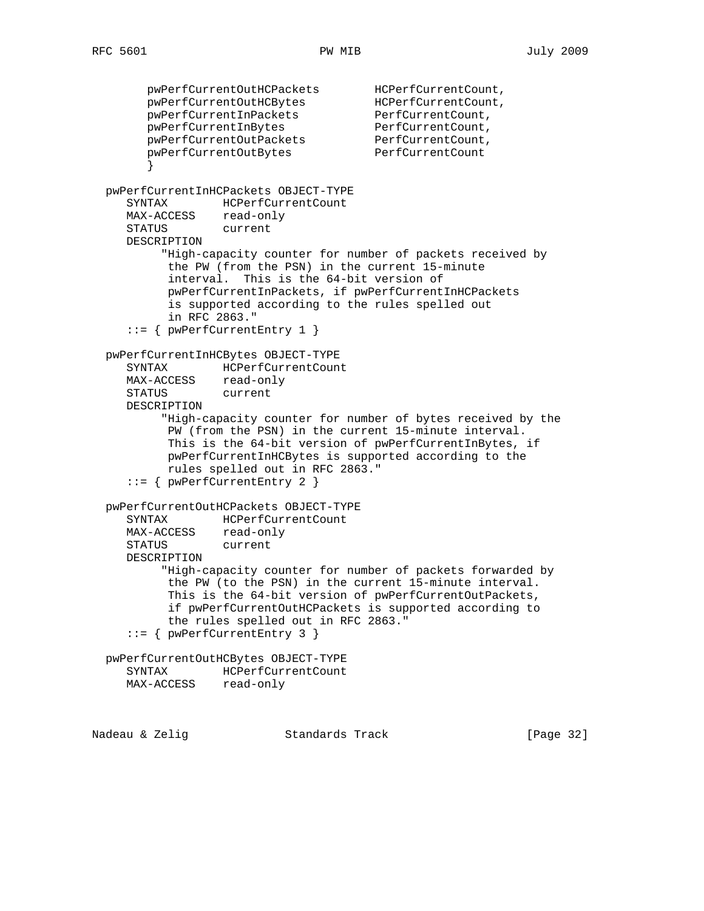pwPerfCurrentOutHCPackets HCPerfCurrentCount, pwPerfCurrentOutHCBytes HCPerfCurrentCount, pwPerfCurrentInPackets PerfCurrentCount, pwPerfCurrentInBytes PerfCurrentCount, pwPerfCurrentOutPackets PerfCurrentCount, pwPerfCurrentOutBytes PerfCurrentCount } pwPerfCurrentInHCPackets OBJECT-TYPE SYNTAX HCPerfCurrentCount MAX-ACCESS read-only STATUS current DESCRIPTION "High-capacity counter for number of packets received by the PW (from the PSN) in the current 15-minute interval. This is the 64-bit version of pwPerfCurrentInPackets, if pwPerfCurrentInHCPackets is supported according to the rules spelled out in RFC 2863." ::= { pwPerfCurrentEntry 1 } pwPerfCurrentInHCBytes OBJECT-TYPE SYNTAX HCPerfCurrentCount MAX-ACCESS read-only STATUS current DESCRIPTION "High-capacity counter for number of bytes received by the PW (from the PSN) in the current 15-minute interval. This is the 64-bit version of pwPerfCurrentInBytes, if pwPerfCurrentInHCBytes is supported according to the rules spelled out in RFC 2863." ::= { pwPerfCurrentEntry 2 } pwPerfCurrentOutHCPackets OBJECT-TYPE SYNTAX HCPerfCurrentCount MAX-ACCESS read-only STATUS current DESCRIPTION "High-capacity counter for number of packets forwarded by the PW (to the PSN) in the current 15-minute interval. This is the 64-bit version of pwPerfCurrentOutPackets, if pwPerfCurrentOutHCPackets is supported according to the rules spelled out in RFC 2863." ::= { pwPerfCurrentEntry 3 } pwPerfCurrentOutHCBytes OBJECT-TYPE SYNTAX HCPerfCurrentCount MAX-ACCESS read-only Nadeau & Zelig Standards Track (Page 32)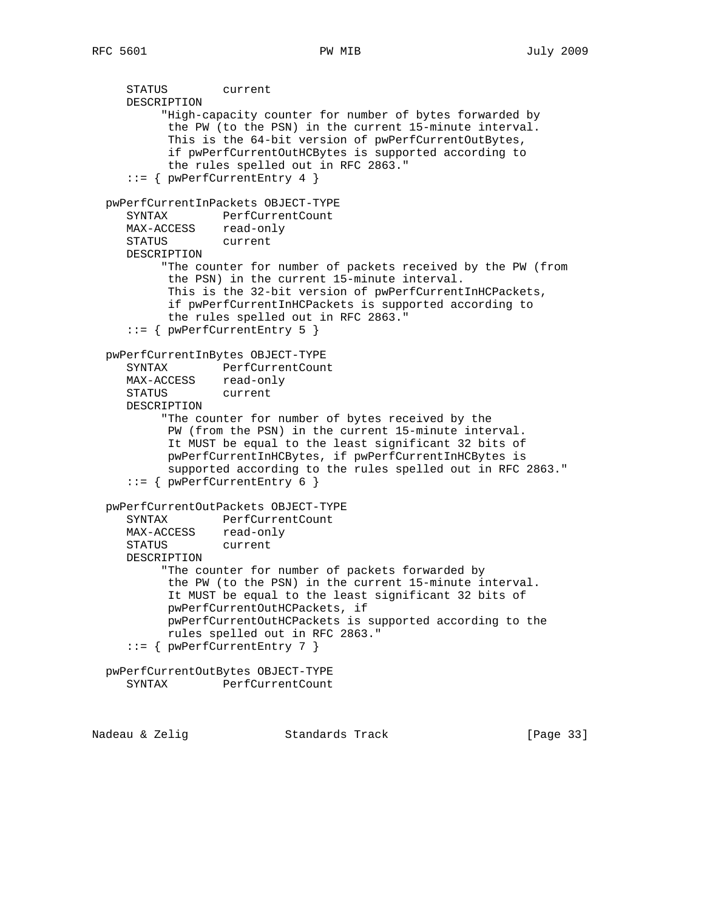STATUS current DESCRIPTION "High-capacity counter for number of bytes forwarded by the PW (to the PSN) in the current 15-minute interval. This is the 64-bit version of pwPerfCurrentOutBytes, if pwPerfCurrentOutHCBytes is supported according to the rules spelled out in RFC 2863." ::= { pwPerfCurrentEntry 4 } pwPerfCurrentInPackets OBJECT-TYPE SYNTAX PerfCurrentCount MAX-ACCESS read-only STATUS current DESCRIPTION "The counter for number of packets received by the PW (from the PSN) in the current 15-minute interval. This is the 32-bit version of pwPerfCurrentInHCPackets, if pwPerfCurrentInHCPackets is supported according to the rules spelled out in RFC 2863." ::= { pwPerfCurrentEntry 5 } pwPerfCurrentInBytes OBJECT-TYPE SYNTAX PerfCurrentCount MAX-ACCESS read-only STATUS current DESCRIPTION "The counter for number of bytes received by the PW (from the PSN) in the current 15-minute interval. It MUST be equal to the least significant 32 bits of pwPerfCurrentInHCBytes, if pwPerfCurrentInHCBytes is supported according to the rules spelled out in RFC 2863." ::= { pwPerfCurrentEntry 6 } pwPerfCurrentOutPackets OBJECT-TYPE SYNTAX PerfCurrentCount MAX-ACCESS read-only STATUS current DESCRIPTION "The counter for number of packets forwarded by the PW (to the PSN) in the current 15-minute interval. It MUST be equal to the least significant 32 bits of pwPerfCurrentOutHCPackets, if pwPerfCurrentOutHCPackets is supported according to the rules spelled out in RFC 2863." ::= { pwPerfCurrentEntry 7 } pwPerfCurrentOutBytes OBJECT-TYPE SYNTAX PerfCurrentCount

Nadeau & Zelig Standards Track [Page 33]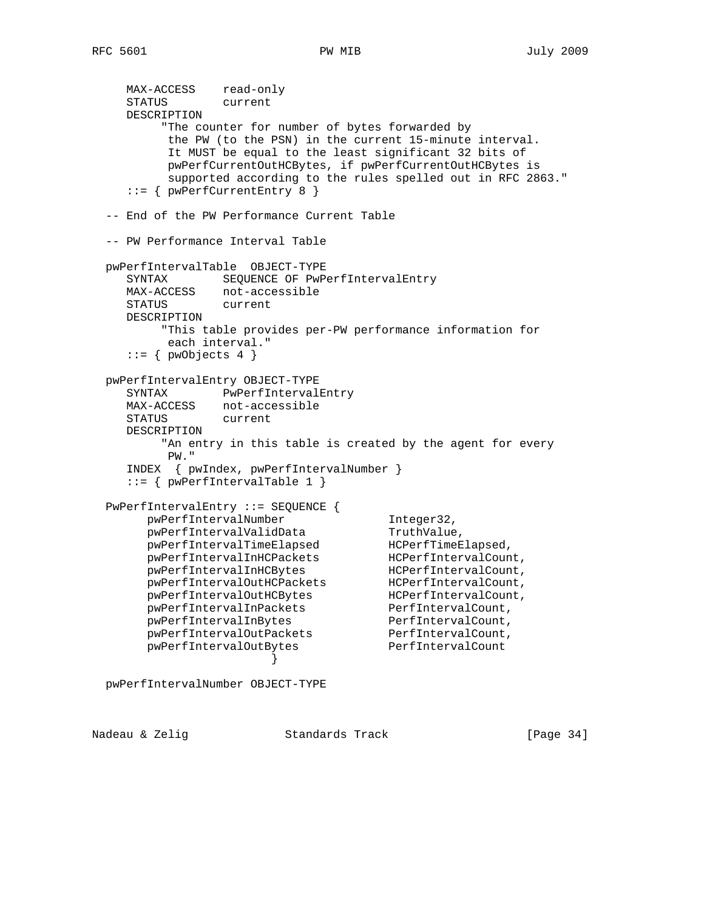```
MAX-ACCESS read-only
     STATUS current
     DESCRIPTION
          "The counter for number of bytes forwarded by
          the PW (to the PSN) in the current 15-minute interval.
          It MUST be equal to the least significant 32 bits of
          pwPerfCurrentOutHCBytes, if pwPerfCurrentOutHCBytes is
          supported according to the rules spelled out in RFC 2863."
     ::= { pwPerfCurrentEntry 8 }
  -- End of the PW Performance Current Table
  -- PW Performance Interval Table
  pwPerfIntervalTable OBJECT-TYPE
     SYNTAX SEQUENCE OF PwPerfIntervalEntry
     MAX-ACCESS not-accessible
     STATUS current
     DESCRIPTION
         "This table provides per-PW performance information for
          each interval."
    ::= { pwObjects 4 }
  pwPerfIntervalEntry OBJECT-TYPE
     SYNTAX PwPerfIntervalEntry
     MAX-ACCESS not-accessible
     STATUS current
     DESCRIPTION
          "An entry in this table is created by the agent for every
          PW."
     INDEX { pwIndex, pwPerfIntervalNumber }
    ::= { pwPerfIntervalTable 1 }
 PwPerfIntervalEntry ::= SEQUENCE {<br>pwPerfIntervalNumber<br>pwPerfIntervalValidData
pwPerfIntervalNumber 1nteger32,
pwPerfIntervalValidData TruthValue,
 pwPerfIntervalTimeElapsed HCPerfTimeElapsed,
 pwPerfIntervalInHCPackets HCPerfIntervalCount,
 pwPerfIntervalInHCBytes HCPerfIntervalCount,
 pwPerfIntervalOutHCPackets HCPerfIntervalCount,
 pwPerfIntervalOutHCBytes HCPerfIntervalCount,
 pwPerfIntervalInPackets PerfIntervalCount,
pwPerfIntervalInBytes PerfIntervalCount,
 pwPerfIntervalOutPackets PerfIntervalCount,
 pwPerfIntervalOutBytes PerfIntervalCount
 }
```
pwPerfIntervalNumber OBJECT-TYPE

Nadeau & Zelig Standards Track [Page 34]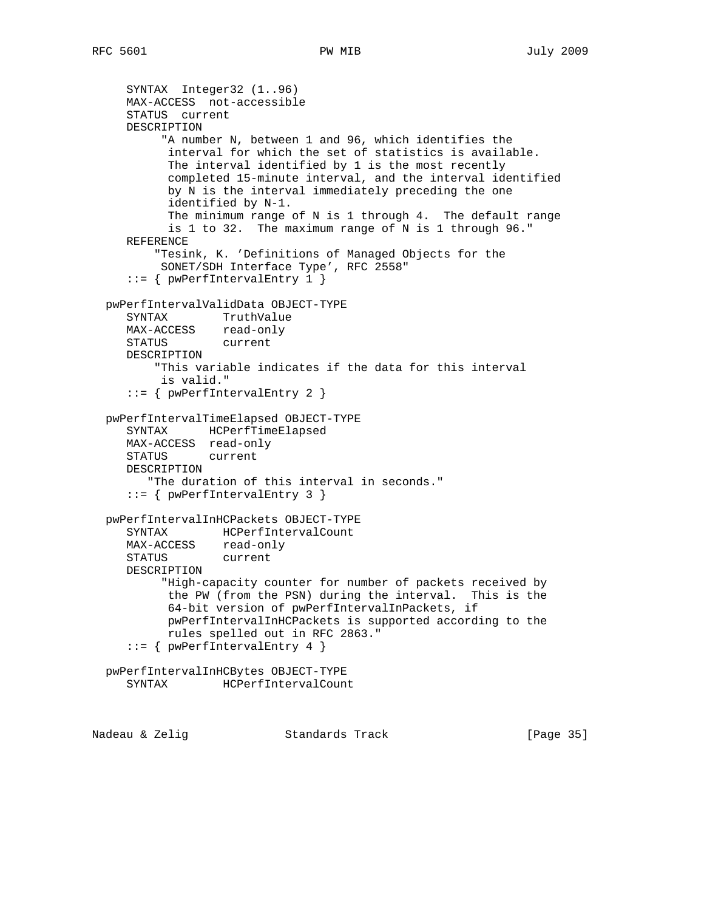```
 SYNTAX Integer32 (1..96)
     MAX-ACCESS not-accessible
     STATUS current
     DESCRIPTION
           "A number N, between 1 and 96, which identifies the
           interval for which the set of statistics is available.
           The interval identified by 1 is the most recently
           completed 15-minute interval, and the interval identified
           by N is the interval immediately preceding the one
           identified by N-1.
           The minimum range of N is 1 through 4. The default range
           is 1 to 32. The maximum range of N is 1 through 96."
     REFERENCE
         "Tesink, K. 'Definitions of Managed Objects for the
          SONET/SDH Interface Type', RFC 2558"
     ::= { pwPerfIntervalEntry 1 }
  pwPerfIntervalValidData OBJECT-TYPE
     SYNTAX TruthValue
     MAX-ACCESS read-only
     STATUS current
     DESCRIPTION
         "This variable indicates if the data for this interval
          is valid."
     ::= { pwPerfIntervalEntry 2 }
  pwPerfIntervalTimeElapsed OBJECT-TYPE
     SYNTAX HCPerfTimeElapsed
     MAX-ACCESS read-only
     STATUS current
     DESCRIPTION
        "The duration of this interval in seconds."
     ::= { pwPerfIntervalEntry 3 }
  pwPerfIntervalInHCPackets OBJECT-TYPE
     SYNTAX HCPerfIntervalCount
 MAX-ACCESS read-only
 STATUS current
     DESCRIPTION
          "High-capacity counter for number of packets received by
           the PW (from the PSN) during the interval. This is the
           64-bit version of pwPerfIntervalInPackets, if
           pwPerfIntervalInHCPackets is supported according to the
           rules spelled out in RFC 2863."
     ::= { pwPerfIntervalEntry 4 }
  pwPerfIntervalInHCBytes OBJECT-TYPE
     SYNTAX HCPerfIntervalCount
```
Nadeau & Zelig Standards Track [Page 35]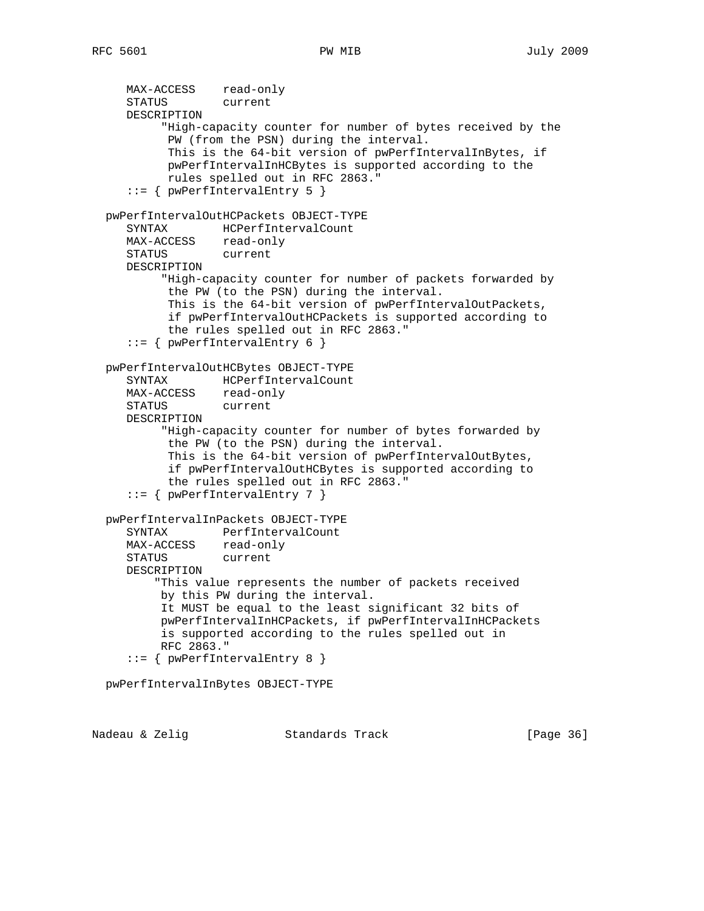MAX-ACCESS read-only STATUS current DESCRIPTION "High-capacity counter for number of bytes received by the PW (from the PSN) during the interval. This is the 64-bit version of pwPerfIntervalInBytes, if pwPerfIntervalInHCBytes is supported according to the rules spelled out in RFC 2863." ::= { pwPerfIntervalEntry 5 } pwPerfIntervalOutHCPackets OBJECT-TYPE SYNTAX HCPerfIntervalCount MAX-ACCESS read-only STATUS current DESCRIPTION "High-capacity counter for number of packets forwarded by the PW (to the PSN) during the interval. This is the 64-bit version of pwPerfIntervalOutPackets, if pwPerfIntervalOutHCPackets is supported according to the rules spelled out in RFC 2863." ::= { pwPerfIntervalEntry 6 } pwPerfIntervalOutHCBytes OBJECT-TYPE SYNTAX HCPerfIntervalCount MAX-ACCESS read-only STATUS current DESCRIPTION "High-capacity counter for number of bytes forwarded by the PW (to the PSN) during the interval. This is the 64-bit version of pwPerfIntervalOutBytes, if pwPerfIntervalOutHCBytes is supported according to the rules spelled out in RFC 2863." ::= { pwPerfIntervalEntry 7 } pwPerfIntervalInPackets OBJECT-TYPE SYNTAX PerfIntervalCount MAX-ACCESS read-only STATUS current DESCRIPTION "This value represents the number of packets received by this PW during the interval. It MUST be equal to the least significant 32 bits of pwPerfIntervalInHCPackets, if pwPerfIntervalInHCPackets is supported according to the rules spelled out in RFC 2863." ::= { pwPerfIntervalEntry 8 } pwPerfIntervalInBytes OBJECT-TYPE

Nadeau & Zelig Standards Track [Page 36]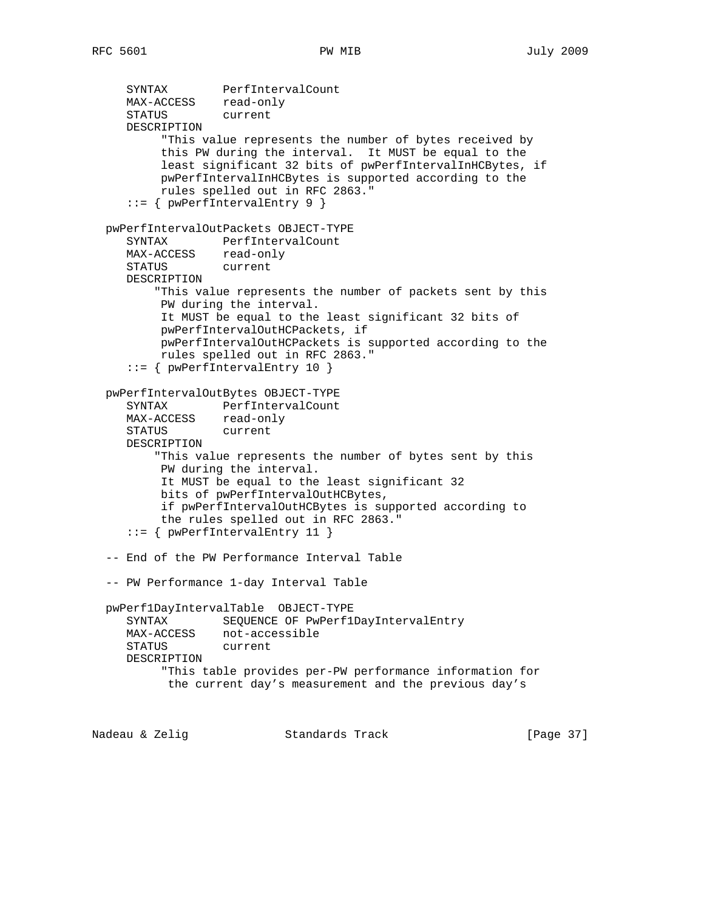SYNTAX PerfIntervalCount MAX-ACCESS read-only STATUS current DESCRIPTION "This value represents the number of bytes received by this PW during the interval. It MUST be equal to the least significant 32 bits of pwPerfIntervalInHCBytes, if pwPerfIntervalInHCBytes is supported according to the rules spelled out in RFC 2863." ::= { pwPerfIntervalEntry 9 } pwPerfIntervalOutPackets OBJECT-TYPE SYNTAX PerfIntervalCount MAX-ACCESS read-only STATUS current DESCRIPTION "This value represents the number of packets sent by this PW during the interval. It MUST be equal to the least significant 32 bits of pwPerfIntervalOutHCPackets, if pwPerfIntervalOutHCPackets is supported according to the rules spelled out in RFC 2863." ::= { pwPerfIntervalEntry 10 } pwPerfIntervalOutBytes OBJECT-TYPE SYNTAX PerfIntervalCount MAX-ACCESS read-only STATUS current DESCRIPTION "This value represents the number of bytes sent by this PW during the interval. It MUST be equal to the least significant 32 bits of pwPerfIntervalOutHCBytes, if pwPerfIntervalOutHCBytes is supported according to the rules spelled out in RFC 2863." ::= { pwPerfIntervalEntry 11 } -- End of the PW Performance Interval Table -- PW Performance 1-day Interval Table pwPerf1DayIntervalTable OBJECT-TYPE SYNTAX SEQUENCE OF PwPerf1DayIntervalEntry MAX-ACCESS not-accessible STATUS current DESCRIPTION "This table provides per-PW performance information for the current day's measurement and the previous day's

Nadeau & Zelig Standards Track [Page 37]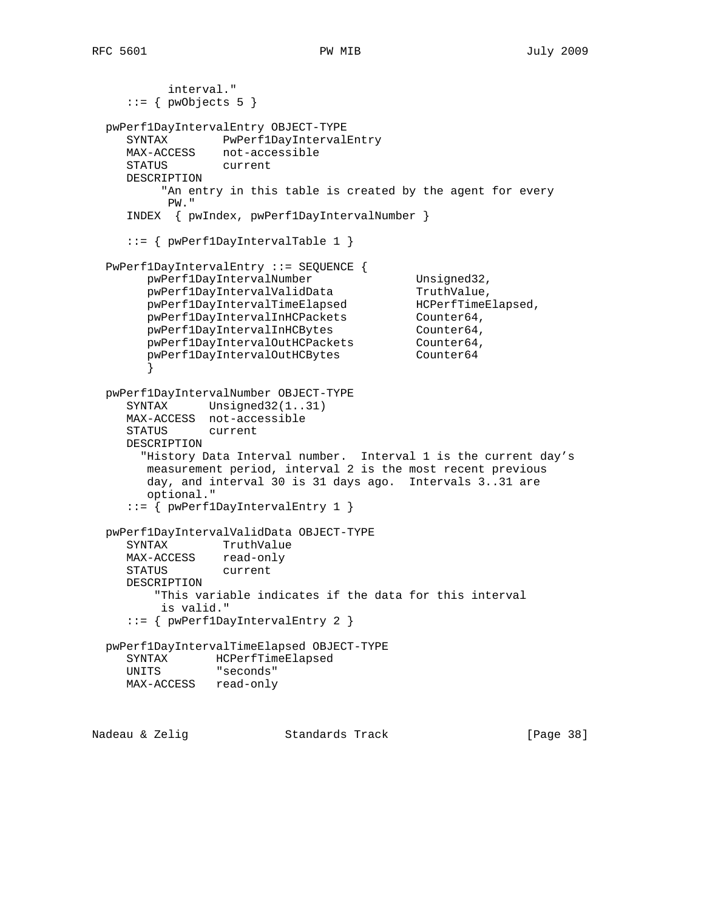```
 interval."
    ::= { pwObjects 5 }
  pwPerf1DayIntervalEntry OBJECT-TYPE
     SYNTAX PwPerf1DayIntervalEntry
     MAX-ACCESS not-accessible
     STATUS current
     DESCRIPTION
         "An entry in this table is created by the agent for every
          PW."
     INDEX { pwIndex, pwPerf1DayIntervalNumber }
     ::= { pwPerf1DayIntervalTable 1 }
  PwPerf1DayIntervalEntry ::= SEQUENCE {
       pwPerf1DayIntervalNumber Unsigned32,<br>pwPerf1DayIntervalValidData TruthValue,
pwPerf1DayIntervalValidData TruthValue,
 pwPerf1DayIntervalTimeElapsed HCPerfTimeElapsed,
pwPerf1DayIntervalInHCPackets Counter64,
pwPerf1DayIntervalInHCBytes Counter64,
pwPerf1DayIntervalOutHCPackets Counter64,
pwPerf1DayIntervalOutHCBytes Counter64
 }
  pwPerf1DayIntervalNumber OBJECT-TYPE
    SYNTAX Unsigned32(1..31)
     MAX-ACCESS not-accessible
     STATUS current
     DESCRIPTION
       "History Data Interval number. Interval 1 is the current day's
        measurement period, interval 2 is the most recent previous
        day, and interval 30 is 31 days ago. Intervals 3..31 are
        optional."
     ::= { pwPerf1DayIntervalEntry 1 }
  pwPerf1DayIntervalValidData OBJECT-TYPE
     SYNTAX TruthValue
     MAX-ACCESS read-only
     STATUS current
     DESCRIPTION
         "This variable indicates if the data for this interval
         is valid."
     ::= { pwPerf1DayIntervalEntry 2 }
  pwPerf1DayIntervalTimeElapsed OBJECT-TYPE
     SYNTAX HCPerfTimeElapsed
     UNITS "seconds"
     MAX-ACCESS read-only
Nadeau & Zelig Standards Track [Page 38]
```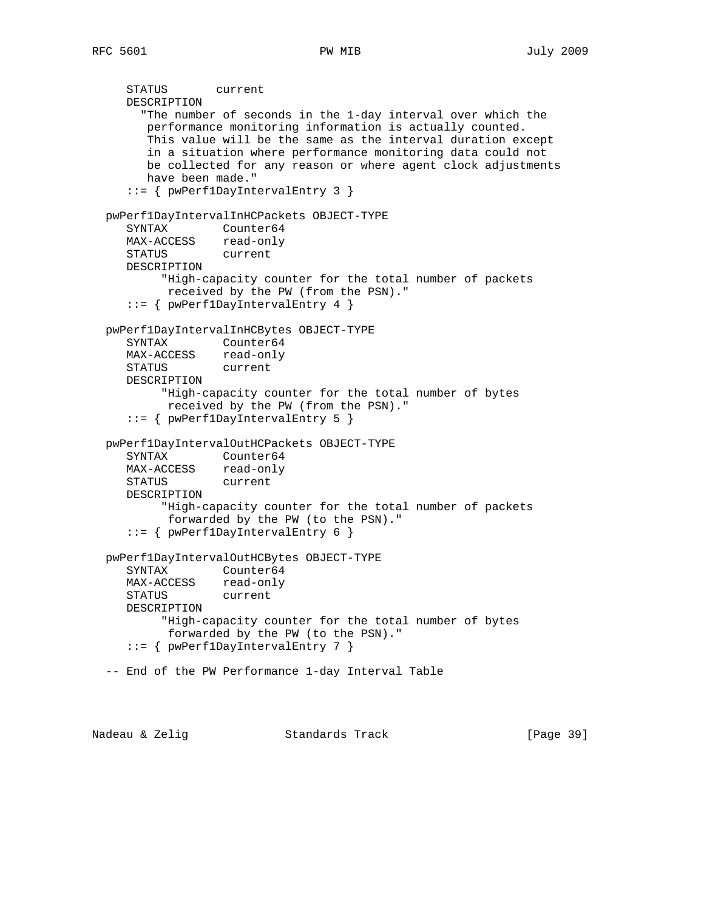```
 STATUS current
   DESCRIPTION
      "The number of seconds in the 1-day interval over which the
      performance monitoring information is actually counted.
      This value will be the same as the interval duration except
      in a situation where performance monitoring data could not
      be collected for any reason or where agent clock adjustments
      have been made."
    ::= { pwPerf1DayIntervalEntry 3 }
 pwPerf1DayIntervalInHCPackets OBJECT-TYPE
   SYNTAX Counter64
   MAX-ACCESS read-only
   STATUS current
   DESCRIPTION
        "High-capacity counter for the total number of packets
         received by the PW (from the PSN)."
    ::= { pwPerf1DayIntervalEntry 4 }
 pwPerf1DayIntervalInHCBytes OBJECT-TYPE
   SYNTAX Counter64
   MAX-ACCESS read-only
   STATUS current
   DESCRIPTION
         "High-capacity counter for the total number of bytes
         received by the PW (from the PSN)."
    ::= { pwPerf1DayIntervalEntry 5 }
 pwPerf1DayIntervalOutHCPackets OBJECT-TYPE
   SYNTAX Counter64
   MAX-ACCESS read-only
   STATUS current
   DESCRIPTION
         "High-capacity counter for the total number of packets
         forwarded by the PW (to the PSN)."
    ::= { pwPerf1DayIntervalEntry 6 }
 pwPerf1DayIntervalOutHCBytes OBJECT-TYPE
   SYNTAX Counter64
   MAX-ACCESS read-only
   STATUS current
   DESCRIPTION
        "High-capacity counter for the total number of bytes
         forwarded by the PW (to the PSN)."
    ::= { pwPerf1DayIntervalEntry 7 }
 -- End of the PW Performance 1-day Interval Table
```
Nadeau & Zelig Standards Track [Page 39]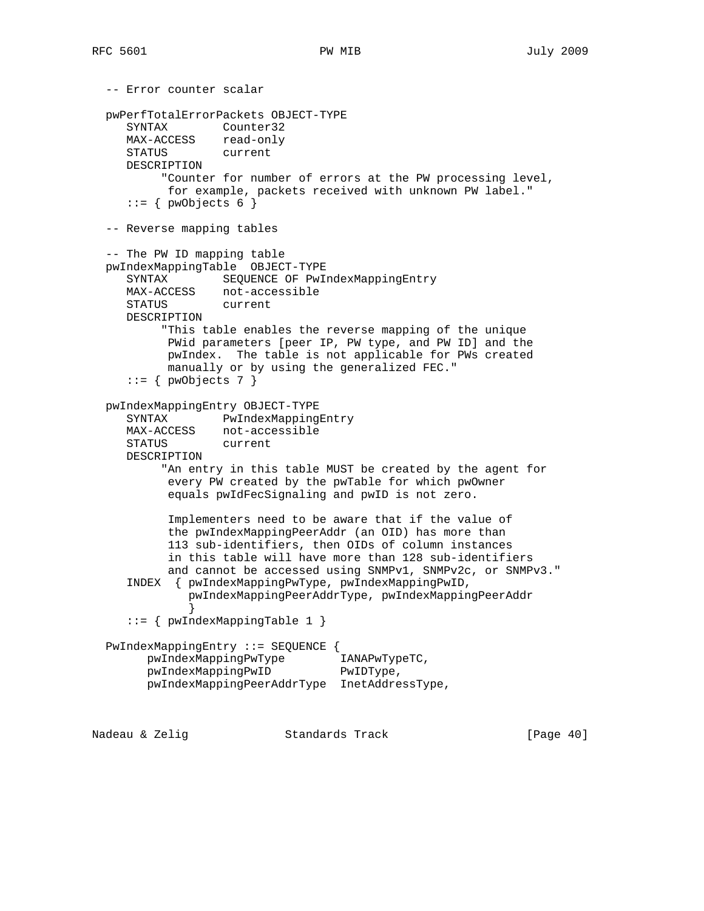```
 -- Error counter scalar
   pwPerfTotalErrorPackets OBJECT-TYPE
     SYNTAX Counter32
    MAX-ACCESS read-only<br>STATUS current
    STATUS
     DESCRIPTION
           "Counter for number of errors at the PW processing level,
           for example, packets received with unknown PW label."
     ::= { pwObjects 6 }
   -- Reverse mapping tables
   -- The PW ID mapping table
   pwIndexMappingTable OBJECT-TYPE
      SYNTAX SEQUENCE OF PwIndexMappingEntry
     MAX-ACCESS not-accessible
     STATUS current
     DESCRIPTION
          "This table enables the reverse mapping of the unique
           PWid parameters [peer IP, PW type, and PW ID] and the
           pwIndex. The table is not applicable for PWs created
           manually or by using the generalized FEC."
     ::= { pwObjects 7 }
   pwIndexMappingEntry OBJECT-TYPE
      SYNTAX PwIndexMappingEntry
    MAX-ACCESS not-accessible<br>STATUS current
     STATUS
     DESCRIPTION
           "An entry in this table MUST be created by the agent for
           every PW created by the pwTable for which pwOwner
           equals pwIdFecSignaling and pwID is not zero.
           Implementers need to be aware that if the value of
           the pwIndexMappingPeerAddr (an OID) has more than
           113 sub-identifiers, then OIDs of column instances
           in this table will have more than 128 sub-identifiers
           and cannot be accessed using SNMPv1, SNMPv2c, or SNMPv3."
      INDEX { pwIndexMappingPwType, pwIndexMappingPwID,
              pwIndexMappingPeerAddrType, pwIndexMappingPeerAddr
 }
      ::= { pwIndexMappingTable 1 }
   PwIndexMappingEntry ::= SEQUENCE {
        pwIndexMappingPwType IANAPwTypeTC,
       pwIndexMappingPwID PwIDType,
        pwIndexMappingPeerAddrType InetAddressType,
Nadeau & Zelig Standards Track [Page 40]
```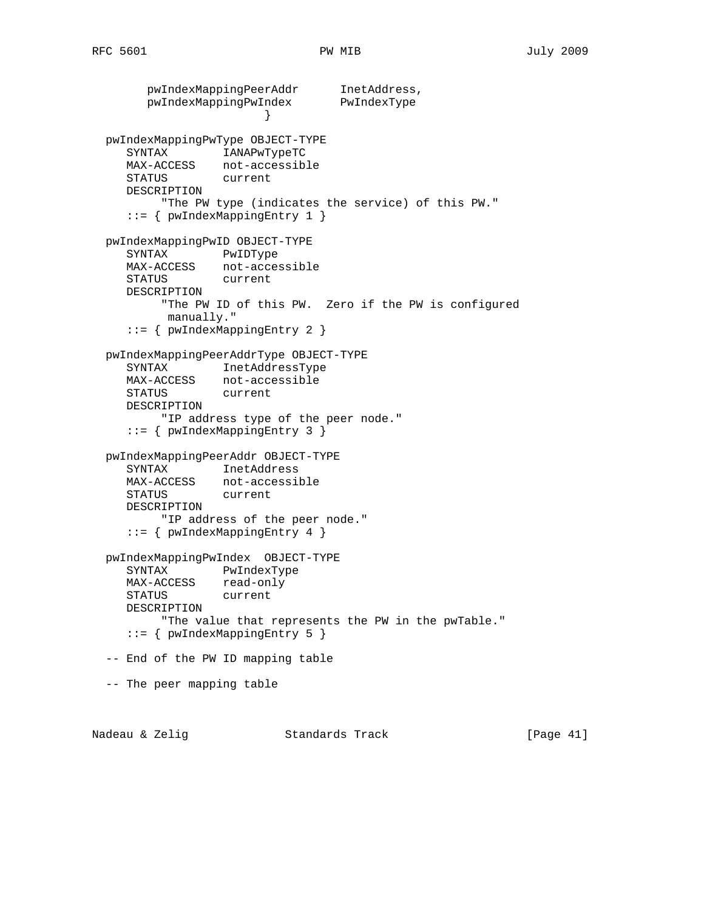pwIndexMappingPeerAddr InetAddress, pwIndexMappingPwIndex PwIndexType } pwIndexMappingPwType OBJECT-TYPE SYNTAX IANAPwTypeTC MAX-ACCESS not-accessible STATUS current DESCRIPTION "The PW type (indicates the service) of this PW." ::= { pwIndexMappingEntry 1 } pwIndexMappingPwID OBJECT-TYPE SYNTAX PwIDType MAX-ACCESS not-accessible STATUS current DESCRIPTION "The PW ID of this PW. Zero if the PW is configured manually." ::= { pwIndexMappingEntry 2 } pwIndexMappingPeerAddrType OBJECT-TYPE SYNTAX InetAddressType MAX-ACCESS not-accessible STATUS current DESCRIPTION "IP address type of the peer node." ::= { pwIndexMappingEntry 3 } pwIndexMappingPeerAddr OBJECT-TYPE SYNTAX InetAddress MAX-ACCESS not-accessible STATUS current DESCRIPTION "IP address of the peer node." ::= { pwIndexMappingEntry 4 } pwIndexMappingPwIndex OBJECT-TYPE SYNTAX PwIndexType MAX-ACCESS read-only STATUS current DESCRIPTION "The value that represents the PW in the pwTable." ::= { pwIndexMappingEntry 5 } -- End of the PW ID mapping table -- The peer mapping table

Nadeau & Zelig Standards Track [Page 41]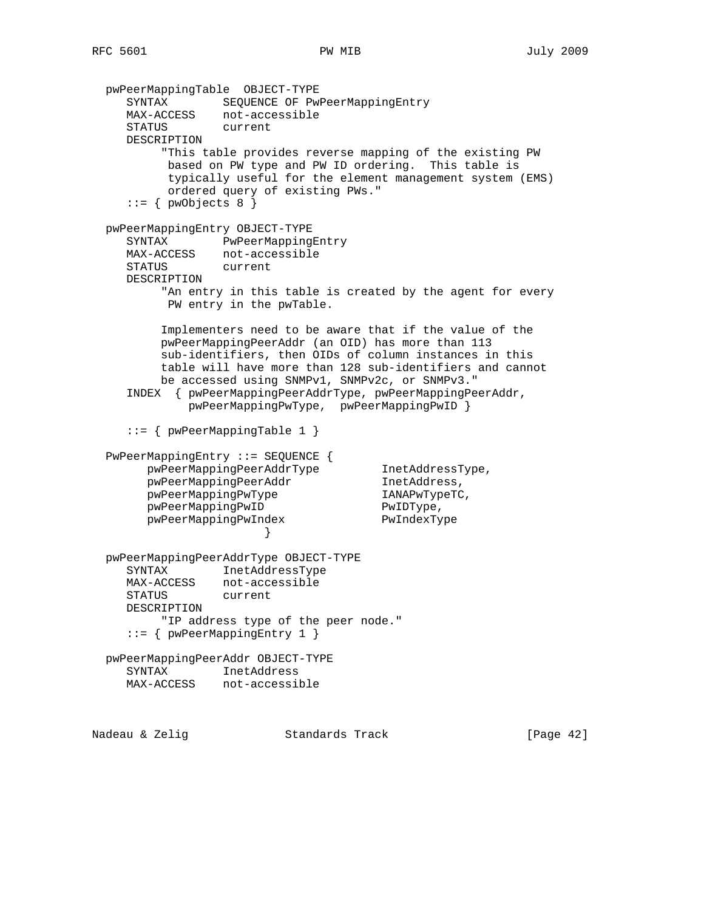```
 pwPeerMappingTable OBJECT-TYPE
     SYNTAX SEQUENCE OF PwPeerMappingEntry
     MAX-ACCESS not-accessible
     STATUS current
     DESCRIPTION
           "This table provides reverse mapping of the existing PW
           based on PW type and PW ID ordering. This table is
           typically useful for the element management system (EMS)
           ordered query of existing PWs."
     ::= \{ \text{pwObjects } 8 \} pwPeerMappingEntry OBJECT-TYPE
     SYNTAX PwPeerMappingEntry
     MAX-ACCESS not-accessible
     STATUS current
     DESCRIPTION
          "An entry in this table is created by the agent for every
           PW entry in the pwTable.
          Implementers need to be aware that if the value of the
          pwPeerMappingPeerAddr (an OID) has more than 113
          sub-identifiers, then OIDs of column instances in this
          table will have more than 128 sub-identifiers and cannot
          be accessed using SNMPv1, SNMPv2c, or SNMPv3."
     INDEX { pwPeerMappingPeerAddrType, pwPeerMappingPeerAddr,
              pwPeerMappingPwType, pwPeerMappingPwID }
      ::= { pwPeerMappingTable 1 }
  PwPeerMappingEntry ::= SEQUENCE {
       pwPeerMappingPeerAddrType InetAddressType,
       pwPeerMappingPeerAddr InetAddress,
       pwPeerMappingPwType IANAPwTypeTC,<br>pwPeerMappingPwID PwIDType,<br>pwPeerMappingPwIndex PwIndexType
       pwPeerMappingPwID
       pwPeerMappingPwIndex
 }
  pwPeerMappingPeerAddrType OBJECT-TYPE
     SYNTAX InetAddressType
     MAX-ACCESS not-accessible
     STATUS current
     DESCRIPTION
          "IP address type of the peer node."
     ::= { pwPeerMappingEntry 1 }
  pwPeerMappingPeerAddr OBJECT-TYPE
     SYNTAX InetAddress
     MAX-ACCESS not-accessible
```
Nadeau & Zelig Standards Track (Page 42)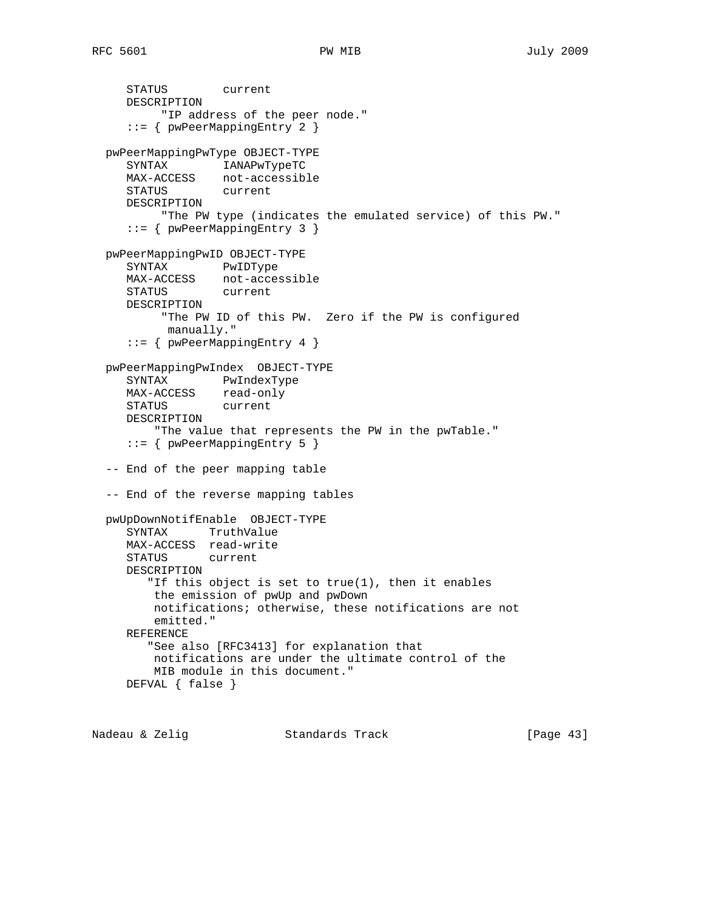STATUS current DESCRIPTION "IP address of the peer node." ::= { pwPeerMappingEntry 2 } pwPeerMappingPwType OBJECT-TYPE SYNTAX IANAPwTypeTC MAX-ACCESS not-accessible STATUS current DESCRIPTION "The PW type (indicates the emulated service) of this PW." ::= { pwPeerMappingEntry 3 } pwPeerMappingPwID OBJECT-TYPE SYNTAX PwIDType MAX-ACCESS not-accessible STATUS current DESCRIPTION "The PW ID of this PW. Zero if the PW is configured manually." ::= { pwPeerMappingEntry 4 } pwPeerMappingPwIndex OBJECT-TYPE SYNTAX PwIndexType MAX-ACCESS read-only STATUS current DESCRIPTION "The value that represents the PW in the pwTable." ::= { pwPeerMappingEntry 5 } -- End of the peer mapping table -- End of the reverse mapping tables pwUpDownNotifEnable OBJECT-TYPE SYNTAX TruthValue MAX-ACCESS read-write STATUS current DESCRIPTION "If this object is set to true(1), then it enables the emission of pwUp and pwDown notifications; otherwise, these notifications are not emitted." REFERENCE "See also [RFC3413] for explanation that notifications are under the ultimate control of the MIB module in this document." DEFVAL { false }

Nadeau & Zelig Standards Track [Page 43]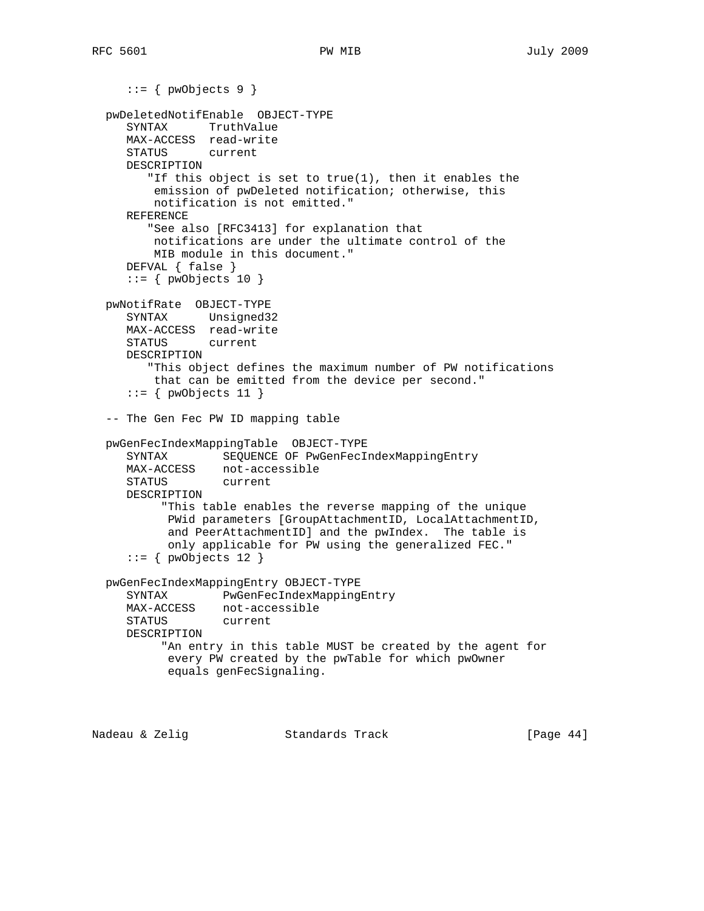```
::= { pwObjects 9 }
 pwDeletedNotifEnable OBJECT-TYPE
   SYNTAX TruthValue
   MAX-ACCESS read-write
   STATUS current
   DESCRIPTION
       "If this object is set to true(1), then it enables the
       emission of pwDeleted notification; otherwise, this
       notification is not emitted."
   REFERENCE
       "See also [RFC3413] for explanation that
       notifications are under the ultimate control of the
       MIB module in this document."
   DEFVAL { false }
   ::= { pwObjects 10 }
 pwNotifRate OBJECT-TYPE
   SYNTAX Unsigned32
   MAX-ACCESS read-write
   STATUS current
   DESCRIPTION
       "This object defines the maximum number of PW notifications
       that can be emitted from the device per second."
   ::= { pwObjects 11 }
 -- The Gen Fec PW ID mapping table
 pwGenFecIndexMappingTable OBJECT-TYPE
   SYNTAX SEQUENCE OF PwGenFecIndexMappingEntry
   MAX-ACCESS not-accessible
   STATUS current
   DESCRIPTION
         "This table enables the reverse mapping of the unique
         PWid parameters [GroupAttachmentID, LocalAttachmentID,
         and PeerAttachmentID] and the pwIndex. The table is
         only applicable for PW using the generalized FEC."
   ::= { pwObjects 12 }
 pwGenFecIndexMappingEntry OBJECT-TYPE
   SYNTAX PwGenFecIndexMappingEntry
   MAX-ACCESS not-accessible
   STATUS current
   DESCRIPTION
        "An entry in this table MUST be created by the agent for
         every PW created by the pwTable for which pwOwner
         equals genFecSignaling.
```
Nadeau & Zelig Standards Track (Page 44)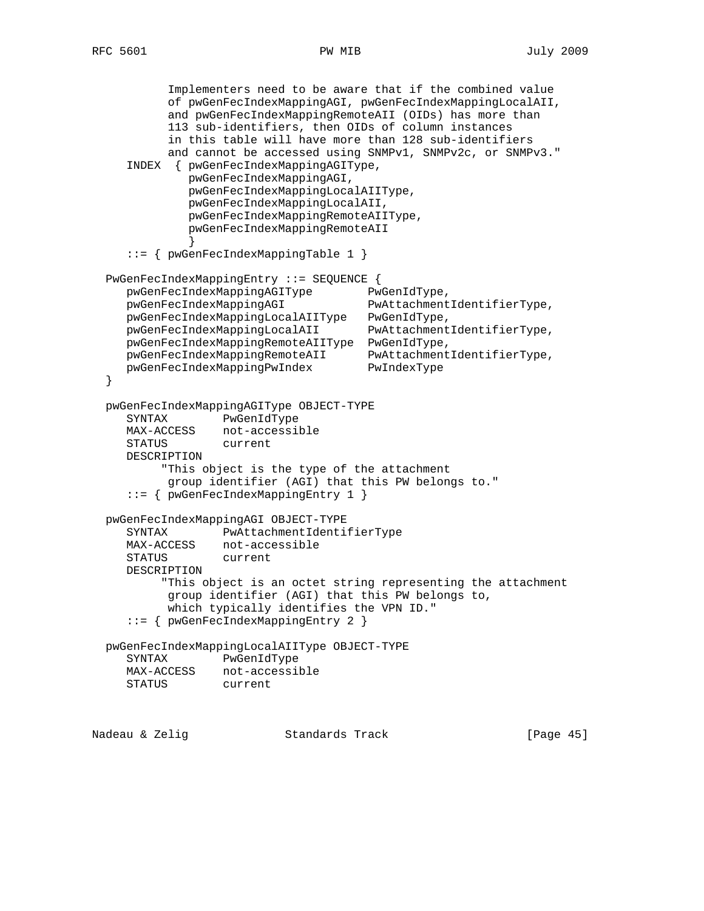Implementers need to be aware that if the combined value of pwGenFecIndexMappingAGI, pwGenFecIndexMappingLocalAII, and pwGenFecIndexMappingRemoteAII (OIDs) has more than 113 sub-identifiers, then OIDs of column instances in this table will have more than 128 sub-identifiers and cannot be accessed using SNMPv1, SNMPv2c, or SNMPv3." INDEX { pwGenFecIndexMappingAGIType, pwGenFecIndexMappingAGI, pwGenFecIndexMappingLocalAIIType, pwGenFecIndexMappingLocalAII, pwGenFecIndexMappingRemoteAIIType, pwGenFecIndexMappingRemoteAII } ::= { pwGenFecIndexMappingTable 1 } PwGenFecIndexMappingEntry ::= SEQUENCE { pwGenFecIndexMappingAGIType PwGenIdType, pwGenFecIndexMappingAGI PwAttachmentIdentifierType, pwGenFecIndexMappingLocalAIIType PwGenIdType, pwGenFecIndexMappingLocalAII PwAttachmentIdentifierType, pwGenFecIndexMappingRemoteAIIType PwGenIdType, pwGenFecIndexMappingRemoteAII PwAttachmentIdentifierType, pwGenFecIndexMappingPwIndex PwIndexType } pwGenFecIndexMappingAGIType OBJECT-TYPE SYNTAX PwGenIdType MAX-ACCESS not-accessible STATUS current DESCRIPTION "This object is the type of the attachment group identifier (AGI) that this PW belongs to." ::= { pwGenFecIndexMappingEntry 1 } pwGenFecIndexMappingAGI OBJECT-TYPE SYNTAX PwAttachmentIdentifierType MAX-ACCESS not-accessible STATUS current DESCRIPTION "This object is an octet string representing the attachment group identifier (AGI) that this PW belongs to, which typically identifies the VPN ID." ::= { pwGenFecIndexMappingEntry 2 } pwGenFecIndexMappingLocalAIIType OBJECT-TYPE SYNTAX PwGenIdType MAX-ACCESS not-accessible STATUS current

Nadeau & Zelig Standards Track [Page 45]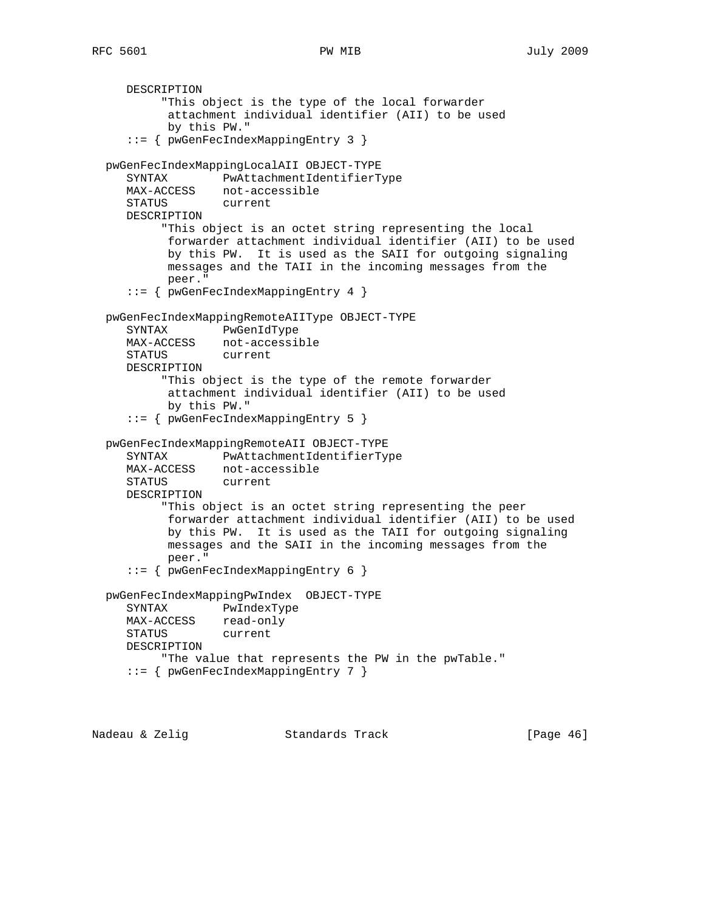```
 DESCRIPTION
         "This object is the type of the local forwarder
         attachment individual identifier (AII) to be used
         by this PW."
    ::= { pwGenFecIndexMappingEntry 3 }
 pwGenFecIndexMappingLocalAII OBJECT-TYPE
   SYNTAX PwAttachmentIdentifierType
   MAX-ACCESS not-accessible
   STATUS current
   DESCRIPTION
         "This object is an octet string representing the local
         forwarder attachment individual identifier (AII) to be used
         by this PW. It is used as the SAII for outgoing signaling
         messages and the TAII in the incoming messages from the
         peer."
    ::= { pwGenFecIndexMappingEntry 4 }
 pwGenFecIndexMappingRemoteAIIType OBJECT-TYPE
   SYNTAX PwGenIdType
   MAX-ACCESS not-accessible
   STATUS current
   DESCRIPTION
         "This object is the type of the remote forwarder
         attachment individual identifier (AII) to be used
         by this PW."
    ::= { pwGenFecIndexMappingEntry 5 }
 pwGenFecIndexMappingRemoteAII OBJECT-TYPE
   SYNTAX PwAttachmentIdentifierType
   MAX-ACCESS not-accessible
   STATUS current
   DESCRIPTION
         "This object is an octet string representing the peer
         forwarder attachment individual identifier (AII) to be used
         by this PW. It is used as the TAII for outgoing signaling
         messages and the SAII in the incoming messages from the
         peer."
    ::= { pwGenFecIndexMappingEntry 6 }
 pwGenFecIndexMappingPwIndex OBJECT-TYPE
   SYNTAX PwIndexType
   MAX-ACCESS read-only
   STATUS current
   DESCRIPTION
         "The value that represents the PW in the pwTable."
    ::= { pwGenFecIndexMappingEntry 7 }
```
Nadeau & Zelig Standards Track [Page 46]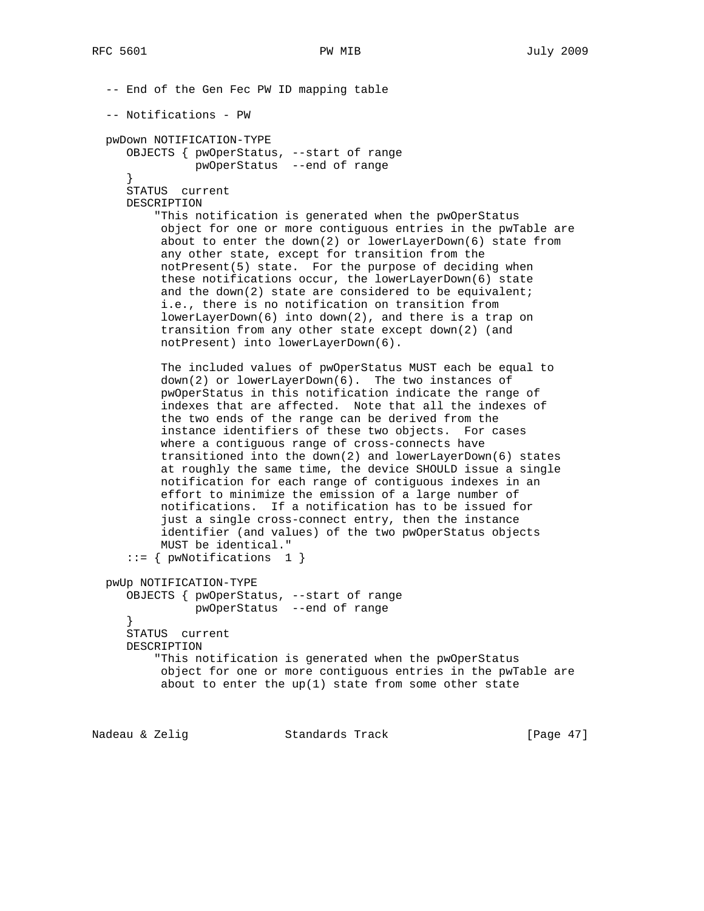-- End of the Gen Fec PW ID mapping table -- Notifications - PW pwDown NOTIFICATION-TYPE OBJECTS { pwOperStatus, --start of range pwOperStatus --end of range } STATUS current DESCRIPTION "This notification is generated when the pwOperStatus object for one or more contiguous entries in the pwTable are about to enter the down(2) or lowerLayerDown(6) state from any other state, except for transition from the notPresent(5) state. For the purpose of deciding when these notifications occur, the lowerLayerDown(6) state and the down(2) state are considered to be equivalent; i.e., there is no notification on transition from lowerLayerDown(6) into down(2), and there is a trap on transition from any other state except down(2) (and notPresent) into lowerLayerDown(6). The included values of pwOperStatus MUST each be equal to down(2) or lowerLayerDown(6). The two instances of pwOperStatus in this notification indicate the range of indexes that are affected. Note that all the indexes of the two ends of the range can be derived from the instance identifiers of these two objects. For cases where a contiguous range of cross-connects have transitioned into the down(2) and lowerLayerDown(6) states at roughly the same time, the device SHOULD issue a single notification for each range of contiguous indexes in an effort to minimize the emission of a large number of notifications. If a notification has to be issued for just a single cross-connect entry, then the instance identifier (and values) of the two pwOperStatus objects MUST be identical."  $::= \{ \text{pwNotifications} \quad 1 \}$  pwUp NOTIFICATION-TYPE OBJECTS { pwOperStatus, --start of range pwOperStatus --end of range } STATUS current DESCRIPTION "This notification is generated when the pwOperStatus object for one or more contiguous entries in the pwTable are about to enter the  $up(1)$  state from some other state

Nadeau & Zelig Standards Track [Page 47]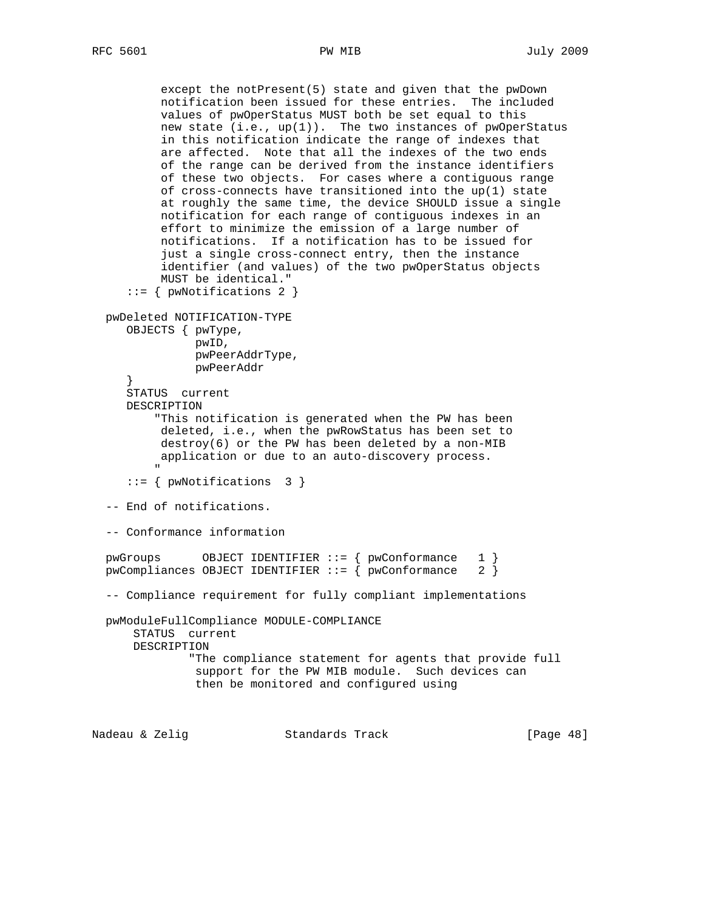```
 except the notPresent(5) state and given that the pwDown
          notification been issued for these entries. The included
          values of pwOperStatus MUST both be set equal to this
         new state (i.e., up(1)). The two instances of pwOperStatus
          in this notification indicate the range of indexes that
          are affected. Note that all the indexes of the two ends
          of the range can be derived from the instance identifiers
          of these two objects. For cases where a contiguous range
          of cross-connects have transitioned into the up(1) state
          at roughly the same time, the device SHOULD issue a single
          notification for each range of contiguous indexes in an
          effort to minimize the emission of a large number of
          notifications. If a notification has to be issued for
           just a single cross-connect entry, then the instance
          identifier (and values) of the two pwOperStatus objects
          MUST be identical."
     ::= { pwNotifications 2 }
  pwDeleted NOTIFICATION-TYPE
     OBJECTS { pwType,
               pwID,
               pwPeerAddrType,
               pwPeerAddr
 }
     STATUS current
     DESCRIPTION
          "This notification is generated when the PW has been
          deleted, i.e., when the pwRowStatus has been set to
          destroy(6) or the PW has been deleted by a non-MIB
          application or due to an auto-discovery process.
 "
     ::= { pwNotifications 3 }
  -- End of notifications.
  -- Conformance information
 pwGroups OBJECT IDENTIFIER ::= { pwConformance 1 }
 pwCompliances OBJECT IDENTIFIER ::= { pwConformance 2 }
  -- Compliance requirement for fully compliant implementations
  pwModuleFullCompliance MODULE-COMPLIANCE
      STATUS current
      DESCRIPTION
               "The compliance statement for agents that provide full
               support for the PW MIB module. Such devices can
               then be monitored and configured using
```
Nadeau & Zelig Standards Track [Page 48]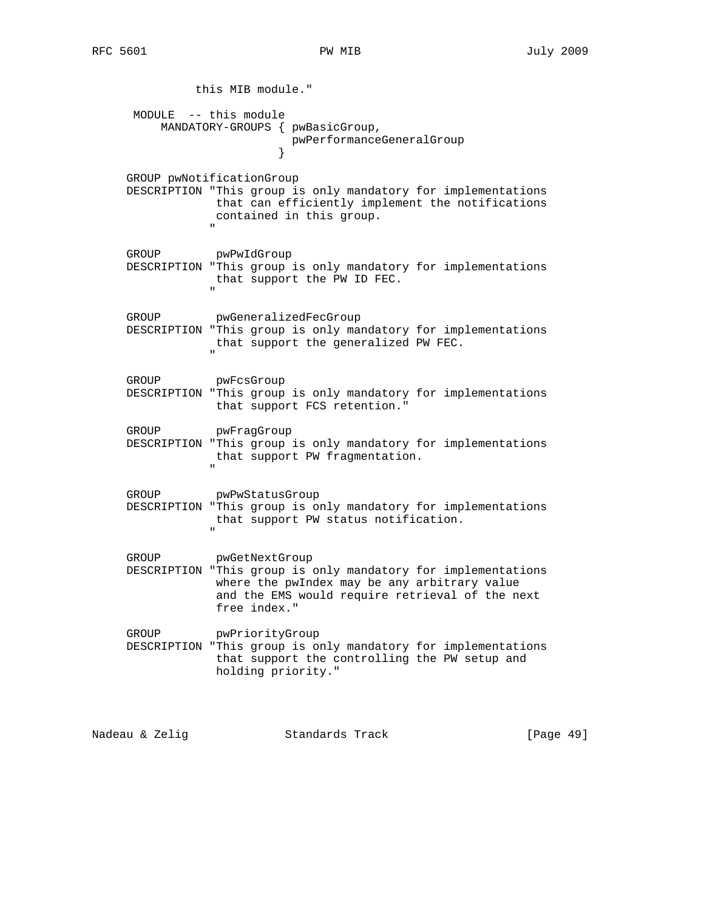this MIB module." MODULE -- this module MANDATORY-GROUPS { pwBasicGroup, pwPerformanceGeneralGroup } GROUP pwNotificationGroup DESCRIPTION "This group is only mandatory for implementations that can efficiently implement the notifications contained in this group. " GROUP pwPwIdGroup DESCRIPTION "This group is only mandatory for implementations that support the PW ID FEC. " GROUP pwGeneralizedFecGroup DESCRIPTION "This group is only mandatory for implementations that support the generalized PW FEC. " GROUP pwFcsGroup DESCRIPTION "This group is only mandatory for implementations that support FCS retention." GROUP pwFragGroup DESCRIPTION "This group is only mandatory for implementations that support PW fragmentation. " GROUP pwPwStatusGroup DESCRIPTION "This group is only mandatory for implementations that support PW status notification. " GROUP pwGetNextGroup DESCRIPTION "This group is only mandatory for implementations where the pwIndex may be any arbitrary value and the EMS would require retrieval of the next free index." GROUP pwPriorityGroup DESCRIPTION "This group is only mandatory for implementations that support the controlling the PW setup and holding priority."

Nadeau & Zelig Standards Track [Page 49]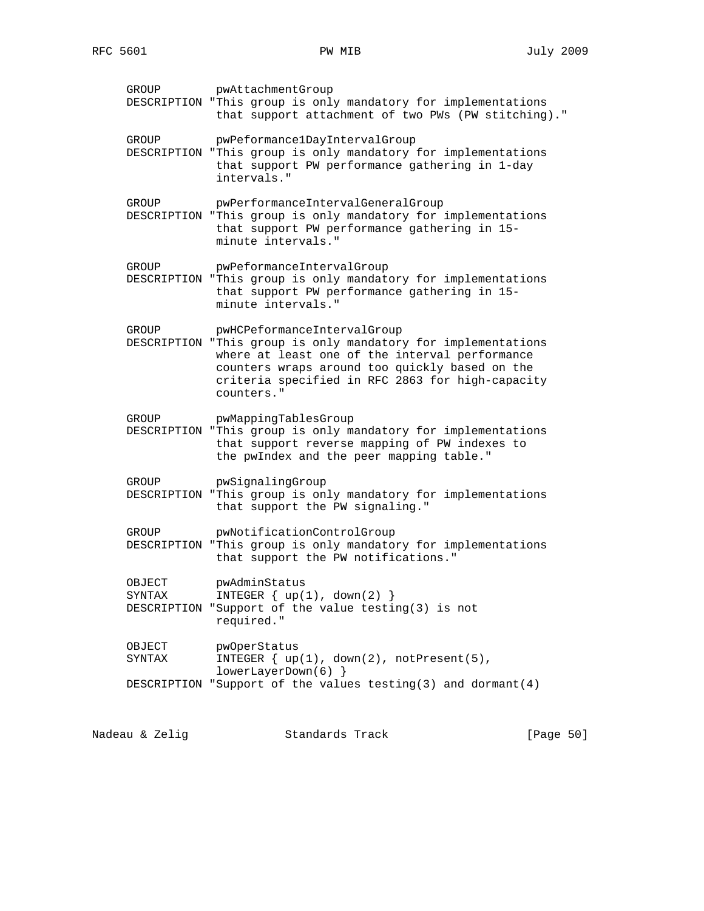| GROUP                | pwAttachmentGroup<br>DESCRIPTION "This group is only mandatory for implementations<br>that support attachment of two PWs (PW stitching)."                                                                                                              |
|----------------------|--------------------------------------------------------------------------------------------------------------------------------------------------------------------------------------------------------------------------------------------------------|
| GROUP                | pwPeformancelDayIntervalGroup<br>DESCRIPTION "This group is only mandatory for implementations<br>that support PW performance gathering in 1-day<br>intervals."                                                                                        |
| GROUP                | pwPerformanceIntervalGeneralGroup<br>DESCRIPTION "This group is only mandatory for implementations<br>that support PW performance gathering in 15-<br>minute intervals."                                                                               |
| GROUP                | pwPeformanceIntervalGroup<br>DESCRIPTION "This group is only mandatory for implementations<br>that support PW performance gathering in 15-<br>minute intervals."                                                                                       |
| GROUP<br>DESCRIPTION | pwHCPeformanceIntervalGroup<br>"This group is only mandatory for implementations<br>where at least one of the interval performance<br>counters wraps around too quickly based on the<br>criteria specified in RFC 2863 for high-capacity<br>counters." |
| GROUP                | pwMappingTablesGroup<br>DESCRIPTION "This group is only mandatory for implementations<br>that support reverse mapping of PW indexes to<br>the pwIndex and the peer mapping table."                                                                     |
| GROUP                | pwSignalingGroup<br>DESCRIPTION "This group is only mandatory for implementations<br>that support the PW signaling."                                                                                                                                   |
| GROUP                | pwNotificationControlGroup<br>DESCRIPTION "This group is only mandatory for implementations<br>that support the PW notifications."                                                                                                                     |
| OBJECT<br>SYNTAX     | pwAdminStatus<br>INTEGER $\{ up(1), down(2) \}$<br>DESCRIPTION "Support of the value testing(3) is not<br>required."                                                                                                                                   |
| OBJECT<br>SYNTAX     | pwOperStatus<br>INTEGER $\{ up(1), down(2), notPresent(5), \}$<br>$lowerLayerDown(6)$ }                                                                                                                                                                |
|                      |                                                                                                                                                                                                                                                        |

Nadeau & Zelig Standards Track (Page 50)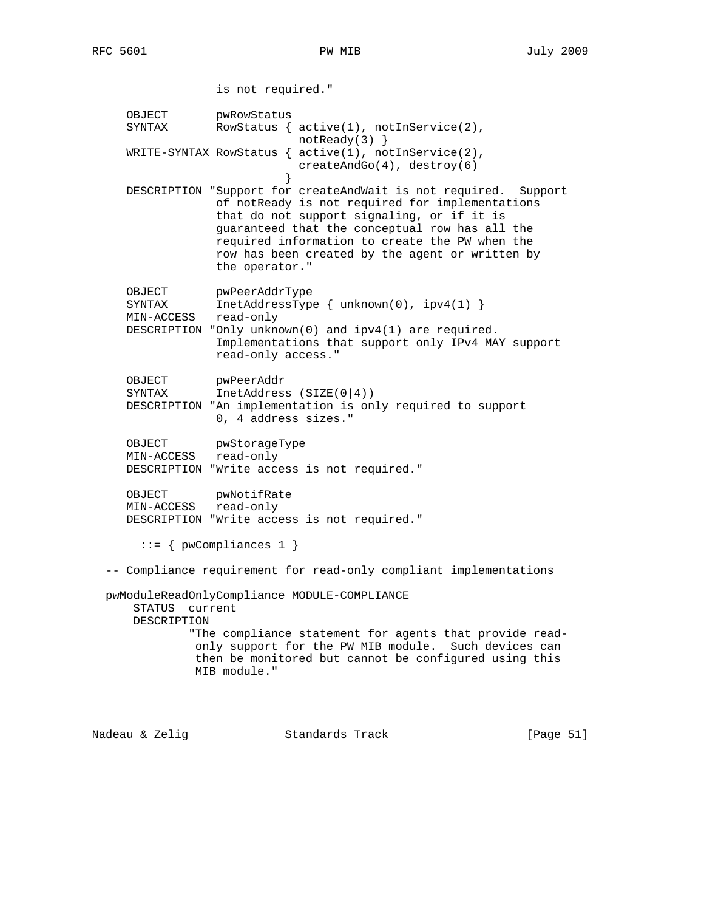is not required." OBJECT pwRowStatus SYNTAX RowStatus {  $active(1)$ ,  $notInService(2)$ , notReady(3) } WRITE-SYNTAX RowStatus { active(1), notInService(2), createAndGo(4), destroy(6) } DESCRIPTION "Support for createAndWait is not required. Support of notReady is not required for implementations that do not support signaling, or if it is guaranteed that the conceptual row has all the required information to create the PW when the row has been created by the agent or written by the operator." OBJECT pwPeerAddrType SYNTAX InetAddressType { unknown(0), ipv4(1) } MIN-ACCESS read-only DESCRIPTION "Only unknown(0) and ipv4(1) are required. Implementations that support only IPv4 MAY support read-only access." OBJECT pwPeerAddr SYNTAX InetAddress (SIZE(0|4)) DESCRIPTION "An implementation is only required to support 0, 4 address sizes." OBJECT pwStorageType MIN-ACCESS read-only DESCRIPTION "Write access is not required." OBJECT pwNotifRate MIN-ACCESS read-only DESCRIPTION "Write access is not required." ::= { pwCompliances 1 } -- Compliance requirement for read-only compliant implementations pwModuleReadOnlyCompliance MODULE-COMPLIANCE STATUS current DESCRIPTION "The compliance statement for agents that provide read only support for the PW MIB module. Such devices can then be monitored but cannot be configured using this MIB module."

Nadeau & Zelig Standards Track [Page 51]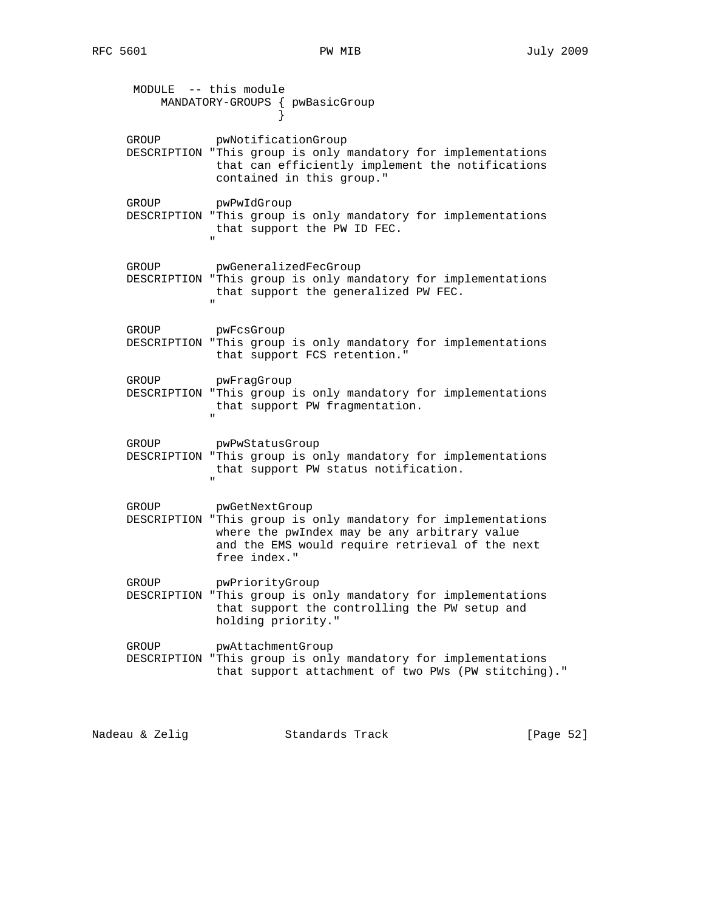|       | MODULE -- this module<br>MANDATORY-GROUPS { pwBasicGroup                                                                                                                                           |
|-------|----------------------------------------------------------------------------------------------------------------------------------------------------------------------------------------------------|
| GROUP | pwNotificationGroup<br>DESCRIPTION "This group is only mandatory for implementations<br>that can efficiently implement the notifications<br>contained in this group."                              |
| GROUP | pwPwIdGroup<br>DESCRIPTION "This group is only mandatory for implementations<br>that support the PW ID FEC.<br>$\mathbf{u}$                                                                        |
| GROUP | pwGeneralizedFecGroup<br>DESCRIPTION "This group is only mandatory for implementations<br>that support the generalized PW FEC.                                                                     |
| GROUP | pwFcsGroup<br>DESCRIPTION "This group is only mandatory for implementations<br>that support FCS retention."                                                                                        |
| GROUP | pwFragGroup<br>DESCRIPTION "This group is only mandatory for implementations<br>that support PW fragmentation.<br>$\mathbf{u}$                                                                     |
| GROUP | pwPwStatusGroup<br>DESCRIPTION "This group is only mandatory for implementations<br>that support PW status notification.                                                                           |
| GROUP | pwGetNextGroup<br>DESCRIPTION "This group is only mandatory for implementations<br>where the pwIndex may be any arbitrary value<br>and the EMS would require retrieval of the next<br>free index." |
| GROUP | pwPriorityGroup<br>DESCRIPTION "This group is only mandatory for implementations<br>that support the controlling the PW setup and<br>holding priority."                                            |
| GROUP | pwAttachmentGroup<br>DESCRIPTION "This group is only mandatory for implementations<br>that support attachment of two PWs (PW stitching)."                                                          |

Nadeau & Zelig Standards Track [Page 52]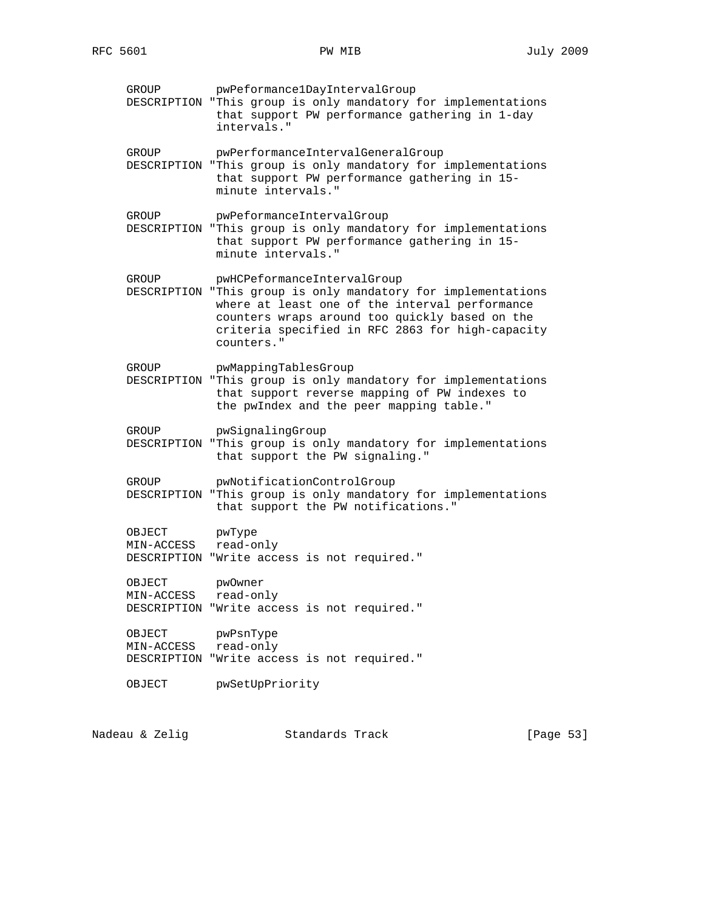GROUP pwPeformance1DayIntervalGroup DESCRIPTION "This group is only mandatory for implementations that support PW performance gathering in 1-day intervals." GROUP pwPerformanceIntervalGeneralGroup DESCRIPTION "This group is only mandatory for implementations that support PW performance gathering in 15 minute intervals." GROUP pwPeformanceIntervalGroup DESCRIPTION "This group is only mandatory for implementations that support PW performance gathering in 15 minute intervals." GROUP pwHCPeformanceIntervalGroup DESCRIPTION "This group is only mandatory for implementations where at least one of the interval performance counters wraps around too quickly based on the criteria specified in RFC 2863 for high-capacity counters." GROUP pwMappingTablesGroup DESCRIPTION "This group is only mandatory for implementations that support reverse mapping of PW indexes to the pwIndex and the peer mapping table." GROUP pwSignalingGroup DESCRIPTION "This group is only mandatory for implementations that support the PW signaling." GROUP pwNotificationControlGroup DESCRIPTION "This group is only mandatory for implementations that support the PW notifications." OBJECT pwType MIN-ACCESS read-only DESCRIPTION "Write access is not required." OBJECT pwOwner MIN-ACCESS read-only DESCRIPTION "Write access is not required." OBJECT pwPsnType MIN-ACCESS read-only DESCRIPTION "Write access is not required." OBJECT pwSetUpPriority

Nadeau & Zelig Standards Track [Page 53]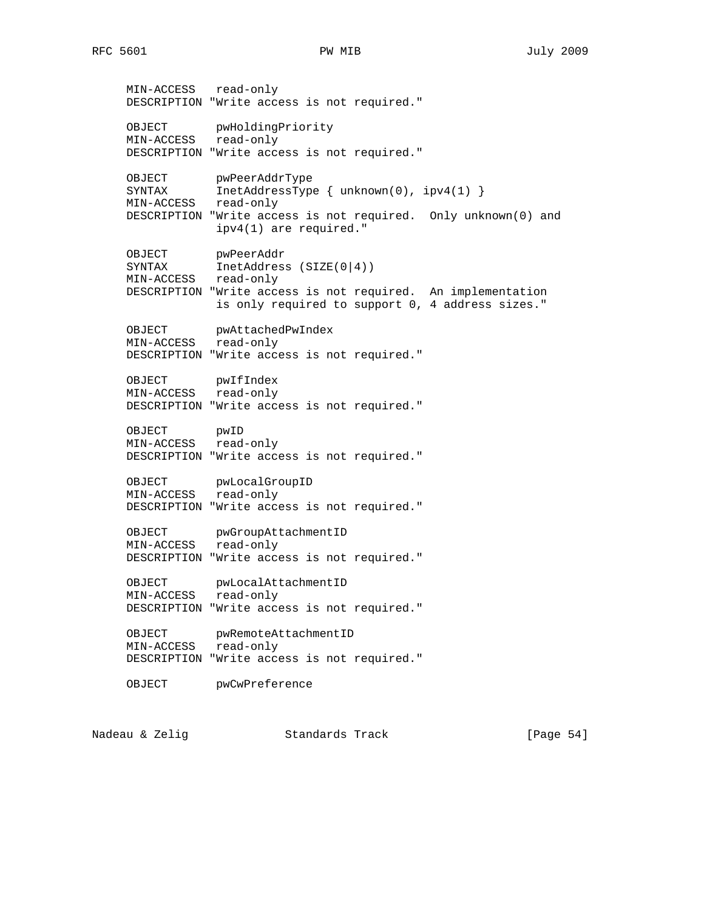MIN-ACCESS read-only DESCRIPTION "Write access is not required." OBJECT pwHoldingPriority MIN-ACCESS read-only DESCRIPTION "Write access is not required." OBJECT pwPeerAddrType<br>SYNTAX InetAddressType  $IntAddressType { unknown(0), ipv4(1)}$  MIN-ACCESS read-only DESCRIPTION "Write access is not required. Only unknown(0) and ipv4(1) are required." OBJECT pwPeerAddr SYNTAX InetAddress (SIZE(0|4)) MIN-ACCESS read-only DESCRIPTION "Write access is not required. An implementation is only required to support 0, 4 address sizes." OBJECT pwAttachedPwIndex MIN-ACCESS read-only DESCRIPTION "Write access is not required." OBJECT pwIfIndex MIN-ACCESS read-only DESCRIPTION "Write access is not required." OBJECT pwID MIN-ACCESS read-only DESCRIPTION "Write access is not required." OBJECT pwLocalGroupID MIN-ACCESS read-only DESCRIPTION "Write access is not required." OBJECT pwGroupAttachmentID MIN-ACCESS read-only DESCRIPTION "Write access is not required." OBJECT pwLocalAttachmentID MIN-ACCESS read-only DESCRIPTION "Write access is not required." OBJECT pwRemoteAttachmentID MIN-ACCESS read-only DESCRIPTION "Write access is not required." OBJECT pwCwPreference

Nadeau & Zelig Standards Track [Page 54]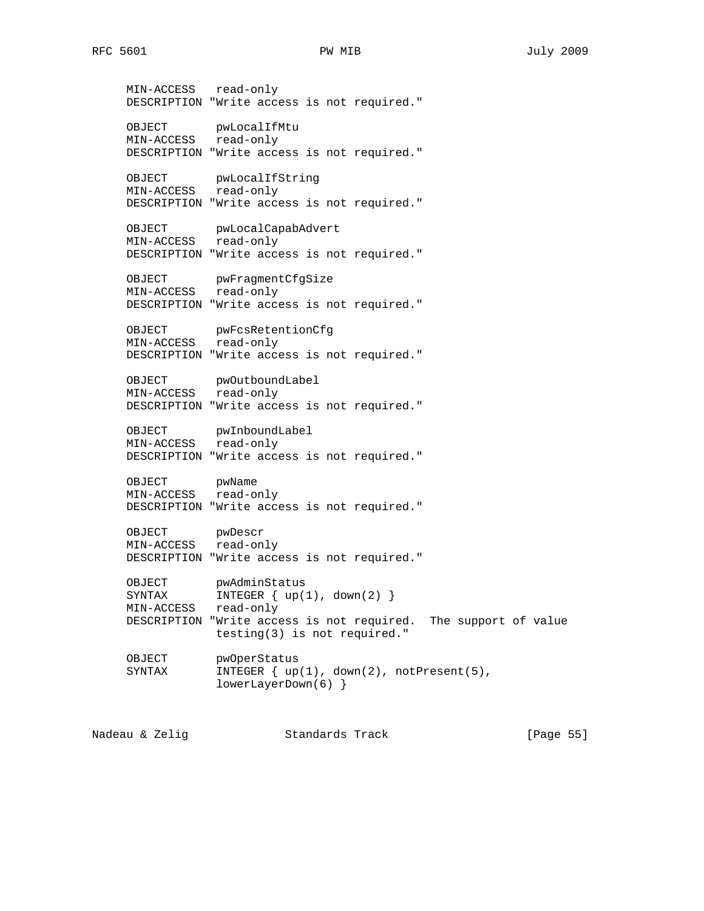MIN-ACCESS read-only DESCRIPTION "Write access is not required." OBJECT pwLocalIfMtu MIN-ACCESS read-only DESCRIPTION "Write access is not required." OBJECT pwLocalIfString MIN-ACCESS read-only DESCRIPTION "Write access is not required." OBJECT pwLocalCapabAdvert MIN-ACCESS read-only DESCRIPTION "Write access is not required." OBJECT pwFragmentCfgSize MIN-ACCESS read-only DESCRIPTION "Write access is not required." OBJECT pwFcsRetentionCfg MIN-ACCESS read-only DESCRIPTION "Write access is not required." OBJECT pwOutboundLabel MIN-ACCESS read-only DESCRIPTION "Write access is not required." OBJECT pwInboundLabel MIN-ACCESS read-only DESCRIPTION "Write access is not required." OBJECT pwName MIN-ACCESS read-only DESCRIPTION "Write access is not required." OBJECT pwDescr MIN-ACCESS read-only DESCRIPTION "Write access is not required." OBJECT pwAdminStatus<br>SYNTAX INTEGER { up(1 SYNTAX INTEGER { up(1), down(2) } MIN-ACCESS read-only DESCRIPTION "Write access is not required. The support of value testing(3) is not required." OBJECT pwOperStatus SYNTAX INTEGER { up(1), down(2), notPresent(5), lowerLayerDown(6) }

Nadeau & Zelig Standards Track [Page 55]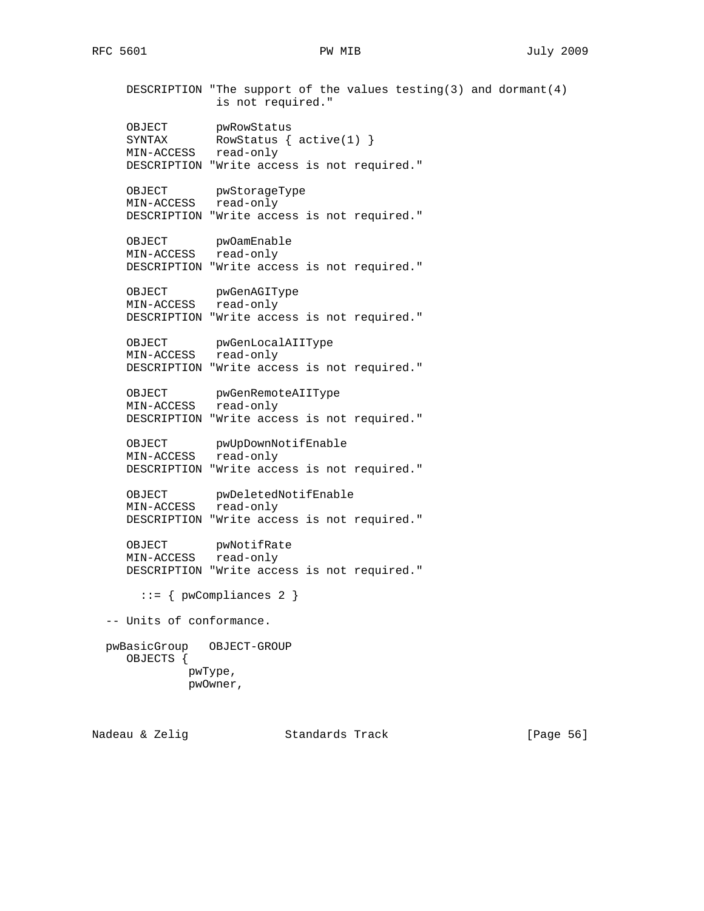DESCRIPTION "The support of the values testing(3) and dormant(4) is not required." OBJECT pwRowStatus SYNTAX RowStatus { active(1) } MIN-ACCESS read-only DESCRIPTION "Write access is not required." OBJECT pwStorageType MIN-ACCESS read-only DESCRIPTION "Write access is not required." OBJECT pwOamEnable MIN-ACCESS read-only DESCRIPTION "Write access is not required." OBJECT pwGenAGIType MIN-ACCESS read-only DESCRIPTION "Write access is not required." OBJECT pwGenLocalAIIType MIN-ACCESS read-only DESCRIPTION "Write access is not required." OBJECT pwGenRemoteAIIType MIN-ACCESS read-only DESCRIPTION "Write access is not required." OBJECT pwUpDownNotifEnable MIN-ACCESS read-only DESCRIPTION "Write access is not required." OBJECT pwDeletedNotifEnable MIN-ACCESS read-only DESCRIPTION "Write access is not required." OBJECT pwNotifRate MIN-ACCESS read-only DESCRIPTION "Write access is not required." ::= { pwCompliances 2 } -- Units of conformance. pwBasicGroup OBJECT-GROUP OBJECTS { pwType, pwOwner,

Nadeau & Zelig Standards Track [Page 56]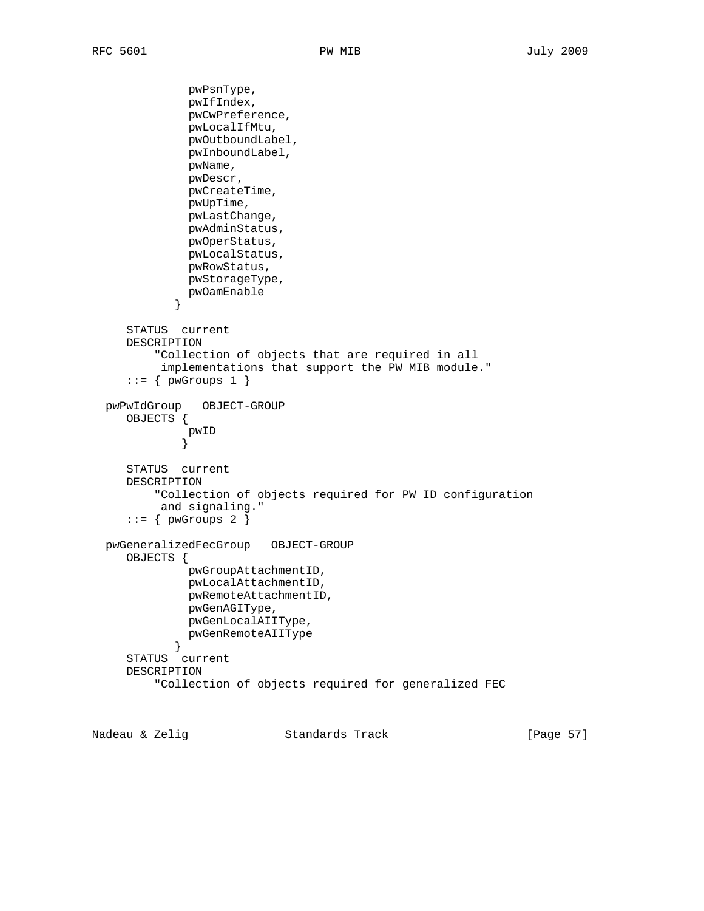pwPsnType, pwIfIndex, pwCwPreference, pwLocalIfMtu, pwOutboundLabel, pwInboundLabel, pwName, pwDescr, pwCreateTime, pwUpTime, pwLastChange, pwAdminStatus, pwOperStatus, pwLocalStatus, pwRowStatus, pwStorageType, pwOamEnable<br>} } STATUS current DESCRIPTION "Collection of objects that are required in all implementations that support the PW MIB module."  $::=$  { pwGroups 1 } pwPwIdGroup OBJECT-GROUP OBJECTS { pwID<br>} } STATUS current DESCRIPTION "Collection of objects required for PW ID configuration and signaling."  $::=$  { pwGroups 2 } pwGeneralizedFecGroup OBJECT-GROUP OBJECTS { pwGroupAttachmentID, pwLocalAttachmentID, pwRemoteAttachmentID, pwGenAGIType, pwGenLocalAIIType, pwGenRemoteAIIType<br>} } STATUS current DESCRIPTION "Collection of objects required for generalized FEC

Nadeau & Zelig Standards Track [Page 57]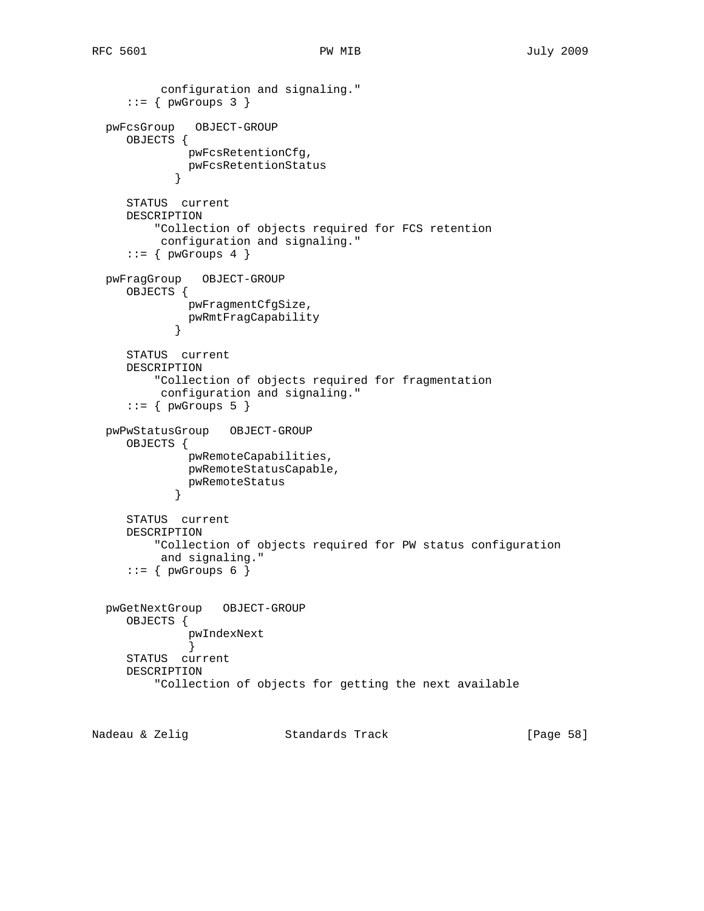```
 configuration and signaling."
     ::= { pwGroups 3 }
  pwFcsGroup OBJECT-GROUP
     OBJECTS {
              pwFcsRetentionCfg,
           pwFcsRetentionStatus<br>}
 }
     STATUS current
     DESCRIPTION
         "Collection of objects required for FCS retention
          configuration and signaling."
    ::= \{ pwGroups 4 \} pwFragGroup OBJECT-GROUP
     OBJECTS {
              pwFragmentCfgSize,
           pwRmtFragCapability<br>}
 }
     STATUS current
     DESCRIPTION
         "Collection of objects required for fragmentation
          configuration and signaling."
    ::= \{ pwGroups 5 \} pwPwStatusGroup OBJECT-GROUP
     OBJECTS {
              pwRemoteCapabilities,
              pwRemoteStatusCapable,
           pwRemoteStatus<br>}
 }
     STATUS current
     DESCRIPTION
         "Collection of objects required for PW status configuration
          and signaling."
    ::= { pwGroups 6 }
  pwGetNextGroup OBJECT-GROUP
     OBJECTS {
              pwIndexNext
 }
     STATUS current
     DESCRIPTION
         "Collection of objects for getting the next available
```
Nadeau & Zelig Standards Track [Page 58]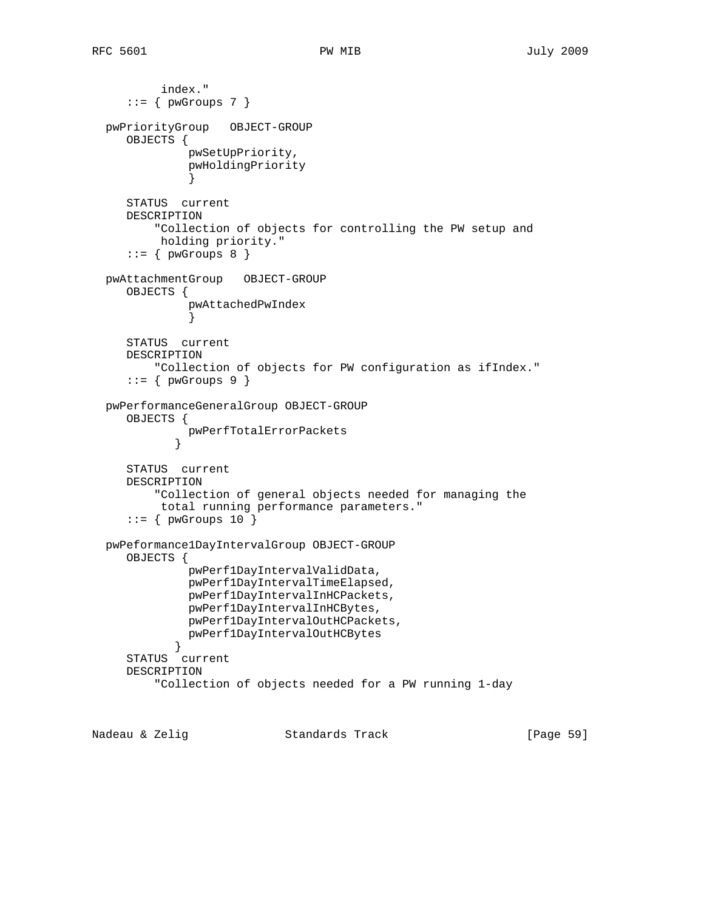```
 index."
     ::= \{ p w G r \text{oup} s 7 \} pwPriorityGroup OBJECT-GROUP
     OBJECTS {
              pwSetUpPriority,
              pwHoldingPriority
 }
     STATUS current
     DESCRIPTION
          "Collection of objects for controlling the PW setup and
          holding priority."
     ::= \{ pwGroups 8 } \} pwAttachmentGroup OBJECT-GROUP
     OBJECTS {
              pwAttachedPwIndex
 }
     STATUS current
     DESCRIPTION
          "Collection of objects for PW configuration as ifIndex."
     ::= { pwGroups 9 }
  pwPerformanceGeneralGroup OBJECT-GROUP
     OBJECTS {
             pwPerfTotalErrorPackets
 }
     STATUS current
     DESCRIPTION
          "Collection of general objects needed for managing the
          total running performance parameters."
     ::= { pwGroups 10 }
  pwPeformance1DayIntervalGroup OBJECT-GROUP
     OBJECTS {
              pwPerf1DayIntervalValidData,
              pwPerf1DayIntervalTimeElapsed,
              pwPerf1DayIntervalInHCPackets,
              pwPerf1DayIntervalInHCBytes,
              pwPerf1DayIntervalOutHCPackets,
           pwPerf1DayIntervalOutHCBytes<br>}
 }
     STATUS current
     DESCRIPTION
          "Collection of objects needed for a PW running 1-day
```
Nadeau & Zelig Standards Track [Page 59]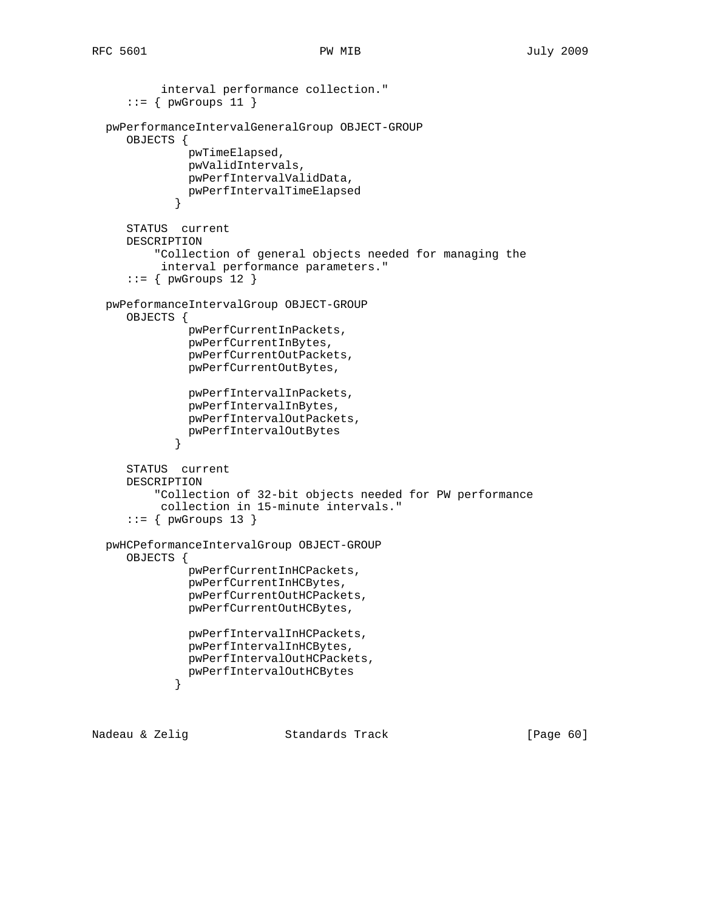```
 interval performance collection."
     ::= { pwGroups 11 }
  pwPerformanceIntervalGeneralGroup OBJECT-GROUP
     OBJECTS {
              pwTimeElapsed,
              pwValidIntervals,
              pwPerfIntervalValidData,
              pwPerfIntervalTimeElapsed
 }
     STATUS current
     DESCRIPTION
          "Collection of general objects needed for managing the
          interval performance parameters."
     ::= { pwGroups 12 }
  pwPeformanceIntervalGroup OBJECT-GROUP
     OBJECTS {
              pwPerfCurrentInPackets,
              pwPerfCurrentInBytes,
              pwPerfCurrentOutPackets,
              pwPerfCurrentOutBytes,
               pwPerfIntervalInPackets,
               pwPerfIntervalInBytes,
              pwPerfIntervalOutPackets,
            pwPerfIntervalOutBytes<br>}
 }
     STATUS current
     DESCRIPTION
          "Collection of 32-bit objects needed for PW performance
          collection in 15-minute intervals."
     ::= { pwGroups 13 }
  pwHCPeformanceIntervalGroup OBJECT-GROUP
     OBJECTS {
               pwPerfCurrentInHCPackets,
               pwPerfCurrentInHCBytes,
               pwPerfCurrentOutHCPackets,
               pwPerfCurrentOutHCBytes,
               pwPerfIntervalInHCPackets,
              pwPerfIntervalInHCBytes,
              pwPerfIntervalOutHCPackets,
            pwPerfIntervalOutHCBytes<br>}
 }
```
Nadeau & Zelig Standards Track [Page 60]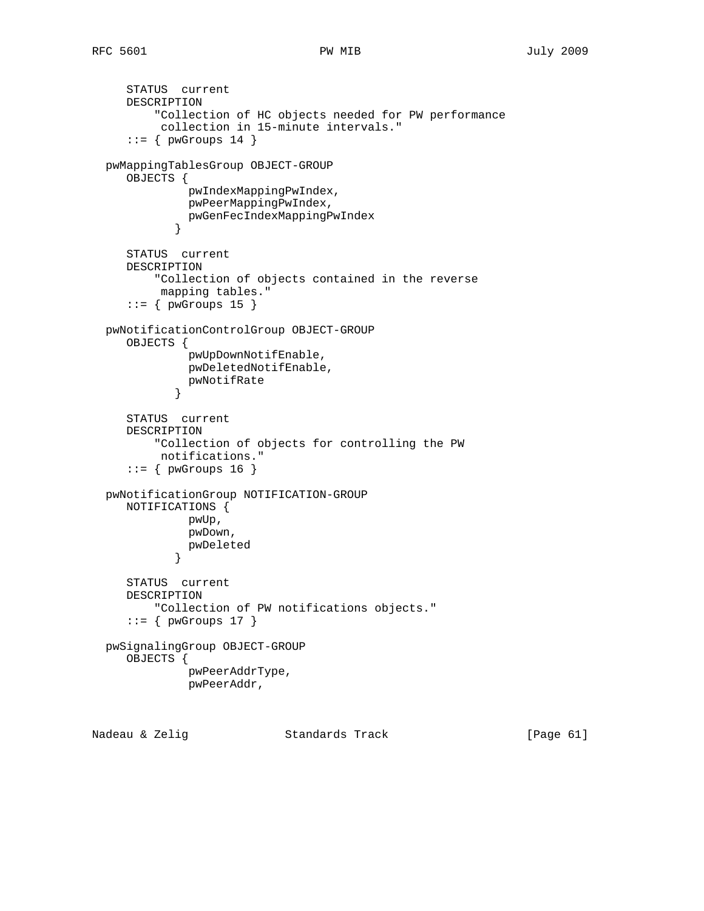```
 STATUS current
     DESCRIPTION
          "Collection of HC objects needed for PW performance
          collection in 15-minute intervals."
     ::= { pwGroups 14 }
  pwMappingTablesGroup OBJECT-GROUP
     OBJECTS {
              pwIndexMappingPwIndex,
              pwPeerMappingPwIndex,
            pwGenFecIndexMappingPwIndex<br>}
 }
     STATUS current
     DESCRIPTION
          "Collection of objects contained in the reverse
          mapping tables."
     ::= { pwGroups 15 }
  pwNotificationControlGroup OBJECT-GROUP
     OBJECTS {
              pwUpDownNotifEnable,
              pwDeletedNotifEnable,
            pwNotifRate<br>}
 }
     STATUS current
     DESCRIPTION
          "Collection of objects for controlling the PW
          notifications."
     ::= { pwGroups 16 }
  pwNotificationGroup NOTIFICATION-GROUP
     NOTIFICATIONS {
              pwUp,
              pwDown,
            pwDeleted<br>}
 }
     STATUS current
     DESCRIPTION
          "Collection of PW notifications objects."
     ::= { pwGroups 17 }
  pwSignalingGroup OBJECT-GROUP
     OBJECTS {
              pwPeerAddrType,
              pwPeerAddr,
```
Nadeau & Zelig Standards Track [Page 61]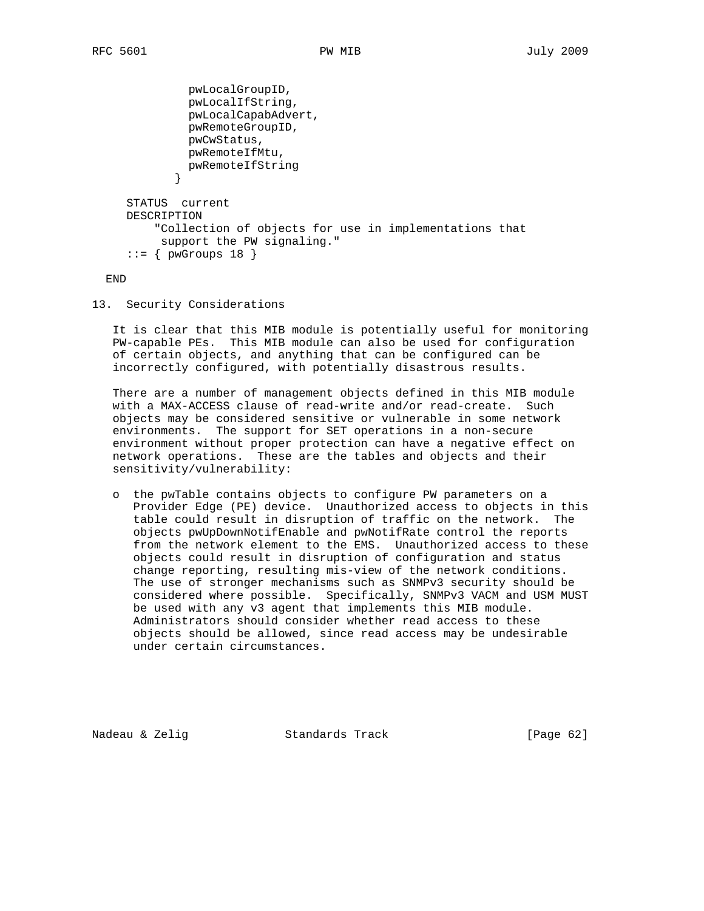```
 pwLocalGroupID,
               pwLocalIfString,
               pwLocalCapabAdvert,
               pwRemoteGroupID,
               pwCwStatus,
              pwRemoteIfMtu,
            pwRemoteIfString<br>}
 }
     STATUS current
     DESCRIPTION
          "Collection of objects for use in implementations that
          support the PW signaling."
     ::= { pwGroups 18 }
```
END

13. Security Considerations

 It is clear that this MIB module is potentially useful for monitoring PW-capable PEs. This MIB module can also be used for configuration of certain objects, and anything that can be configured can be incorrectly configured, with potentially disastrous results.

 There are a number of management objects defined in this MIB module with a MAX-ACCESS clause of read-write and/or read-create. Such objects may be considered sensitive or vulnerable in some network environments. The support for SET operations in a non-secure environment without proper protection can have a negative effect on network operations. These are the tables and objects and their sensitivity/vulnerability:

 o the pwTable contains objects to configure PW parameters on a Provider Edge (PE) device. Unauthorized access to objects in this table could result in disruption of traffic on the network. The objects pwUpDownNotifEnable and pwNotifRate control the reports from the network element to the EMS. Unauthorized access to these objects could result in disruption of configuration and status change reporting, resulting mis-view of the network conditions. The use of stronger mechanisms such as SNMPv3 security should be considered where possible. Specifically, SNMPv3 VACM and USM MUST be used with any v3 agent that implements this MIB module. Administrators should consider whether read access to these objects should be allowed, since read access may be undesirable under certain circumstances.

Nadeau & Zelig Standards Track [Page 62]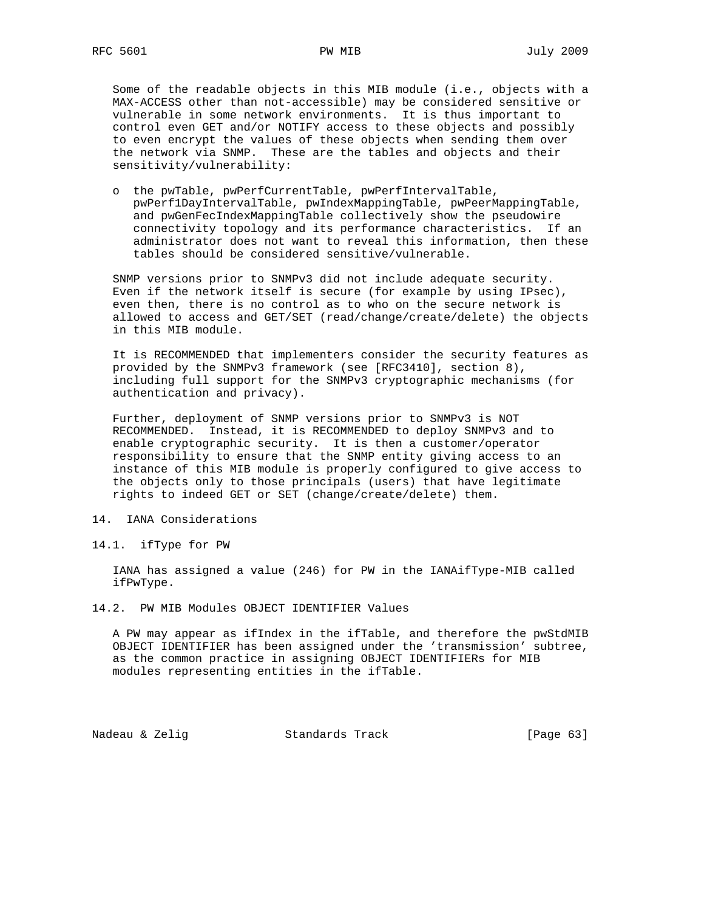Some of the readable objects in this MIB module (i.e., objects with a MAX-ACCESS other than not-accessible) may be considered sensitive or vulnerable in some network environments. It is thus important to control even GET and/or NOTIFY access to these objects and possibly to even encrypt the values of these objects when sending them over the network via SNMP. These are the tables and objects and their sensitivity/vulnerability:

 o the pwTable, pwPerfCurrentTable, pwPerfIntervalTable, pwPerf1DayIntervalTable, pwIndexMappingTable, pwPeerMappingTable, and pwGenFecIndexMappingTable collectively show the pseudowire connectivity topology and its performance characteristics. If an administrator does not want to reveal this information, then these tables should be considered sensitive/vulnerable.

 SNMP versions prior to SNMPv3 did not include adequate security. Even if the network itself is secure (for example by using IPsec), even then, there is no control as to who on the secure network is allowed to access and GET/SET (read/change/create/delete) the objects in this MIB module.

 It is RECOMMENDED that implementers consider the security features as provided by the SNMPv3 framework (see [RFC3410], section 8), including full support for the SNMPv3 cryptographic mechanisms (for authentication and privacy).

 Further, deployment of SNMP versions prior to SNMPv3 is NOT RECOMMENDED. Instead, it is RECOMMENDED to deploy SNMPv3 and to enable cryptographic security. It is then a customer/operator responsibility to ensure that the SNMP entity giving access to an instance of this MIB module is properly configured to give access to the objects only to those principals (users) that have legitimate rights to indeed GET or SET (change/create/delete) them.

- 14. IANA Considerations
- 14.1. ifType for PW

 IANA has assigned a value (246) for PW in the IANAifType-MIB called ifPwType.

14.2. PW MIB Modules OBJECT IDENTIFIER Values

 A PW may appear as ifIndex in the ifTable, and therefore the pwStdMIB OBJECT IDENTIFIER has been assigned under the 'transmission' subtree, as the common practice in assigning OBJECT IDENTIFIERs for MIB modules representing entities in the ifTable.

Nadeau & Zelig Standards Track (Page 63)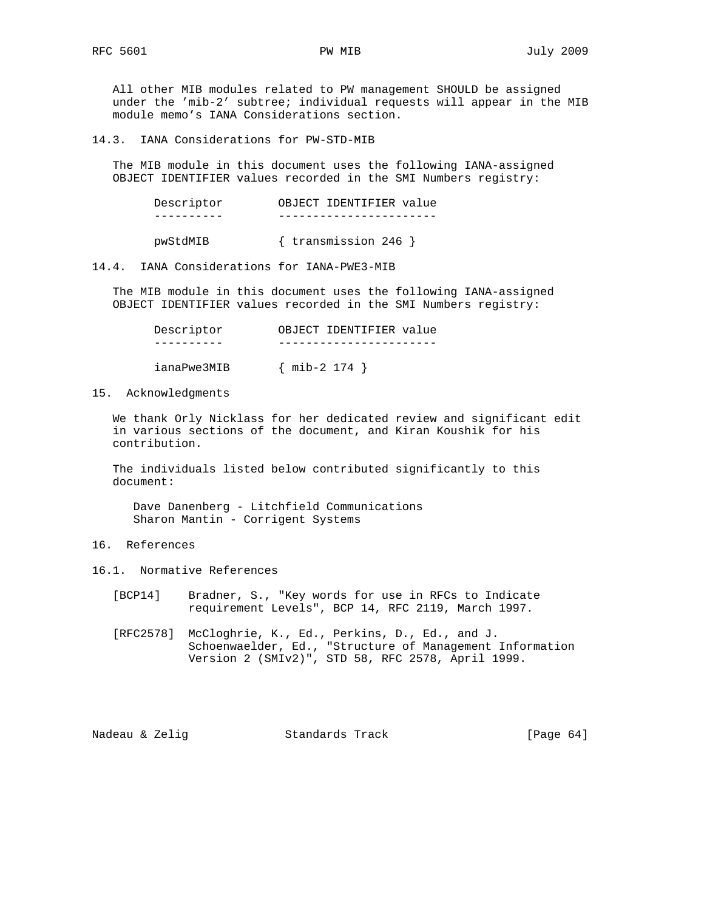All other MIB modules related to PW management SHOULD be assigned under the 'mib-2' subtree; individual requests will appear in the MIB module memo's IANA Considerations section.

14.3. IANA Considerations for PW-STD-MIB

 The MIB module in this document uses the following IANA-assigned OBJECT IDENTIFIER values recorded in the SMI Numbers registry:

| Descriptor | OBJECT IDENTIFIER value |  |
|------------|-------------------------|--|
|            |                         |  |
|            |                         |  |

pwStdMIB { transmission 246 }

14.4. IANA Considerations for IANA-PWE3-MIB

 The MIB module in this document uses the following IANA-assigned OBJECT IDENTIFIER values recorded in the SMI Numbers registry:

| Descriptor  | OBJECT IDENTIFIER value |
|-------------|-------------------------|
|             |                         |
| ianaPwe3MIB | $\{$ mib-2 174 $\}$     |

15. Acknowledgments

 We thank Orly Nicklass for her dedicated review and significant edit in various sections of the document, and Kiran Koushik for his contribution.

 The individuals listed below contributed significantly to this document:

 Dave Danenberg - Litchfield Communications Sharon Mantin - Corrigent Systems

- 16. References
- 16.1. Normative References
	- [BCP14] Bradner, S., "Key words for use in RFCs to Indicate requirement Levels", BCP 14, RFC 2119, March 1997.
	- [RFC2578] McCloghrie, K., Ed., Perkins, D., Ed., and J. Schoenwaelder, Ed., "Structure of Management Information Version 2 (SMIv2)", STD 58, RFC 2578, April 1999.

Nadeau & Zelig Standards Track [Page 64]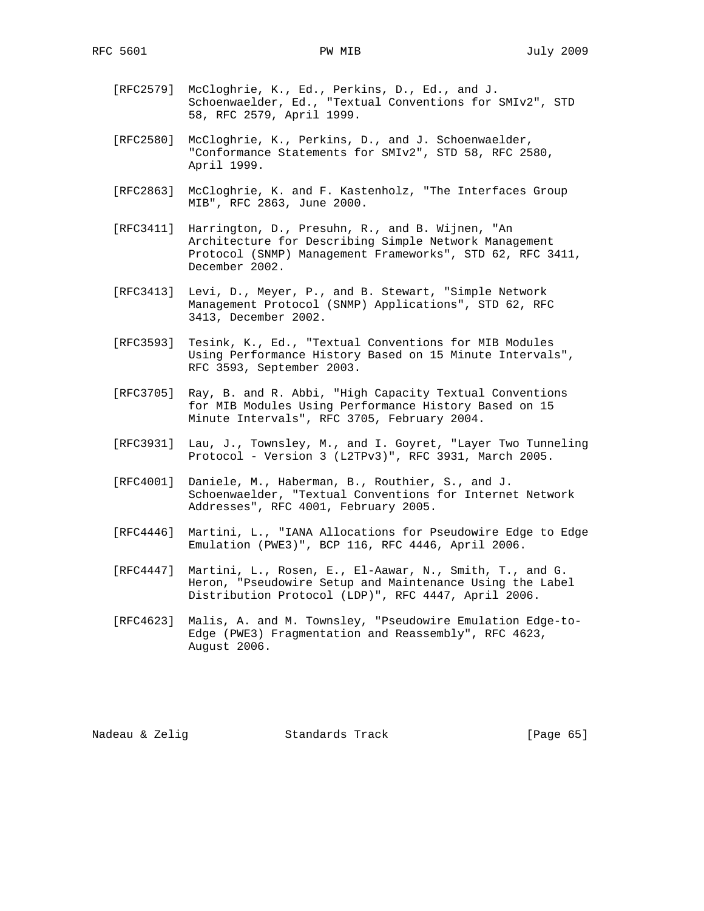- [RFC2579] McCloghrie, K., Ed., Perkins, D., Ed., and J. Schoenwaelder, Ed., "Textual Conventions for SMIv2", STD 58, RFC 2579, April 1999.
- [RFC2580] McCloghrie, K., Perkins, D., and J. Schoenwaelder, "Conformance Statements for SMIv2", STD 58, RFC 2580, April 1999.
- [RFC2863] McCloghrie, K. and F. Kastenholz, "The Interfaces Group MIB", RFC 2863, June 2000.
- [RFC3411] Harrington, D., Presuhn, R., and B. Wijnen, "An Architecture for Describing Simple Network Management Protocol (SNMP) Management Frameworks", STD 62, RFC 3411, December 2002.
- [RFC3413] Levi, D., Meyer, P., and B. Stewart, "Simple Network Management Protocol (SNMP) Applications", STD 62, RFC 3413, December 2002.
- [RFC3593] Tesink, K., Ed., "Textual Conventions for MIB Modules Using Performance History Based on 15 Minute Intervals", RFC 3593, September 2003.
- [RFC3705] Ray, B. and R. Abbi, "High Capacity Textual Conventions for MIB Modules Using Performance History Based on 15 Minute Intervals", RFC 3705, February 2004.
- [RFC3931] Lau, J., Townsley, M., and I. Goyret, "Layer Two Tunneling Protocol - Version 3 (L2TPv3)", RFC 3931, March 2005.
- [RFC4001] Daniele, M., Haberman, B., Routhier, S., and J. Schoenwaelder, "Textual Conventions for Internet Network Addresses", RFC 4001, February 2005.
- [RFC4446] Martini, L., "IANA Allocations for Pseudowire Edge to Edge Emulation (PWE3)", BCP 116, RFC 4446, April 2006.
- [RFC4447] Martini, L., Rosen, E., El-Aawar, N., Smith, T., and G. Heron, "Pseudowire Setup and Maintenance Using the Label Distribution Protocol (LDP)", RFC 4447, April 2006.
- [RFC4623] Malis, A. and M. Townsley, "Pseudowire Emulation Edge-to- Edge (PWE3) Fragmentation and Reassembly", RFC 4623, August 2006.

Nadeau & Zelig Standards Track [Page 65]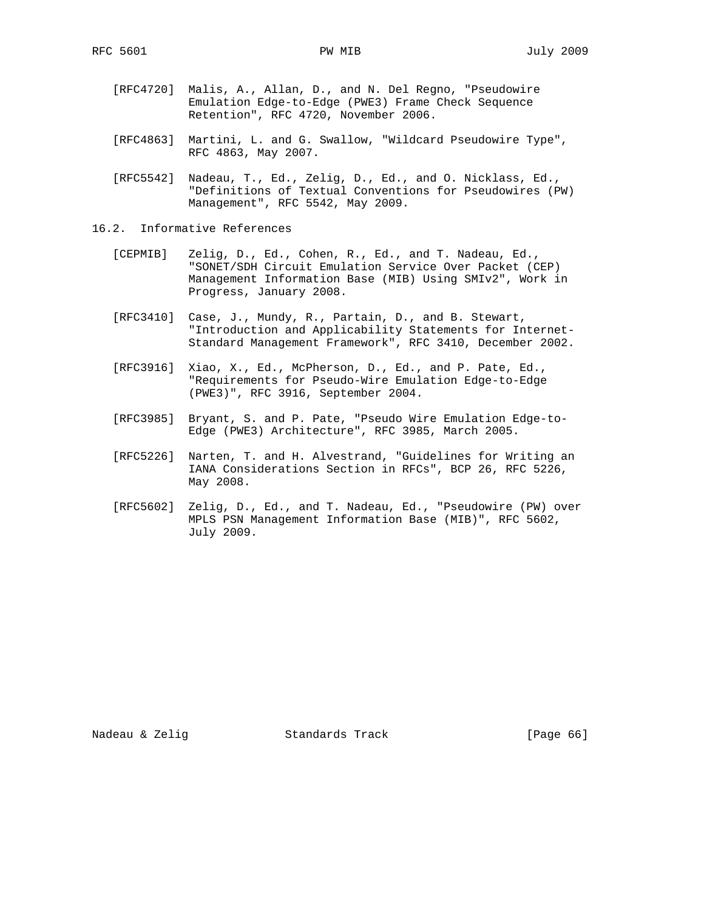- [RFC4720] Malis, A., Allan, D., and N. Del Regno, "Pseudowire Emulation Edge-to-Edge (PWE3) Frame Check Sequence Retention", RFC 4720, November 2006.
- [RFC4863] Martini, L. and G. Swallow, "Wildcard Pseudowire Type", RFC 4863, May 2007.
- [RFC5542] Nadeau, T., Ed., Zelig, D., Ed., and O. Nicklass, Ed., "Definitions of Textual Conventions for Pseudowires (PW) Management", RFC 5542, May 2009.
- 16.2. Informative References
	- [CEPMIB] Zelig, D., Ed., Cohen, R., Ed., and T. Nadeau, Ed., "SONET/SDH Circuit Emulation Service Over Packet (CEP) Management Information Base (MIB) Using SMIv2", Work in Progress, January 2008.
	- [RFC3410] Case, J., Mundy, R., Partain, D., and B. Stewart, "Introduction and Applicability Statements for Internet- Standard Management Framework", RFC 3410, December 2002.
	- [RFC3916] Xiao, X., Ed., McPherson, D., Ed., and P. Pate, Ed., "Requirements for Pseudo-Wire Emulation Edge-to-Edge (PWE3)", RFC 3916, September 2004.
	- [RFC3985] Bryant, S. and P. Pate, "Pseudo Wire Emulation Edge-to- Edge (PWE3) Architecture", RFC 3985, March 2005.
	- [RFC5226] Narten, T. and H. Alvestrand, "Guidelines for Writing an IANA Considerations Section in RFCs", BCP 26, RFC 5226, May 2008.
	- [RFC5602] Zelig, D., Ed., and T. Nadeau, Ed., "Pseudowire (PW) over MPLS PSN Management Information Base (MIB)", RFC 5602, July 2009.

Nadeau & Zelig Standards Track [Page 66]